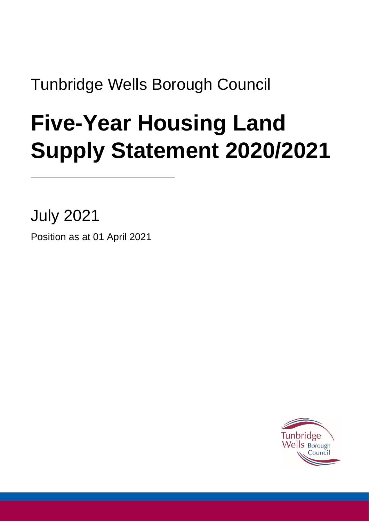Tunbridge Wells Borough Council

# **Five-Year Housing Land Supply Statement 2020/2021**

July 2021

Position as at 01 April 2021

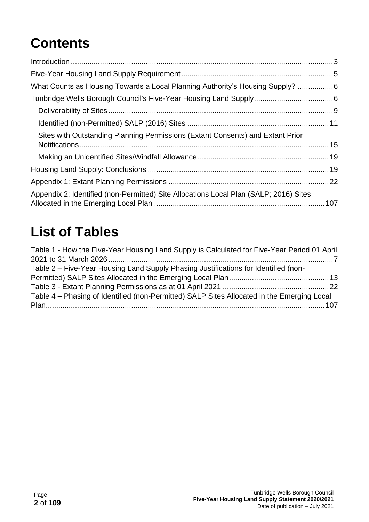### **Contents**

| What Counts as Housing Towards a Local Planning Authority's Housing Supply? 6         |  |
|---------------------------------------------------------------------------------------|--|
|                                                                                       |  |
|                                                                                       |  |
|                                                                                       |  |
| Sites with Outstanding Planning Permissions (Extant Consents) and Extant Prior        |  |
|                                                                                       |  |
|                                                                                       |  |
|                                                                                       |  |
| Appendix 2: Identified (non-Permitted) Site Allocations Local Plan (SALP; 2016) Sites |  |

### **List of Tables**

| Table 1 - How the Five-Year Housing Land Supply is Calculated for Five-Year Period 01 April |  |
|---------------------------------------------------------------------------------------------|--|
|                                                                                             |  |
| Table 2 – Five-Year Housing Land Supply Phasing Justifications for Identified (non-         |  |
|                                                                                             |  |
|                                                                                             |  |
| Table 4 – Phasing of Identified (non-Permitted) SALP Sites Allocated in the Emerging Local  |  |
|                                                                                             |  |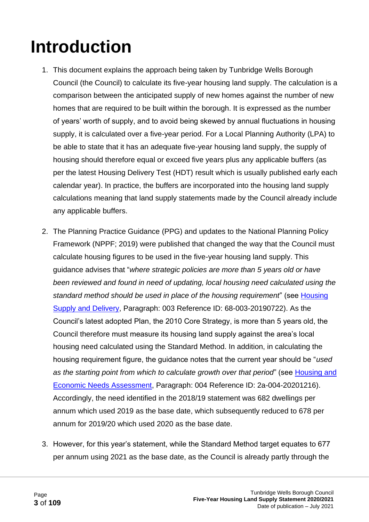## <span id="page-2-0"></span>**Introduction**

- 1. This document explains the approach being taken by Tunbridge Wells Borough Council (the Council) to calculate its five-year housing land supply. The calculation is a comparison between the anticipated supply of new homes against the number of new homes that are required to be built within the borough. It is expressed as the number of years' worth of supply, and to avoid being skewed by annual fluctuations in housing supply, it is calculated over a five-year period. For a Local Planning Authority (LPA) to be able to state that it has an adequate five-year housing land supply, the supply of housing should therefore equal or exceed five years plus any applicable buffers (as per the latest Housing Delivery Test (HDT) result which is usually published early each calendar year). In practice, the buffers are incorporated into the housing land supply calculations meaning that land supply statements made by the Council already include any applicable buffers.
- 2. The Planning Practice Guidance (PPG) and updates to the National Planning Policy Framework (NPPF; 2019) were published that changed the way that the Council must calculate housing figures to be used in the five-year housing land supply. This guidance advises that "*where strategic policies are more than 5 years old or have been reviewed and found in need of updating, local housing need calculated using the standard method should be used in place of the housing requirement*" (see [Housing](https://www.gov.uk/guidance/housing-supply-and-delivery)  [Supply and Delivery,](https://www.gov.uk/guidance/housing-supply-and-delivery) Paragraph: 003 Reference ID: 68-003-20190722). As the Council's latest adopted Plan, the 2010 Core Strategy, is more than 5 years old, the Council therefore must measure its housing land supply against the area's local housing need calculated using the Standard Method. In addition, in calculating the housing requirement figure, the guidance notes that the current year should be "*used as the starting point from which to calculate growth over that period*" (see [Housing and](https://www.gov.uk/guidance/housing-and-economic-development-needs-assessments#identifying-the-need-for-different-types-of-housing)  [Economic Needs Assessment,](https://www.gov.uk/guidance/housing-and-economic-development-needs-assessments#identifying-the-need-for-different-types-of-housing) Paragraph: 004 Reference ID: 2a-004-20201216). Accordingly, the need identified in the 2018/19 statement was 682 dwellings per annum which used 2019 as the base date, which subsequently reduced to 678 per annum for 2019/20 which used 2020 as the base date.
- 3. However, for this year's statement, while the Standard Method target equates to 677 per annum using 2021 as the base date, as the Council is already partly through the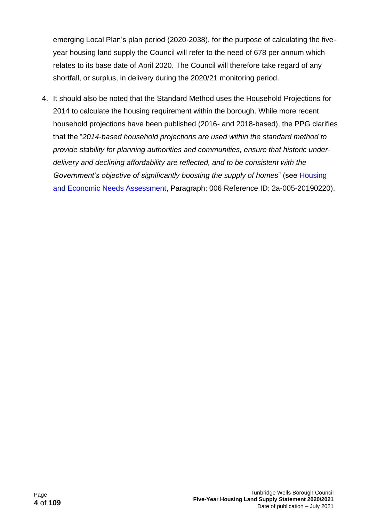emerging Local Plan's plan period (2020-2038), for the purpose of calculating the fiveyear housing land supply the Council will refer to the need of 678 per annum which relates to its base date of April 2020. The Council will therefore take regard of any shortfall, or surplus, in delivery during the 2020/21 monitoring period.

4. It should also be noted that the Standard Method uses the Household Projections for 2014 to calculate the housing requirement within the borough. While more recent household projections have been published (2016- and 2018-based), the PPG clarifies that the "*2014-based household projections are used within the standard method to provide stability for planning authorities and communities, ensure that historic underdelivery and declining affordability are reflected, and to be consistent with the Government's objective of significantly boosting the supply of homes*" (see [Housing](https://www.gov.uk/guidance/housing-and-economic-development-needs-assessments#identifying-the-need-for-different-types-of-housing)  [and Economic Needs Assessment,](https://www.gov.uk/guidance/housing-and-economic-development-needs-assessments#identifying-the-need-for-different-types-of-housing) Paragraph: 006 Reference ID: 2a-005-20190220).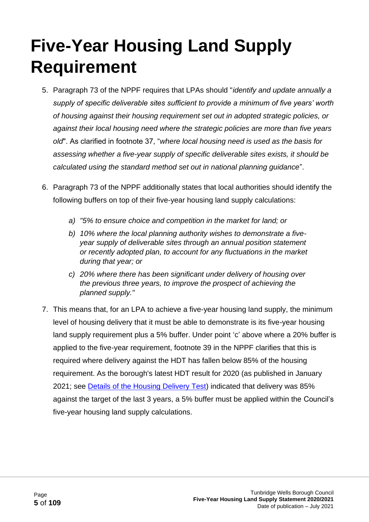## <span id="page-4-0"></span>**Five-Year Housing Land Supply Requirement**

- 5. Paragraph 73 of the NPPF requires that LPAs should "*identify and update annually a supply of specific deliverable sites sufficient to provide a minimum of five years' worth of housing against their housing requirement set out in adopted strategic policies, or against their local housing need where the strategic policies are more than five years old*". As clarified in footnote 37, "*where local housing need is used as the basis for assessing whether a five-year supply of specific deliverable sites exists, it should be calculated using the standard method set out in national planning guidance*".
- 6. Paragraph 73 of the NPPF additionally states that local authorities should identify the following buffers on top of their five-year housing land supply calculations:
	- *a) "5% to ensure choice and competition in the market for land; or*
	- *b) 10% where the local planning authority wishes to demonstrate a fiveyear supply of deliverable sites through an annual position statement or recently adopted plan, to account for any fluctuations in the market during that year; or*
	- *c) 20% where there has been significant under delivery of housing over the previous three years, to improve the prospect of achieving the planned supply."*
- 7. This means that, for an LPA to achieve a five-year housing land supply, the minimum level of housing delivery that it must be able to demonstrate is its five-year housing land supply requirement plus a 5% buffer. Under point 'c' above where a 20% buffer is applied to the five-year requirement, footnote 39 in the NPPF clarifies that this is required where delivery against the HDT has fallen below 85% of the housing requirement. As the borough's latest HDT result for 2020 (as published in January 2021; see [Details of the Housing Delivery Test\)](https://www.gov.uk/government/collections/housing-delivery-test) indicated that delivery was 85% against the target of the last 3 years, a 5% buffer must be applied within the Council's five-year housing land supply calculations.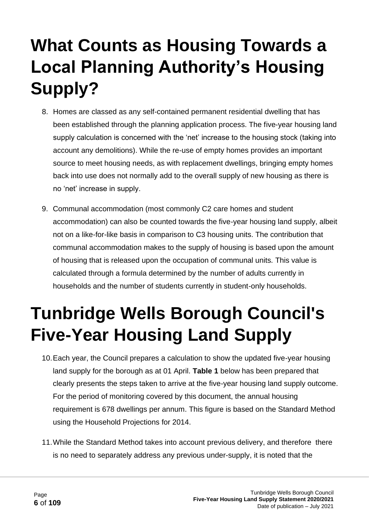## <span id="page-5-0"></span>**What Counts as Housing Towards a Local Planning Authority's Housing Supply?**

- 8. Homes are classed as any self-contained permanent residential dwelling that has been established through the planning application process. The five-year housing land supply calculation is concerned with the 'net' increase to the housing stock (taking into account any demolitions). While the re-use of empty homes provides an important source to meet housing needs, as with replacement dwellings, bringing empty homes back into use does not normally add to the overall supply of new housing as there is no 'net' increase in supply.
- 9. Communal accommodation (most commonly C2 care homes and student accommodation) can also be counted towards the five-year housing land supply, albeit not on a like-for-like basis in comparison to C3 housing units. The contribution that communal accommodation makes to the supply of housing is based upon the amount of housing that is released upon the occupation of communal units. This value is calculated through a formula determined by the number of adults currently in households and the number of students currently in student-only households.

### <span id="page-5-1"></span>**Tunbridge Wells Borough Council's Five-Year Housing Land Supply**

- 10.Each year, the Council prepares a calculation to show the updated five-year housing land supply for the borough as at 01 April. **Table 1** below has been prepared that clearly presents the steps taken to arrive at the five-year housing land supply outcome. For the period of monitoring covered by this document, the annual housing requirement is 678 dwellings per annum. This figure is based on the Standard Method using the Household Projections for 2014.
- 11.While the Standard Method takes into account previous delivery, and therefore there is no need to separately address any previous under-supply, it is noted that the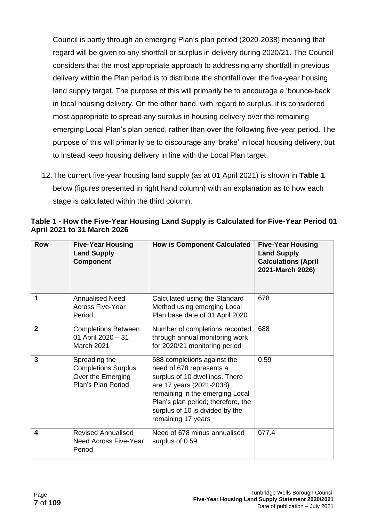Council is partly through an emerging Plan's plan period (2020-2038) meaning that regard will be given to any shortfall or surplus in delivery during 2020/21. The Council considers that the most appropriate approach to addressing any shortfall in previous delivery within the Plan period is to distribute the shortfall over the five-year housing land supply target. The purpose of this will primarily be to encourage a 'bounce-back' in local housing delivery. On the other hand, with regard to surplus, it is considered most appropriate to spread any surplus in housing delivery over the remaining emerging Local Plan's plan period, rather than over the following five-year period. The purpose of this will primarily be to discourage any 'brake' in local housing delivery, but to instead keep housing delivery in line with the Local Plan target.

12.The current five-year housing land supply (as at 01 April 2021) is shown in **Table 1** below (figures presented in right hand column) with an explanation as to how each stage is calculated within the third column.

| <b>Row</b>     | <b>Five-Year Housing</b><br><b>Land Supply</b><br><b>Component</b>                     | <b>How is Component Calculated</b>                                                                                                                                                                                                                      | <b>Five-Year Housing</b><br><b>Land Supply</b><br><b>Calculations (April</b><br>2021-March 2026) |
|----------------|----------------------------------------------------------------------------------------|---------------------------------------------------------------------------------------------------------------------------------------------------------------------------------------------------------------------------------------------------------|--------------------------------------------------------------------------------------------------|
| 1              | <b>Annualised Need</b><br><b>Across Five-Year</b><br>Period                            | Calculated using the Standard<br>Method using emerging Local<br>Plan base date of 01 April 2020                                                                                                                                                         | 678                                                                                              |
| $\overline{2}$ | <b>Completions Between</b><br>01 April 2020 - 31<br><b>March 2021</b>                  | Number of completions recorded<br>through annual monitoring work<br>for 2020/21 monitoring period                                                                                                                                                       | 688                                                                                              |
| 3              | Spreading the<br><b>Completions Surplus</b><br>Over the Emerging<br>Plan's Plan Period | 688 completions against the<br>need of 678 represents a<br>surplus of 10 dwellings. There<br>are 17 years (2021-2038)<br>remaining in the emerging Local<br>Plan's plan period; therefore, the<br>surplus of 10 is divided by the<br>remaining 17 years | 0.59                                                                                             |
| 4              | <b>Revised Annualised</b><br><b>Need Across Five-Year</b><br>Period                    | Need of 678 minus annualised<br>surplus of 0.59                                                                                                                                                                                                         | 677.4                                                                                            |

#### <span id="page-6-0"></span>**Table 1 - How the Five-Year Housing Land Supply is Calculated for Five-Year Period 01 April 2021 to 31 March 2026**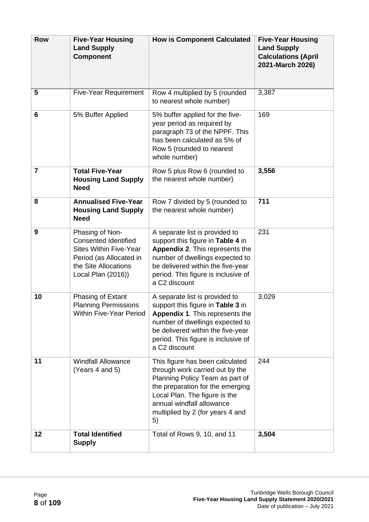| <b>Row</b>     | <b>Five-Year Housing</b><br><b>Land Supply</b><br><b>Component</b>                                                                                       | <b>How is Component Calculated</b>                                                                                                                                                                                                                | <b>Five-Year Housing</b><br><b>Land Supply</b><br><b>Calculations (April</b><br>2021-March 2026) |
|----------------|----------------------------------------------------------------------------------------------------------------------------------------------------------|---------------------------------------------------------------------------------------------------------------------------------------------------------------------------------------------------------------------------------------------------|--------------------------------------------------------------------------------------------------|
| 5              | <b>Five-Year Requirement</b>                                                                                                                             | Row 4 multiplied by 5 (rounded<br>to nearest whole number)                                                                                                                                                                                        | 3,387                                                                                            |
| 6              | 5% Buffer Applied                                                                                                                                        | 5% buffer applied for the five-<br>year period as required by<br>paragraph 73 of the NPPF. This<br>has been calculated as 5% of<br>Row 5 (rounded to nearest<br>whole number)                                                                     | 169                                                                                              |
| $\overline{7}$ | <b>Total Five-Year</b><br><b>Housing Land Supply</b><br><b>Need</b>                                                                                      | Row 5 plus Row 6 (rounded to<br>the nearest whole number)                                                                                                                                                                                         | 3,556                                                                                            |
| 8              | <b>Annualised Five-Year</b><br><b>Housing Land Supply</b><br><b>Need</b>                                                                                 | Row 7 divided by 5 (rounded to<br>the nearest whole number)                                                                                                                                                                                       | 711                                                                                              |
| 9              | Phasing of Non-<br><b>Consented Identified</b><br><b>Sites Within Five-Year</b><br>Period (as Allocated in<br>the Site Allocations<br>Local Plan (2016)) | A separate list is provided to<br>support this figure in Table 4 in<br>Appendix 2. This represents the<br>number of dwellings expected to<br>be delivered within the five-year<br>period. This figure is inclusive of<br>a C2 discount            | 231                                                                                              |
| 10             | Phasing of Extant<br><b>Planning Permissions</b><br><b>Within Five-Year Period</b>                                                                       | A separate list is provided to<br>support this figure in Table 3 in<br>Appendix 1. This represents the<br>number of dwellings expected to<br>be delivered within the five-year<br>period. This figure is inclusive of<br>a C2 discount            | 3,029                                                                                            |
| 11             | <b>Windfall Allowance</b><br>(Years 4 and 5)                                                                                                             | This figure has been calculated<br>through work carried out by the<br>Planning Policy Team as part of<br>the preparation for the emerging<br>Local Plan. The figure is the<br>annual windfall allowance<br>multiplied by 2 (for years 4 and<br>5) | 244                                                                                              |
| 12             | <b>Total Identified</b><br><b>Supply</b>                                                                                                                 | Total of Rows 9, 10, and 11                                                                                                                                                                                                                       | 3,504                                                                                            |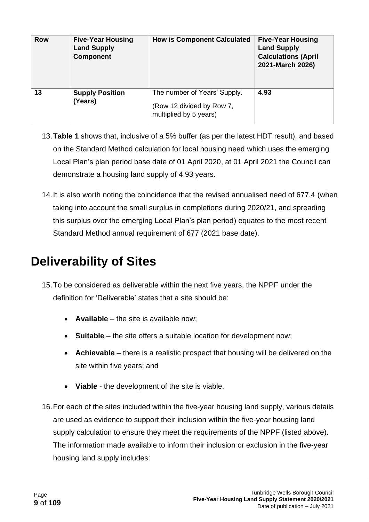| <b>Row</b> | <b>Five-Year Housing</b><br><b>Land Supply</b><br><b>Component</b> | <b>How is Component Calculated</b>                                                  | <b>Five-Year Housing</b><br><b>Land Supply</b><br><b>Calculations (April</b><br>2021-March 2026) |
|------------|--------------------------------------------------------------------|-------------------------------------------------------------------------------------|--------------------------------------------------------------------------------------------------|
| 13         | <b>Supply Position</b><br>(Years)                                  | The number of Years' Supply.<br>(Row 12 divided by Row 7,<br>multiplied by 5 years) | 4.93                                                                                             |

- 13.**Table 1** shows that, inclusive of a 5% buffer (as per the latest HDT result), and based on the Standard Method calculation for local housing need which uses the emerging Local Plan's plan period base date of 01 April 2020, at 01 April 2021 the Council can demonstrate a housing land supply of 4.93 years.
- 14.It is also worth noting the coincidence that the revised annualised need of 677.4 (when taking into account the small surplus in completions during 2020/21, and spreading this surplus over the emerging Local Plan's plan period) equates to the most recent Standard Method annual requirement of 677 (2021 base date).

#### <span id="page-8-0"></span>**Deliverability of Sites**

- 15.To be considered as deliverable within the next five years, the NPPF under the definition for 'Deliverable' states that a site should be:
	- **Available** the site is available now;
	- **Suitable** the site offers a suitable location for development now;
	- **Achievable** there is a realistic prospect that housing will be delivered on the site within five years; and
	- **Viable** the development of the site is viable.
- 16.For each of the sites included within the five-year housing land supply, various details are used as evidence to support their inclusion within the five-year housing land supply calculation to ensure they meet the requirements of the NPPF (listed above). The information made available to inform their inclusion or exclusion in the five-year housing land supply includes: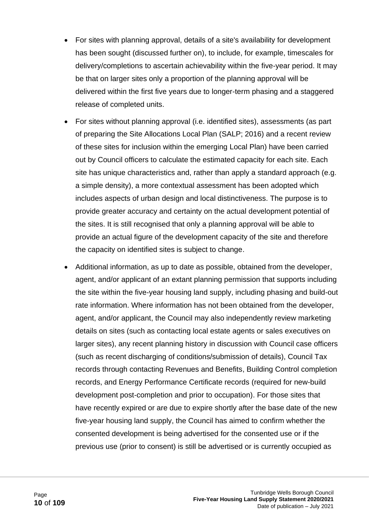- For sites with planning approval, details of a site's availability for development has been sought (discussed further on), to include, for example, timescales for delivery/completions to ascertain achievability within the five-year period. It may be that on larger sites only a proportion of the planning approval will be delivered within the first five years due to longer-term phasing and a staggered release of completed units.
- For sites without planning approval (i.e. identified sites), assessments (as part of preparing the Site Allocations Local Plan (SALP; 2016) and a recent review of these sites for inclusion within the emerging Local Plan) have been carried out by Council officers to calculate the estimated capacity for each site. Each site has unique characteristics and, rather than apply a standard approach (e.g. a simple density), a more contextual assessment has been adopted which includes aspects of urban design and local distinctiveness. The purpose is to provide greater accuracy and certainty on the actual development potential of the sites. It is still recognised that only a planning approval will be able to provide an actual figure of the development capacity of the site and therefore the capacity on identified sites is subject to change.
- Additional information, as up to date as possible, obtained from the developer, agent, and/or applicant of an extant planning permission that supports including the site within the five-year housing land supply, including phasing and build-out rate information. Where information has not been obtained from the developer, agent, and/or applicant, the Council may also independently review marketing details on sites (such as contacting local estate agents or sales executives on larger sites), any recent planning history in discussion with Council case officers (such as recent discharging of conditions/submission of details), Council Tax records through contacting Revenues and Benefits, Building Control completion records, and Energy Performance Certificate records (required for new-build development post-completion and prior to occupation). For those sites that have recently expired or are due to expire shortly after the base date of the new five-year housing land supply, the Council has aimed to confirm whether the consented development is being advertised for the consented use or if the previous use (prior to consent) is still be advertised or is currently occupied as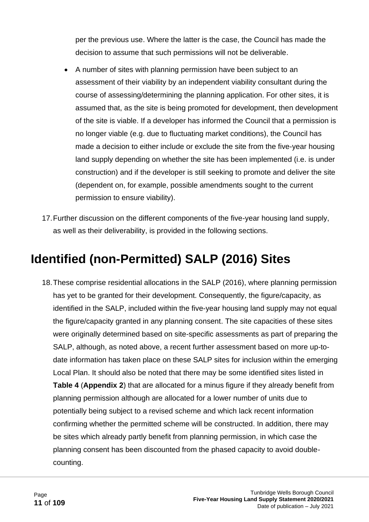per the previous use. Where the latter is the case, the Council has made the decision to assume that such permissions will not be deliverable.

- A number of sites with planning permission have been subject to an assessment of their viability by an independent viability consultant during the course of assessing/determining the planning application. For other sites, it is assumed that, as the site is being promoted for development, then development of the site is viable. If a developer has informed the Council that a permission is no longer viable (e.g. due to fluctuating market conditions), the Council has made a decision to either include or exclude the site from the five-year housing land supply depending on whether the site has been implemented (i.e. is under construction) and if the developer is still seeking to promote and deliver the site (dependent on, for example, possible amendments sought to the current permission to ensure viability).
- 17.Further discussion on the different components of the five-year housing land supply, as well as their deliverability, is provided in the following sections.

### <span id="page-10-0"></span>**Identified (non-Permitted) SALP (2016) Sites**

18.These comprise residential allocations in the SALP (2016), where planning permission has yet to be granted for their development. Consequently, the figure/capacity, as identified in the SALP, included within the five-year housing land supply may not equal the figure/capacity granted in any planning consent. The site capacities of these sites were originally determined based on site-specific assessments as part of preparing the SALP, although, as noted above, a recent further assessment based on more up-todate information has taken place on these SALP sites for inclusion within the emerging Local Plan. It should also be noted that there may be some identified sites listed in **Table 4** (**Appendix 2**) that are allocated for a minus figure if they already benefit from planning permission although are allocated for a lower number of units due to potentially being subject to a revised scheme and which lack recent information confirming whether the permitted scheme will be constructed. In addition, there may be sites which already partly benefit from planning permission, in which case the planning consent has been discounted from the phased capacity to avoid doublecounting.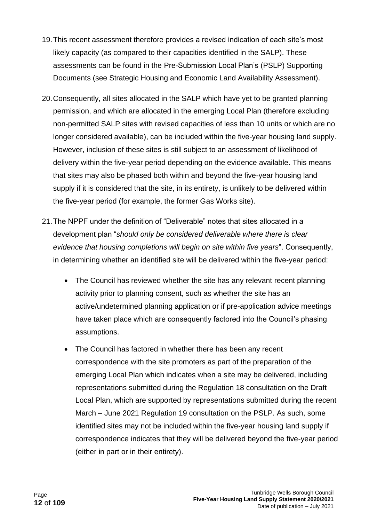- 19.This recent assessment therefore provides a revised indication of each site's most likely capacity (as compared to their capacities identified in the SALP). These assessments can be found in the Pre-Submission Local Plan's (PSLP) Supporting Documents (see Strategic Housing and Economic Land Availability Assessment).
- 20.Consequently, all sites allocated in the SALP which have yet to be granted planning permission, and which are allocated in the emerging Local Plan (therefore excluding non-permitted SALP sites with revised capacities of less than 10 units or which are no longer considered available), can be included within the five-year housing land supply. However, inclusion of these sites is still subject to an assessment of likelihood of delivery within the five-year period depending on the evidence available. This means that sites may also be phased both within and beyond the five-year housing land supply if it is considered that the site, in its entirety, is unlikely to be delivered within the five-year period (for example, the former Gas Works site).
- 21.The NPPF under the definition of "Deliverable" notes that sites allocated in a development plan "*should only be considered deliverable where there is clear evidence that housing completions will begin on site within five years*". Consequently, in determining whether an identified site will be delivered within the five-year period:
	- The Council has reviewed whether the site has any relevant recent planning activity prior to planning consent, such as whether the site has an active/undetermined planning application or if pre-application advice meetings have taken place which are consequently factored into the Council's phasing assumptions.
	- The Council has factored in whether there has been any recent correspondence with the site promoters as part of the preparation of the emerging Local Plan which indicates when a site may be delivered, including representations submitted during the Regulation 18 consultation on the Draft Local Plan, which are supported by representations submitted during the recent March – June 2021 Regulation 19 consultation on the PSLP. As such, some identified sites may not be included within the five-year housing land supply if correspondence indicates that they will be delivered beyond the five-year period (either in part or in their entirety).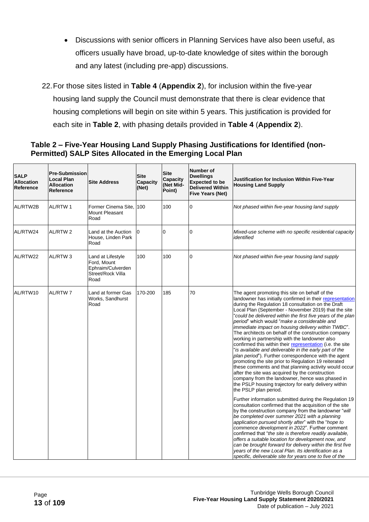- Discussions with senior officers in Planning Services have also been useful, as officers usually have broad, up-to-date knowledge of sites within the borough and any latest (including pre-app) discussions.
- 22.For those sites listed in **Table 4** (**Appendix 2**), for inclusion within the five-year housing land supply the Council must demonstrate that there is clear evidence that housing completions will begin on site within 5 years. This justification is provided for each site in **Table 2**, with phasing details provided in **Table 4** (**Appendix 2**).

#### <span id="page-12-0"></span>**Table 2 – Five-Year Housing Land Supply Phasing Justifications for Identified (non-Permitted) SALP Sites Allocated in the Emerging Local Plan**

| <b>SALP</b><br><b>Allocation</b><br>Reference | <b>Pre-Submission</b><br>Local Plan<br><b>Allocation</b><br>Reference | <b>Site Address</b>                                                                | <b>Site</b><br><b>Capacity</b><br>(Net) | <b>Site</b><br><b>Capacity</b><br>(Net Mid-<br>Point) | <b>Number of</b><br><b>Dwellings</b><br><b>Expected to be</b><br><b>Delivered Within</b><br><b>Five Years (Net)</b> | Justification for Inclusion Within Five-Year<br><b>Housing Land Supply</b>                                                                                                                                                                                                                                                                                                                                                                                                                                                                                                                                                                                                                                                                                                                                                                                                                                                                                                                                                                                                                                                                                                                                                                                                                                                                                                                                                                                                                                                                                                                                                                  |
|-----------------------------------------------|-----------------------------------------------------------------------|------------------------------------------------------------------------------------|-----------------------------------------|-------------------------------------------------------|---------------------------------------------------------------------------------------------------------------------|---------------------------------------------------------------------------------------------------------------------------------------------------------------------------------------------------------------------------------------------------------------------------------------------------------------------------------------------------------------------------------------------------------------------------------------------------------------------------------------------------------------------------------------------------------------------------------------------------------------------------------------------------------------------------------------------------------------------------------------------------------------------------------------------------------------------------------------------------------------------------------------------------------------------------------------------------------------------------------------------------------------------------------------------------------------------------------------------------------------------------------------------------------------------------------------------------------------------------------------------------------------------------------------------------------------------------------------------------------------------------------------------------------------------------------------------------------------------------------------------------------------------------------------------------------------------------------------------------------------------------------------------|
| AL/RTW2B                                      | AL/RTW 1                                                              | Former Cinema Site, 100<br><b>Mount Pleasant</b><br>Road                           |                                         | 100                                                   | $\overline{0}$                                                                                                      | Not phased within five-year housing land supply                                                                                                                                                                                                                                                                                                                                                                                                                                                                                                                                                                                                                                                                                                                                                                                                                                                                                                                                                                                                                                                                                                                                                                                                                                                                                                                                                                                                                                                                                                                                                                                             |
| AL/RTW24                                      | AL/RTW 2                                                              | Land at the Auction<br>House, Linden Park<br>Road                                  | 0                                       | $\overline{0}$                                        | $\overline{0}$                                                                                                      | Mixed-use scheme with no specific residential capacity<br>identified                                                                                                                                                                                                                                                                                                                                                                                                                                                                                                                                                                                                                                                                                                                                                                                                                                                                                                                                                                                                                                                                                                                                                                                                                                                                                                                                                                                                                                                                                                                                                                        |
| AL/RTW22                                      | AL/RTW <sub>3</sub>                                                   | Land at Lifestyle<br>Ford, Mount<br>Ephraim/Culverden<br>Street/Rock Villa<br>Road | 100                                     | 100                                                   | $\overline{0}$                                                                                                      | Not phased within five-year housing land supply                                                                                                                                                                                                                                                                                                                                                                                                                                                                                                                                                                                                                                                                                                                                                                                                                                                                                                                                                                                                                                                                                                                                                                                                                                                                                                                                                                                                                                                                                                                                                                                             |
| AL/RTW10                                      | <b>AL/RTW7</b>                                                        | Land at former Gas<br>Works, Sandhurst<br>Road                                     | 170-200                                 | 185                                                   | 70                                                                                                                  | The agent promoting this site on behalf of the<br>landowner has initially confirmed in their representation<br>during the Regulation 18 consultation on the Draft<br>Local Plan (September - November 2019) that the site<br>"could be delivered within the first five years of the plan<br>period" which would "make a considerable and<br>immediate impact on housing delivery within TWBC".<br>The architects on behalf of the construction company<br>working in partnership with the landowner also<br>confirmed this within their representation (i.e. the site<br>"is available and deliverable in the early part of the<br>plan period"). Further correspondence with the agent<br>promoting the site prior to Regulation 19 reiterated<br>these comments and that planning activity would occur<br>after the site was acquired by the construction<br>company from the landowner, hence was phased in<br>the PSLP housing trajectory for early delivery within<br>the PSLP plan period.<br>Further information submitted during the Regulation 19<br>consultation confirmed that the acquisition of the site<br>by the construction company from the landowner "will<br>be completed over summer 2021 with a planning<br>application pursued shortly after" with the "hope to<br>commence development in 2022". Further comment<br>confirmed that "the site is therefore readily available,<br>offers a suitable location for development now, and<br>can be brought forward for delivery within the first five<br>years of the new Local Plan. Its identification as a<br>specific, deliverable site for years one to five of the |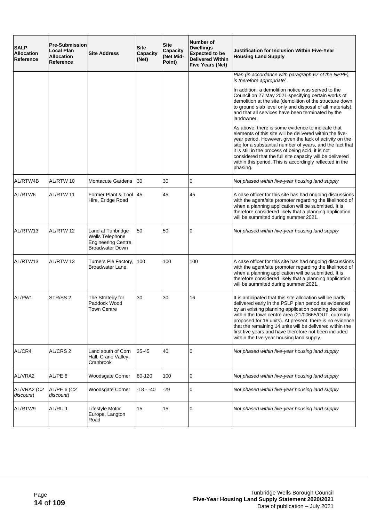| <b>SALP</b><br><b>Allocation</b><br><b>Reference</b> | <b>Pre-Submission</b><br><b>Local Plan</b><br><b>Allocation</b><br>Reference | <b>Site Address</b>                                                                   | <b>Site</b><br><b>Capacity</b><br>(Net) | <b>Site</b><br>Capacity<br>(Net Mid-<br>Point) | Number of<br><b>Dwellings</b><br><b>Expected to be</b><br><b>Delivered Within</b><br><b>Five Years (Net)</b> | Justification for Inclusion Within Five-Year<br><b>Housing Land Supply</b>                                                                                                                                                                                                                                                                                                                                                                                       |
|------------------------------------------------------|------------------------------------------------------------------------------|---------------------------------------------------------------------------------------|-----------------------------------------|------------------------------------------------|--------------------------------------------------------------------------------------------------------------|------------------------------------------------------------------------------------------------------------------------------------------------------------------------------------------------------------------------------------------------------------------------------------------------------------------------------------------------------------------------------------------------------------------------------------------------------------------|
|                                                      |                                                                              |                                                                                       |                                         |                                                |                                                                                                              | Plan (in accordance with paragraph 67 of the NPPF),<br>is therefore appropriate".                                                                                                                                                                                                                                                                                                                                                                                |
|                                                      |                                                                              |                                                                                       |                                         |                                                |                                                                                                              | In addition, a demolition notice was served to the<br>Council on 27 May 2021 specifying certain works of<br>demolition at the site (demolition of the structure down<br>to ground slab level only and disposal of all materials),<br>and that all services have been terminated by the<br>landowner.                                                                                                                                                             |
|                                                      |                                                                              |                                                                                       |                                         |                                                |                                                                                                              | As above, there is some evidence to indicate that<br>elements of this site will be delivered within the five-<br>year period. However, given the lack of activity on the<br>site for a substantial number of years, and the fact that<br>it is still in the process of being sold, it is not<br>considered that the full site capacity will be delivered<br>within this period. This is accordingly reflected in the<br>phasing.                                 |
| AL/RTW4B                                             | AL/RTW 10                                                                    | <b>Montacute Gardens</b>                                                              | 30                                      | 30                                             | 0                                                                                                            | Not phased within five-year housing land supply                                                                                                                                                                                                                                                                                                                                                                                                                  |
| AL/RTW6                                              | AL/RTW 11                                                                    | Former Plant & Tool<br>Hire, Eridge Road                                              | 45                                      | 45                                             | 45                                                                                                           | A case officer for this site has had ongoing discussions<br>with the agent/site promoter regarding the likelihood of<br>when a planning application will be submitted. It is<br>therefore considered likely that a planning application<br>will be summited during summer 2021.                                                                                                                                                                                  |
| AL/RTW13                                             | AL/RTW 12                                                                    | Land at Tunbridge<br>Wells Telephone<br>Engineering Centre,<br><b>Broadwater Down</b> | 50                                      | 50                                             | 0                                                                                                            | Not phased within five-year housing land supply                                                                                                                                                                                                                                                                                                                                                                                                                  |
| AL/RTW13                                             | AL/RTW 13                                                                    | Turners Pie Factory,<br><b>Broadwater Lane</b>                                        | 100                                     | 100                                            | 100                                                                                                          | A case officer for this site has had ongoing discussions<br>with the agent/site promoter regarding the likelihood of<br>when a planning application will be submitted. It is<br>therefore considered likely that a planning application<br>will be summited during summer 2021.                                                                                                                                                                                  |
| AL/PW1                                               | STR/SS <sub>2</sub>                                                          | The Strategy for<br>Paddock Wood<br><b>Town Centre</b>                                | 30                                      | 30                                             | 16                                                                                                           | It is anticipated that this site allocation will be partly<br>delivered early in the PSLP plan period as evidenced<br>by an existing planning application pending decision<br>within the town centre area (21/00665/OUT, currently<br>proposed for 16 units). At present, there is no evidence<br>that the remaining 14 units will be delivered within the<br>first five years and have therefore not been included<br>within the five-year housing land supply. |
| AL/CR4                                               | AL/CRS 2                                                                     | Land south of Corn<br>Hall, Crane Valley,<br>Cranbrook                                | 35-45                                   | 40                                             | 0                                                                                                            | Not phased within five-year housing land supply                                                                                                                                                                                                                                                                                                                                                                                                                  |
| AL/VRA2                                              | AL/PE 6                                                                      | Woodsgate Corner                                                                      | 80-120                                  | 100                                            | 0                                                                                                            | Not phased within five-year housing land supply                                                                                                                                                                                                                                                                                                                                                                                                                  |
| AL/VRA2 (C2<br>discount)                             | AL/PE 6 (C2<br>discount)                                                     | Woodsgate Corner                                                                      | -18 - -40                               | -29                                            | 0                                                                                                            | Not phased within five-year housing land supply                                                                                                                                                                                                                                                                                                                                                                                                                  |
| AL/RTW9                                              | AL/RU 1                                                                      | Lifestyle Motor<br>Europe, Langton<br>Road                                            | 15                                      | 15                                             | $\overline{0}$                                                                                               | Not phased within five-year housing land supply                                                                                                                                                                                                                                                                                                                                                                                                                  |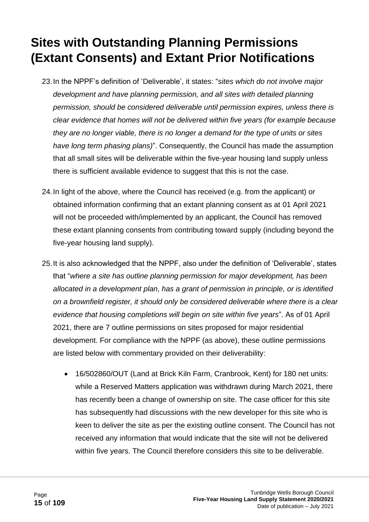#### <span id="page-14-0"></span>**Sites with Outstanding Planning Permissions (Extant Consents) and Extant Prior Notifications**

- 23.In the NPPF's definition of 'Deliverable', it states: "*sites which do not involve major development and have planning permission, and all sites with detailed planning permission, should be considered deliverable until permission expires, unless there is clear evidence that homes will not be delivered within five years (for example because they are no longer viable, there is no longer a demand for the type of units or sites have long term phasing plans)*". Consequently, the Council has made the assumption that all small sites will be deliverable within the five-year housing land supply unless there is sufficient available evidence to suggest that this is not the case.
- 24.In light of the above, where the Council has received (e.g. from the applicant) or obtained information confirming that an extant planning consent as at 01 April 2021 will not be proceeded with/implemented by an applicant, the Council has removed these extant planning consents from contributing toward supply (including beyond the five-year housing land supply).
- 25.It is also acknowledged that the NPPF, also under the definition of 'Deliverable', states that "*where a site has outline planning permission for major development, has been allocated in a development plan, has a grant of permission in principle, or is identified on a brownfield register, it should only be considered deliverable where there is a clear evidence that housing completions will begin on site within five years*". As of 01 April 2021, there are 7 outline permissions on sites proposed for major residential development. For compliance with the NPPF (as above), these outline permissions are listed below with commentary provided on their deliverability:
	- 16/502860/OUT (Land at Brick Kiln Farm, Cranbrook, Kent) for 180 net units: while a Reserved Matters application was withdrawn during March 2021, there has recently been a change of ownership on site. The case officer for this site has subsequently had discussions with the new developer for this site who is keen to deliver the site as per the existing outline consent. The Council has not received any information that would indicate that the site will not be delivered within five years. The Council therefore considers this site to be deliverable.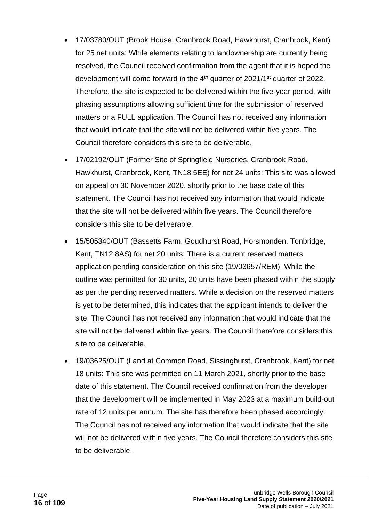- 17/03780/OUT (Brook House, Cranbrook Road, Hawkhurst, Cranbrook, Kent) for 25 net units: While elements relating to landownership are currently being resolved, the Council received confirmation from the agent that it is hoped the development will come forward in the 4<sup>th</sup> quarter of 2021/1<sup>st</sup> quarter of 2022. Therefore, the site is expected to be delivered within the five-year period, with phasing assumptions allowing sufficient time for the submission of reserved matters or a FULL application. The Council has not received any information that would indicate that the site will not be delivered within five years. The Council therefore considers this site to be deliverable.
- 17/02192/OUT (Former Site of Springfield Nurseries, Cranbrook Road, Hawkhurst, Cranbrook, Kent, TN18 5EE) for net 24 units: This site was allowed on appeal on 30 November 2020, shortly prior to the base date of this statement. The Council has not received any information that would indicate that the site will not be delivered within five years. The Council therefore considers this site to be deliverable.
- 15/505340/OUT (Bassetts Farm, Goudhurst Road, Horsmonden, Tonbridge, Kent, TN12 8AS) for net 20 units: There is a current reserved matters application pending consideration on this site (19/03657/REM). While the outline was permitted for 30 units, 20 units have been phased within the supply as per the pending reserved matters. While a decision on the reserved matters is yet to be determined, this indicates that the applicant intends to deliver the site. The Council has not received any information that would indicate that the site will not be delivered within five years. The Council therefore considers this site to be deliverable.
- 19/03625/OUT (Land at Common Road, Sissinghurst, Cranbrook, Kent) for net 18 units: This site was permitted on 11 March 2021, shortly prior to the base date of this statement. The Council received confirmation from the developer that the development will be implemented in May 2023 at a maximum build-out rate of 12 units per annum. The site has therefore been phased accordingly. The Council has not received any information that would indicate that the site will not be delivered within five years. The Council therefore considers this site to be deliverable.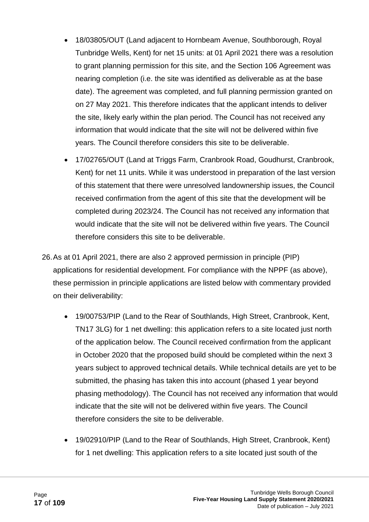- 18/03805/OUT (Land adjacent to Hornbeam Avenue, Southborough, Royal Tunbridge Wells, Kent) for net 15 units: at 01 April 2021 there was a resolution to grant planning permission for this site, and the Section 106 Agreement was nearing completion (i.e. the site was identified as deliverable as at the base date). The agreement was completed, and full planning permission granted on on 27 May 2021. This therefore indicates that the applicant intends to deliver the site, likely early within the plan period. The Council has not received any information that would indicate that the site will not be delivered within five years. The Council therefore considers this site to be deliverable.
- 17/02765/OUT (Land at Triggs Farm, Cranbrook Road, Goudhurst, Cranbrook, Kent) for net 11 units. While it was understood in preparation of the last version of this statement that there were unresolved landownership issues, the Council received confirmation from the agent of this site that the development will be completed during 2023/24. The Council has not received any information that would indicate that the site will not be delivered within five years. The Council therefore considers this site to be deliverable.
- 26.As at 01 April 2021, there are also 2 approved permission in principle (PIP) applications for residential development. For compliance with the NPPF (as above), these permission in principle applications are listed below with commentary provided on their deliverability:
	- 19/00753/PIP (Land to the Rear of Southlands, High Street, Cranbrook, Kent, TN17 3LG) for 1 net dwelling: this application refers to a site located just north of the application below. The Council received confirmation from the applicant in October 2020 that the proposed build should be completed within the next 3 years subject to approved technical details. While technical details are yet to be submitted, the phasing has taken this into account (phased 1 year beyond phasing methodology). The Council has not received any information that would indicate that the site will not be delivered within five years. The Council therefore considers the site to be deliverable.
	- 19/02910/PIP (Land to the Rear of Southlands, High Street, Cranbrook, Kent) for 1 net dwelling: This application refers to a site located just south of the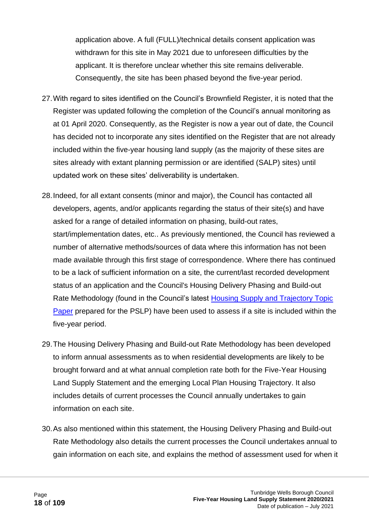application above. A full (FULL)/technical details consent application was withdrawn for this site in May 2021 due to unforeseen difficulties by the applicant. It is therefore unclear whether this site remains deliverable. Consequently, the site has been phased beyond the five-year period.

- 27.With regard to sites identified on the Council's Brownfield Register, it is noted that the Register was updated following the completion of the Council's annual monitoring as at 01 April 2020. Consequently, as the Register is now a year out of date, the Council has decided not to incorporate any sites identified on the Register that are not already included within the five-year housing land supply (as the majority of these sites are sites already with extant planning permission or are identified (SALP) sites) until updated work on these sites' deliverability is undertaken.
- 28.Indeed, for all extant consents (minor and major), the Council has contacted all developers, agents, and/or applicants regarding the status of their site(s) and have asked for a range of detailed information on phasing, build-out rates, start/implementation dates, etc.. As previously mentioned, the Council has reviewed a number of alternative methods/sources of data where this information has not been made available through this first stage of correspondence. Where there has continued to be a lack of sufficient information on a site, the current/last recorded development status of an application and the Council's Housing Delivery Phasing and Build-out Rate Methodology (found in the Council's latest [Housing Supply and Trajectory Topic](https://tunbridgewells.gov.uk/__data/assets/pdf_file/0005/388094/Housing-Supply-and-Trajectory-Topic-Paper_minus-annex.pdf)  [Paper](https://tunbridgewells.gov.uk/__data/assets/pdf_file/0005/388094/Housing-Supply-and-Trajectory-Topic-Paper_minus-annex.pdf) prepared for the PSLP) have been used to assess if a site is included within the five-year period.
- 29.The Housing Delivery Phasing and Build-out Rate Methodology has been developed to inform annual assessments as to when residential developments are likely to be brought forward and at what annual completion rate both for the Five-Year Housing Land Supply Statement and the emerging Local Plan Housing Trajectory. It also includes details of current processes the Council annually undertakes to gain information on each site.
- 30.As also mentioned within this statement, the Housing Delivery Phasing and Build-out Rate Methodology also details the current processes the Council undertakes annual to gain information on each site, and explains the method of assessment used for when it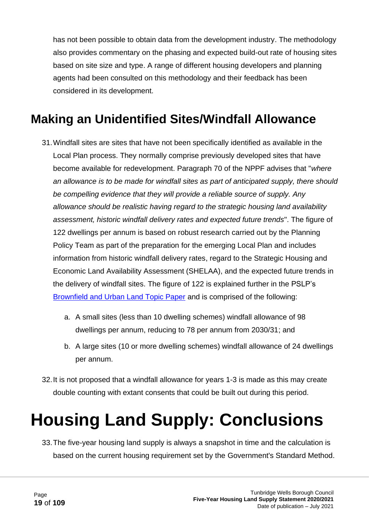has not been possible to obtain data from the development industry. The methodology also provides commentary on the phasing and expected build-out rate of housing sites based on site size and type. A range of different housing developers and planning agents had been consulted on this methodology and their feedback has been considered in its development.

#### <span id="page-18-0"></span>**Making an Unidentified Sites/Windfall Allowance**

- 31.Windfall sites are sites that have not been specifically identified as available in the Local Plan process. They normally comprise previously developed sites that have become available for redevelopment. Paragraph 70 of the NPPF advises that "*where an allowance is to be made for windfall sites as part of anticipated supply, there should be compelling evidence that they will provide a reliable source of supply. Any allowance should be realistic having regard to the strategic housing land availability assessment, historic windfall delivery rates and expected future trends*". The figure of 122 dwellings per annum is based on robust research carried out by the Planning Policy Team as part of the preparation for the emerging Local Plan and includes information from historic windfall delivery rates, regard to the Strategic Housing and Economic Land Availability Assessment (SHELAA), and the expected future trends in the delivery of windfall sites. The figure of 122 is explained further in the PSLP's [Brownfield and Urban Land Topic Paper](https://tunbridgewells.gov.uk/__data/assets/pdf_file/0020/388100/Brownfield-and-Urban-Land-Topic-Paper.pdf) and is comprised of the following:
	- a. A small sites (less than 10 dwelling schemes) windfall allowance of 98 dwellings per annum, reducing to 78 per annum from 2030/31; and
	- b. A large sites (10 or more dwelling schemes) windfall allowance of 24 dwellings per annum.
- 32.It is not proposed that a windfall allowance for years 1-3 is made as this may create double counting with extant consents that could be built out during this period.

### <span id="page-18-1"></span>**Housing Land Supply: Conclusions**

33.The five-year housing land supply is always a snapshot in time and the calculation is based on the current housing requirement set by the Government's Standard Method.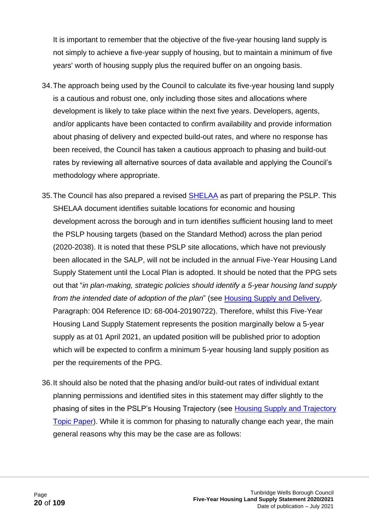It is important to remember that the objective of the five-year housing land supply is not simply to achieve a five-year supply of housing, but to maintain a minimum of five years' worth of housing supply plus the required buffer on an ongoing basis.

- 34.The approach being used by the Council to calculate its five-year housing land supply is a cautious and robust one, only including those sites and allocations where development is likely to take place within the next five years. Developers, agents, and/or applicants have been contacted to confirm availability and provide information about phasing of delivery and expected build-out rates, and where no response has been received, the Council has taken a cautious approach to phasing and build-out rates by reviewing all alternative sources of data available and applying the Council's methodology where appropriate.
- 35. The Council has also prepared a revised [SHELAA](https://tunbridgewells.gov.uk/planning/planning-policy/local-plan/evidence/housing/shelaa) as part of preparing the PSLP. This SHELAA document identifies suitable locations for economic and housing development across the borough and in turn identifies sufficient housing land to meet the PSLP housing targets (based on the Standard Method) across the plan period (2020-2038). It is noted that these PSLP site allocations, which have not previously been allocated in the SALP, will not be included in the annual Five-Year Housing Land Supply Statement until the Local Plan is adopted. It should be noted that the PPG sets out that "*in plan-making, strategic policies should identify a 5-year housing land supply from the intended date of adoption of the plan*" (see [Housing Supply and Delivery,](https://www.gov.uk/guidance/housing-supply-and-delivery) Paragraph: 004 Reference ID: 68-004-20190722). Therefore, whilst this Five-Year Housing Land Supply Statement represents the position marginally below a 5-year supply as at 01 April 2021, an updated position will be published prior to adoption which will be expected to confirm a minimum 5-year housing land supply position as per the requirements of the PPG.
- 36.It should also be noted that the phasing and/or build-out rates of individual extant planning permissions and identified sites in this statement may differ slightly to the phasing of sites in the PSLP's Housing Trajectory (see [Housing Supply and Trajectory](https://tunbridgewells.gov.uk/__data/assets/pdf_file/0005/388094/Housing-Supply-and-Trajectory-Topic-Paper_minus-annex.pdf)  [Topic Paper\)](https://tunbridgewells.gov.uk/__data/assets/pdf_file/0005/388094/Housing-Supply-and-Trajectory-Topic-Paper_minus-annex.pdf). While it is common for phasing to naturally change each year, the main general reasons why this may be the case are as follows: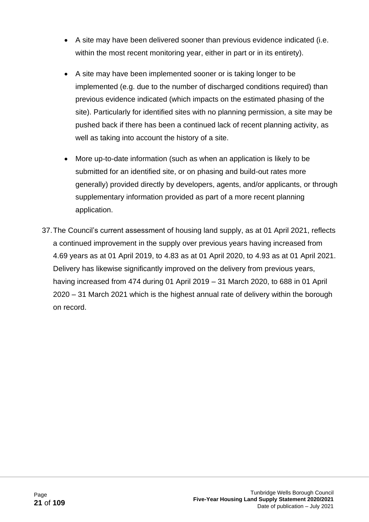- A site may have been delivered sooner than previous evidence indicated (i.e. within the most recent monitoring year, either in part or in its entirety).
- A site may have been implemented sooner or is taking longer to be implemented (e.g. due to the number of discharged conditions required) than previous evidence indicated (which impacts on the estimated phasing of the site). Particularly for identified sites with no planning permission, a site may be pushed back if there has been a continued lack of recent planning activity, as well as taking into account the history of a site.
- More up-to-date information (such as when an application is likely to be submitted for an identified site, or on phasing and build-out rates more generally) provided directly by developers, agents, and/or applicants, or through supplementary information provided as part of a more recent planning application.
- 37.The Council's current assessment of housing land supply, as at 01 April 2021, reflects a continued improvement in the supply over previous years having increased from 4.69 years as at 01 April 2019, to 4.83 as at 01 April 2020, to 4.93 as at 01 April 2021. Delivery has likewise significantly improved on the delivery from previous years, having increased from 474 during 01 April 2019 – 31 March 2020, to 688 in 01 April 2020 – 31 March 2021 which is the highest annual rate of delivery within the borough on record.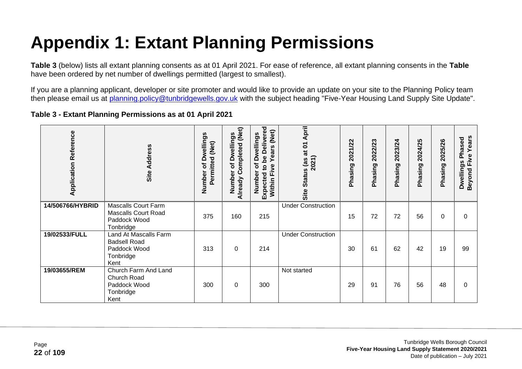## **Appendix 1: Extant Planning Permissions**

**Table 3** (below) lists all extant planning consents as at 01 April 2021. For ease of reference, all extant planning consents in the **Table** have been ordered by net number of dwellings permitted (largest to smallest).

If you are a planning applicant, developer or site promoter and would like to provide an update on your site to the Planning Policy team then please email us at [planning.policy@tunbridgewells.gov.uk](mailto:planning.policy@tunbridgewells.gov.uk) with the subject heading "Five-Year Housing Land Supply Site Update".

<span id="page-21-1"></span><span id="page-21-0"></span>

| <b>Application Reference</b> | Site Address                                                                          | <b>Dwellings</b><br>(Net)<br>Permitted<br>đ<br>Number | Already Completed (Net)<br><b>Dwellings</b><br>đ<br>Number | <b>Delivered</b><br>(Net)<br><b>Dwellings</b><br><b>Years</b><br>be<br>৳<br>Five<br>$\mathbf{S}$<br>Number<br>Expected<br>Within I | April<br>Status (as at 01<br>2021)<br>Site | 2021/22<br>Phasing | 2022/23<br>Phasing | 2023/24<br>Phasing | 2024/25<br>Phasing | 2025/26<br>Phasing | Years<br>Phased<br>Beyond Five<br><b>Dwellings</b> |
|------------------------------|---------------------------------------------------------------------------------------|-------------------------------------------------------|------------------------------------------------------------|------------------------------------------------------------------------------------------------------------------------------------|--------------------------------------------|--------------------|--------------------|--------------------|--------------------|--------------------|----------------------------------------------------|
| 14/506766/HYBRID             | <b>Mascalls Court Farm</b><br><b>Mascalls Court Road</b><br>Paddock Wood<br>Tonbridge | 375                                                   | 160                                                        | 215                                                                                                                                | <b>Under Construction</b>                  | 15                 | 72                 | 72                 | 56                 | 0                  | 0                                                  |
| 19/02533/FULL                | Land At Mascalls Farm<br><b>Badsell Road</b><br>Paddock Wood<br>Tonbridge<br>Kent     | 313                                                   | $\Omega$                                                   | 214                                                                                                                                | <b>Under Construction</b>                  | 30                 | 61                 | 62                 | 42                 | 19                 | 99                                                 |
| 19/03655/REM                 | Church Farm And Land<br>Church Road<br>Paddock Wood<br>Tonbridge<br>Kent              | 300                                                   | 0                                                          | 300                                                                                                                                | Not started                                | 29                 | 91                 | 76                 | 56                 | 48                 | 0                                                  |

**Table 3 - Extant Planning Permissions as at 01 April 2021**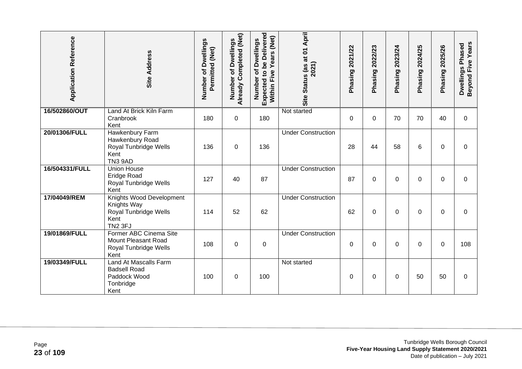| <b>Application Reference</b> | Site Address                                                                               | Number of Dwellings<br>Permitted (Net) | Already Completed (Net)<br>Dwellings<br>৳<br>Number | Expected to be Delivered<br>Years (Net)<br>of Dwellings<br>Five<br>Number<br>Within I | Status (as at 01 April<br>2021)<br>Site | Phasing 2021/22 | 2022/23<br>Phasing | 2023/24<br>Phasing | 2024/25<br>Phasing | 2025/26<br>Phasing | Beyond Five Years<br>Dwellings Phased |
|------------------------------|--------------------------------------------------------------------------------------------|----------------------------------------|-----------------------------------------------------|---------------------------------------------------------------------------------------|-----------------------------------------|-----------------|--------------------|--------------------|--------------------|--------------------|---------------------------------------|
| 16/502860/OUT                | Land At Brick Kiln Farm<br>Cranbrook<br>Kent                                               | 180                                    | $\mathbf 0$                                         | 180                                                                                   | Not started                             | $\mathbf 0$     | $\mathbf 0$        | 70                 | 70                 | 40                 | $\Omega$                              |
| 20/01306/FULL                | Hawkenbury Farm<br>Hawkenbury Road<br>Royal Tunbridge Wells<br>Kent<br>TN3 9AD             | 136                                    | $\mathbf 0$                                         | 136                                                                                   | <b>Under Construction</b>               | 28              | 44                 | 58                 | 6                  | $\Omega$           | $\Omega$                              |
| 16/504331/FULL               | <b>Union House</b><br><b>Eridge Road</b><br>Royal Tunbridge Wells<br>Kent                  | 127                                    | 40                                                  | 87                                                                                    | <b>Under Construction</b>               | 87              | $\Omega$           | $\Omega$           | 0                  | 0                  | $\Omega$                              |
| 17/04049/REM                 | Knights Wood Development<br>Knights Way<br>Royal Tunbridge Wells<br>Kent<br><b>TN2 3FJ</b> | 114                                    | 52                                                  | 62                                                                                    | <b>Under Construction</b>               | 62              | 0                  | 0                  | 0                  | 0                  | $\Omega$                              |
| 19/01869/FULL                | Former ABC Cinema Site<br>Mount Pleasant Road<br>Royal Tunbridge Wells<br>Kent             | 108                                    | $\overline{0}$                                      | $\mathbf 0$                                                                           | <b>Under Construction</b>               | $\Omega$        | $\mathbf 0$        | $\Omega$           | $\Omega$           | $\Omega$           | 108                                   |
| 19/03349/FULL                | Land At Mascalls Farm<br><b>Badsell Road</b><br>Paddock Wood<br>Tonbridge<br>Kent          | 100                                    | 0                                                   | 100                                                                                   | Not started                             | 0               | 0                  | 0                  | 50                 | 50                 | $\Omega$                              |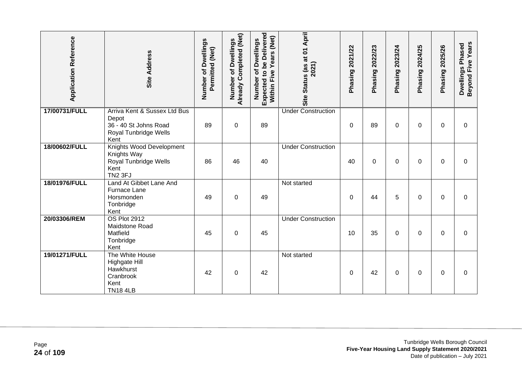| <b>Application Reference</b> | <b>Site Address</b>                                                                             | Number of Dwellings<br>Permitted (Net) | Already Completed (Net)<br>of Dwellings<br>Number | Expected to be Delivered<br>Years (Net)<br>of Dwellings<br>Five<br>Number<br>Within I | Status (as at 01 April<br>2021)<br>Site | 2021/22<br>Phasing | 2022/23<br>Phasing | 2023/24<br>Phasing | 2024/25<br>Phasing | 2025/26<br>Phasing | <b>Beyond Five Years</b><br>Dwellings Phased |
|------------------------------|-------------------------------------------------------------------------------------------------|----------------------------------------|---------------------------------------------------|---------------------------------------------------------------------------------------|-----------------------------------------|--------------------|--------------------|--------------------|--------------------|--------------------|----------------------------------------------|
| 17/00731/FULL                | Arriva Kent & Sussex Ltd Bus<br>Depot<br>36 - 40 St Johns Road<br>Royal Tunbridge Wells<br>Kent | 89                                     | $\mathbf 0$                                       | 89                                                                                    | <b>Under Construction</b>               | $\Omega$           | 89                 | 0                  | 0                  | $\Omega$           | $\Omega$                                     |
| 18/00602/FULL                | Knights Wood Development<br>Knights Way<br>Royal Tunbridge Wells<br>Kent<br><b>TN2 3FJ</b>      | 86                                     | 46                                                | 40                                                                                    | <b>Under Construction</b>               | 40                 | $\Omega$           | 0                  | 0                  | $\Omega$           | $\Omega$                                     |
| 18/01976/FULL                | Land At Gibbet Lane And<br><b>Furnace Lane</b><br>Horsmonden<br>Tonbridge<br>Kent               | 49                                     | $\mathbf 0$                                       | 49                                                                                    | Not started                             | $\Omega$           | 44                 | 5                  | $\Omega$           | $\Omega$           | $\Omega$                                     |
| 20/03306/REM                 | <b>OS Plot 2912</b><br>Maidstone Road<br>Matfield<br>Tonbridge<br>Kent                          | 45                                     | $\mathbf 0$                                       | 45                                                                                    | <b>Under Construction</b>               | 10                 | 35                 | 0                  | 0                  | $\Omega$           | $\Omega$                                     |
| 19/01271/FULL                | The White House<br><b>Highgate Hill</b><br>Hawkhurst<br>Cranbrook<br>Kent<br><b>TN18 4LB</b>    | 42                                     | 0                                                 | 42                                                                                    | Not started                             | $\Omega$           | 42                 | 0                  | 0                  | $\Omega$           | $\Omega$                                     |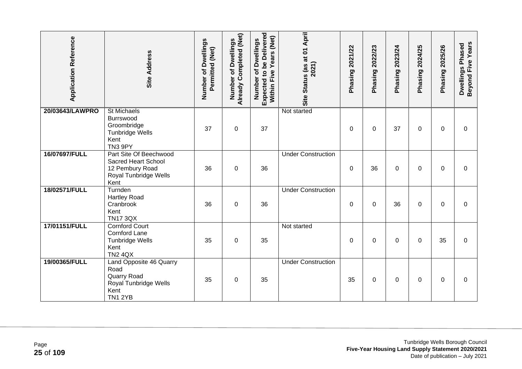| <b>Application Reference</b> | <b>Site Address</b>                                                                                      | Number of Dwellings<br>Permitted (Net) | Already Completed (Net)<br>of Dwellings<br>Number | Expected to be Delivered<br>Years (Net)<br>Number of Dwellings<br>Within Five | Site Status (as at 01 April<br>2021) | Phasing 2021/22 | 2022/23<br>Phasing <sup>2</sup> | Phasing 2023/24 | Phasing 2024/25 | 2025/26<br>Phasing | Beyond Five Years<br>Dwellings Phased |
|------------------------------|----------------------------------------------------------------------------------------------------------|----------------------------------------|---------------------------------------------------|-------------------------------------------------------------------------------|--------------------------------------|-----------------|---------------------------------|-----------------|-----------------|--------------------|---------------------------------------|
| 20/03643/LAWPRO              | <b>St Michaels</b><br>Burrswood<br>Groombridge<br><b>Tunbridge Wells</b><br>Kent<br>TN3 9PY              | 37                                     | 0                                                 | 37                                                                            | Not started                          | $\Omega$        | $\Omega$                        | 37              | 0               | $\Omega$           | $\Omega$                              |
| 16/07697/FULL                | Part Site Of Beechwood<br>Sacred Heart School<br>12 Pembury Road<br>Royal Tunbridge Wells<br>Kent        | 36                                     | $\Omega$                                          | 36                                                                            | <b>Under Construction</b>            | $\Omega$        | 36                              | 0               | 0               | $\Omega$           | $\Omega$                              |
| 18/02571/FULL                | Turnden<br><b>Hartley Road</b><br>Cranbrook<br>Kent<br><b>TN17 3QX</b>                                   | 36                                     | 0                                                 | 36                                                                            | <b>Under Construction</b>            | 0               | $\Omega$                        | 36              | 0               | $\Omega$           | $\Omega$                              |
| 17/01151/FULL                | <b>Cornford Court</b><br><b>Cornford Lane</b><br><b>Tunbridge Wells</b><br>Kent<br><b>TN2 4QX</b>        | 35                                     | $\pmb{0}$                                         | 35                                                                            | Not started                          | 0               | $\mathbf 0$                     | 0               | 0               | 35                 | 0                                     |
| 19/00365/FULL                | Land Opposite 46 Quarry<br>Road<br><b>Quarry Road</b><br>Royal Tunbridge Wells<br>Kent<br><b>TN1 2YB</b> | 35                                     | $\pmb{0}$                                         | 35                                                                            | <b>Under Construction</b>            | 35              | $\pmb{0}$                       | 0               | $\Omega$        | $\Omega$           | $\Omega$                              |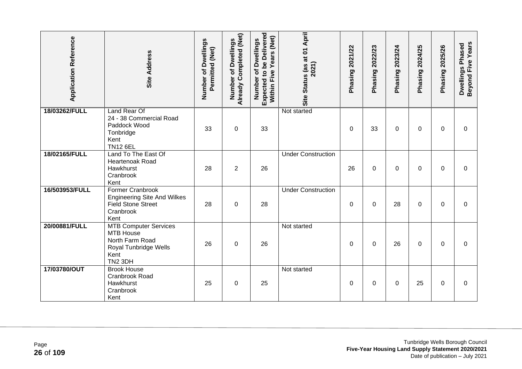| <b>Application Reference</b> | <b>Site Address</b>                                                                                                         | Number of Dwellings<br>Permitted (Net) | Already Completed (Net)<br>of Dwellings<br>Number | Expected to be Delivered<br>Years (Net)<br>Number of Dwellings<br>Within Five | Site Status (as at 01 April<br>2021) | Phasing 2021/22 | Phasing 2022/23 | Phasing 2023/24 | Phasing 2024/25 | Phasing 2025/26 | Beyond Five Years<br>Dwellings Phased |
|------------------------------|-----------------------------------------------------------------------------------------------------------------------------|----------------------------------------|---------------------------------------------------|-------------------------------------------------------------------------------|--------------------------------------|-----------------|-----------------|-----------------|-----------------|-----------------|---------------------------------------|
| 18/03262/FULL                | <b>Land Rear Of</b><br>24 - 38 Commercial Road<br>Paddock Wood<br>Tonbridge<br>Kent<br><b>TN12 6EL</b>                      | 33                                     | $\mathbf 0$                                       | 33                                                                            | Not started                          | 0               | 33              | 0               | $\Omega$        | $\Omega$        | $\Omega$                              |
| 18/02165/FULL                | Land To The East Of<br>Heartenoak Road<br>Hawkhurst<br>Cranbrook<br>Kent                                                    | 28                                     | $\overline{2}$                                    | 26                                                                            | <b>Under Construction</b>            | 26              | 0               | 0               | 0               | 0               | 0                                     |
| 16/503953/FULL               | <b>Former Cranbrook</b><br><b>Engineering Site And Wilkes</b><br><b>Field Stone Street</b><br>Cranbrook<br>Kent             | 28                                     | $\boldsymbol{0}$                                  | 28                                                                            | <b>Under Construction</b>            | $\mathbf 0$     | 0               | 28              | 0               | 0               | 0                                     |
| 20/00881/FULL                | <b>MTB Computer Services</b><br><b>MTB House</b><br>North Farm Road<br>Royal Tunbridge Wells<br>Kent<br>TN <sub>2</sub> 3DH | 26                                     | $\mathbf 0$                                       | 26                                                                            | Not started                          | $\Omega$        | $\mathbf 0$     | 26              | $\Omega$        | $\Omega$        | $\Omega$                              |
| 17/03780/OUT                 | <b>Brook House</b><br>Cranbrook Road<br>Hawkhurst<br>Cranbrook<br>Kent                                                      | 25                                     | 0                                                 | 25                                                                            | Not started                          | 0               | 0               | 0               | 25              | 0               | 0                                     |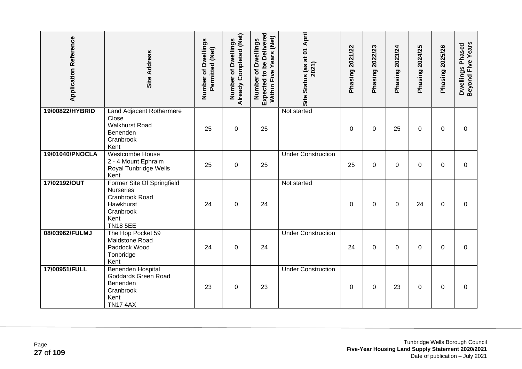| <b>Application Reference</b> | <b>Site Address</b>                                                                                                   | Number of Dwellings<br>Permitted (Net) | Already Completed (Net)<br>Number of Dwellings | <b>Expected to be Delivered</b><br>Within Five Years (Net)<br>Number of Dwellings | Site Status (as at 01 April<br>2021) | Phasing 2021/22 | Phasing 2022/23 | Phasing 2023/24 | Phasing 2024/25 | Phasing 2025/26 | <b>Beyond Five Years</b><br>Dwellings Phased |
|------------------------------|-----------------------------------------------------------------------------------------------------------------------|----------------------------------------|------------------------------------------------|-----------------------------------------------------------------------------------|--------------------------------------|-----------------|-----------------|-----------------|-----------------|-----------------|----------------------------------------------|
| 19/00822/HYBRID              | Land Adjacent Rothermere<br>Close<br><b>Walkhurst Road</b><br>Benenden<br>Cranbrook<br>Kent                           | 25                                     | $\boldsymbol{0}$                               | 25                                                                                | Not started                          | 0               | 0               | 25              | 0               | $\mathbf 0$     | 0                                            |
| 19/01040/PNOCLA              | Westcombe House<br>2 - 4 Mount Ephraim<br>Royal Tunbridge Wells<br>Kent                                               | 25                                     | $\mathbf 0$                                    | 25                                                                                | <b>Under Construction</b>            | 25              | 0               | 0               | $\Omega$        | $\Omega$        | $\mathbf 0$                                  |
| 17/02192/OUT                 | Former Site Of Springfield<br><b>Nurseries</b><br>Cranbrook Road<br>Hawkhurst<br>Cranbrook<br>Kent<br><b>TN18 5EE</b> | 24                                     | 0                                              | 24                                                                                | Not started                          | 0               | 0               | 0               | 24              | $\Omega$        | $\Omega$                                     |
| 08/03962/FULMJ               | The Hop Pocket 59<br>Maidstone Road<br>Paddock Wood<br>Tonbridge<br>Kent                                              | 24                                     | 0                                              | 24                                                                                | <b>Under Construction</b>            | 24              | $\Omega$        | 0               | 0               | $\Omega$        | 0                                            |
| 17/00951/FULL                | <b>Benenden Hospital</b><br>Goddards Green Road<br>Benenden<br>Cranbrook<br>Kent<br><b>TN17 4AX</b>                   | 23                                     | $\mathbf 0$                                    | 23                                                                                | <b>Under Construction</b>            | 0               | $\Omega$        | 23              | 0               | $\Omega$        | $\Omega$                                     |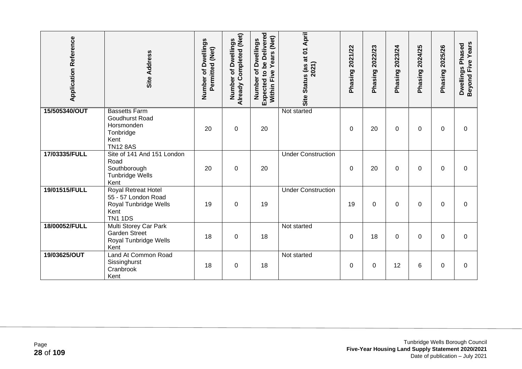| <b>Application Reference</b> | <b>Site Address</b>                                                                           | Number of Dwellings<br>Permitted (Net) | Already Completed (Net)<br>of Dwellings<br>Number | Expected to be Delivered<br>(Net)<br>Number of Dwellings<br>Years<br>Within Five | April<br>Site Status (as at 01<br>2021) | 2021/22<br>Phasing | 2022/23<br>Phasing? | 2023/24<br>Phasing | 2024/25<br>Phasing | 2025/26<br>Phasing | Beyond Five Years<br>Dwellings Phased |
|------------------------------|-----------------------------------------------------------------------------------------------|----------------------------------------|---------------------------------------------------|----------------------------------------------------------------------------------|-----------------------------------------|--------------------|---------------------|--------------------|--------------------|--------------------|---------------------------------------|
| 15/505340/OUT                | <b>Bassetts Farm</b><br>Goudhurst Road<br>Horsmonden<br>Tonbridge<br>Kent<br><b>TN12 8AS</b>  | 20                                     | $\boldsymbol{0}$                                  | 20                                                                               | Not started                             | 0                  | 20                  | 0                  | 0                  | 0                  | 0                                     |
| 17/03335/FULL                | Site of 141 And 151 London<br>Road<br>Southborough<br><b>Tunbridge Wells</b><br>Kent          | 20                                     | $\mathbf 0$                                       | 20                                                                               | <b>Under Construction</b>               | 0                  | 20                  | 0                  | 0                  | $\Omega$           | $\Omega$                              |
| 19/01515/FULL                | Royal Retreat Hotel<br>55 - 57 London Road<br>Royal Tunbridge Wells<br>Kent<br><b>TN1 1DS</b> | 19                                     | $\boldsymbol{0}$                                  | 19                                                                               | <b>Under Construction</b>               | 19                 | 0                   | 0                  | 0                  | 0                  | 0                                     |
| 18/00052/FULL                | Multi Storey Car Park<br><b>Garden Street</b><br>Royal Tunbridge Wells<br>Kent                | 18                                     | $\mathbf 0$                                       | 18                                                                               | Not started                             | 0                  | 18                  | 0                  | 0                  | 0                  | 0                                     |
| 19/03625/OUT                 | Land At Common Road<br>Sissinghurst<br>Cranbrook<br>Kent                                      | 18                                     | 0                                                 | 18                                                                               | Not started                             | $\Omega$           | 0                   | 12                 | 6                  | $\Omega$           | 0                                     |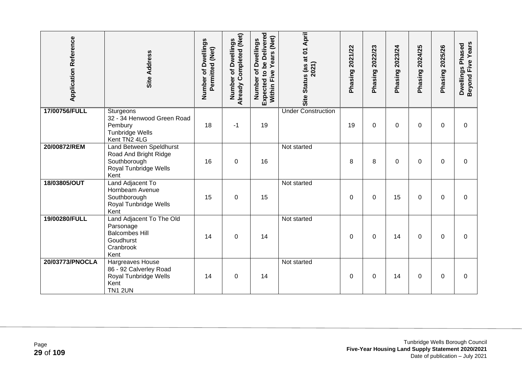| <b>Application Reference</b> | Site Address                                                                                         | Number of Dwellings<br>Permitted (Net) | <b>Already Completed (Net)</b><br>of Dwellings<br>Number | Expected to be Delivered<br>Years (Net)<br>of Dwellings<br>Five<br>Number<br>Within | Status (as at 01 April<br>2021)<br><b>Site</b> | Phasing 2021/22 | 2022/23<br>Phasing | 2023/24<br>Phasing | 2024/25<br>Phasing | 2025/26<br>Phasing | Beyond Five Years<br>Dwellings Phased |
|------------------------------|------------------------------------------------------------------------------------------------------|----------------------------------------|----------------------------------------------------------|-------------------------------------------------------------------------------------|------------------------------------------------|-----------------|--------------------|--------------------|--------------------|--------------------|---------------------------------------|
| 17/00756/FULL                | Sturgeons<br>32 - 34 Henwood Green Road<br>Pembury<br><b>Tunbridge Wells</b><br>Kent TN2 4LG         | 18                                     | $-1$                                                     | 19                                                                                  | <b>Under Construction</b>                      | 19              | 0                  | 0                  | 0                  | $\Omega$           | $\Omega$                              |
| 20/00872/REM                 | Land Between Speldhurst<br>Road And Bright Ridge<br>Southborough<br>Royal Tunbridge Wells<br>Kent    | 16                                     | $\mathbf 0$                                              | 16                                                                                  | Not started                                    | 8               | 8                  | 0                  | $\Omega$           | $\Omega$           | $\Omega$                              |
| 18/03805/OUT                 | Land Adjacent To<br>Hornbeam Avenue<br>Southborough<br>Royal Tunbridge Wells<br>Kent                 | 15                                     | $\mathbf 0$                                              | 15                                                                                  | Not started                                    | 0               | 0                  | 15                 | $\Omega$           | $\Omega$           | $\Omega$                              |
| 19/00280/FULL                | Land Adjacent To The Old<br>Parsonage<br><b>Balcombes Hill</b><br>Goudhurst<br>Cranbrook<br>Kent     | 14                                     | $\Omega$                                                 | 14                                                                                  | Not started                                    | 0               | $\Omega$           | 14                 | 0                  | $\Omega$           | $\Omega$                              |
| 20/03773/PNOCLA              | <b>Hargreaves House</b><br>86 - 92 Calverley Road<br>Royal Tunbridge Wells<br>Kent<br><b>TN1 2UN</b> | 14                                     | 0                                                        | 14                                                                                  | Not started                                    | 0               | 0                  | 14                 | 0                  | $\Omega$           | $\Omega$                              |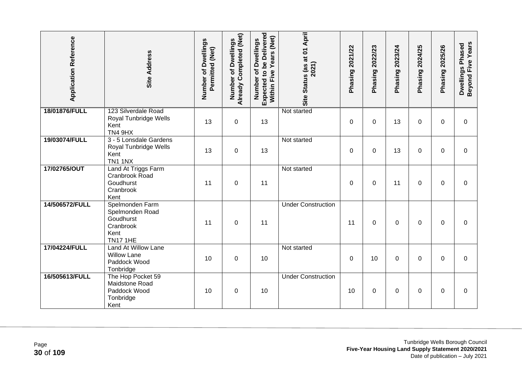| <b>Application Reference</b> | <b>Site Address</b>                                                                     | Number of Dwellings<br>Permitted (Net) | Already Completed (Net)<br>Dwellings<br>đ<br>Number | <b>Expected to be Delivered</b><br>Within Five Years (Net)<br>Number of Dwellings | Site Status (as at 01 April<br>2021) | Phasing 2021/22 | Phasing 2022/23 | Phasing 2023/24 | 2024/25<br>Phasing? | Phasing 2025/26 | <b>Beyond Five Years</b><br>Dwellings Phased |
|------------------------------|-----------------------------------------------------------------------------------------|----------------------------------------|-----------------------------------------------------|-----------------------------------------------------------------------------------|--------------------------------------|-----------------|-----------------|-----------------|---------------------|-----------------|----------------------------------------------|
| 18/01876/FULL                | 123 Silverdale Road<br>Royal Tunbridge Wells<br>Kent<br><b>TN4 9HX</b>                  | 13                                     | $\pmb{0}$                                           | 13                                                                                | Not started                          | 0               | 0               | 13              | 0                   | $\mathbf 0$     | $\mathbf 0$                                  |
| 19/03074/FULL                | 3 - 5 Lonsdale Gardens<br>Royal Tunbridge Wells<br>Kent<br><b>TN1 1NX</b>               | 13                                     | $\mathbf 0$                                         | 13                                                                                | Not started                          | 0               | 0               | 13              | $\Omega$            | $\Omega$        | 0                                            |
| 17/02765/OUT                 | Land At Triggs Farm<br>Cranbrook Road<br>Goudhurst<br>Cranbrook<br>Kent                 | 11                                     | $\mathbf 0$                                         | 11                                                                                | Not started                          | $\mathbf 0$     | 0               | 11              | $\Omega$            | $\Omega$        | $\mathbf 0$                                  |
| 14/506572/FULL               | Spelmonden Farm<br>Spelmonden Road<br>Goudhurst<br>Cranbrook<br>Kent<br><b>TN17 1HE</b> | 11                                     | $\boldsymbol{0}$                                    | 11                                                                                | <b>Under Construction</b>            | 11              | 0               | 0               | 0                   | 0               | 0                                            |
| 17/04224/FULL                | Land At Willow Lane<br><b>Willow Lane</b><br>Paddock Wood<br>Tonbridge                  | 10                                     | $\mathbf 0$                                         | 10                                                                                | Not started                          | 0               | 10              | 0               | 0                   | $\Omega$        | $\Omega$                                     |
| 16/505613/FULL               | The Hop Pocket 59<br>Maidstone Road<br>Paddock Wood<br>Tonbridge<br>Kent                | 10                                     | $\boldsymbol{0}$                                    | 10                                                                                | <b>Under Construction</b>            | 10              | 0               | 0               | 0                   | 0               | 0                                            |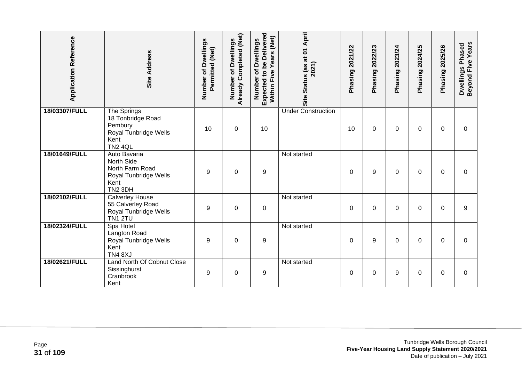| <b>Application Reference</b> | Site Address                                                                                          | Number of Dwellings<br>Permitted (Net) | Already Completed (Net)<br><b>Dwellings</b><br>Ⴆ<br>Number | Expected to be Delivered<br>(Net)<br>Number of Dwellings<br>Years<br>Five<br>Within I | Site Status (as at 01 April<br>2021) | 2021/22<br>Phasing | 2022/23<br>Phasing | 2023/24<br>Phasing | 2024/25<br>Phasing | 2025/26<br>Phasing | Beyond Five Years<br>Dwellings Phased |
|------------------------------|-------------------------------------------------------------------------------------------------------|----------------------------------------|------------------------------------------------------------|---------------------------------------------------------------------------------------|--------------------------------------|--------------------|--------------------|--------------------|--------------------|--------------------|---------------------------------------|
| 18/03307/FULL                | The Springs<br>18 Tonbridge Road<br>Pembury<br>Royal Tunbridge Wells<br>Kent<br><b>TN2 4QL</b>        | 10                                     | $\mathbf 0$                                                | 10                                                                                    | <b>Under Construction</b>            | 10                 | $\Omega$           | 0                  | $\Omega$           | $\Omega$           | $\Omega$                              |
| 18/01649/FULL                | Auto Bavaria<br>North Side<br>North Farm Road<br>Royal Tunbridge Wells<br>Kent<br>TN <sub>2</sub> 3DH | 9                                      | 0                                                          | 9                                                                                     | Not started                          | 0                  | 9                  | 0                  | 0                  | $\Omega$           | $\Omega$                              |
| 18/02102/FULL                | <b>Calverley House</b><br>55 Calverley Road<br>Royal Tunbridge Wells<br><b>TN1 2TU</b>                | 9                                      | $\mathbf 0$                                                | $\pmb{0}$                                                                             | Not started                          | $\Omega$           | $\Omega$           | 0                  | 0                  | 0                  | 9                                     |
| 18/02324/FULL                | Spa Hotel<br>Langton Road<br>Royal Tunbridge Wells<br>Kent<br><b>TN4 8XJ</b>                          | 9                                      | 0                                                          | 9                                                                                     | Not started                          | 0                  | 9                  | 0                  | 0                  | $\Omega$           | $\Omega$                              |
| 18/02621/FULL                | Land North Of Cobnut Close<br>Sissinghurst<br>Cranbrook<br>Kent                                       | 9                                      | 0                                                          | 9                                                                                     | Not started                          | $\Omega$           | $\Omega$           | 9                  | 0                  | $\Omega$           | $\Omega$                              |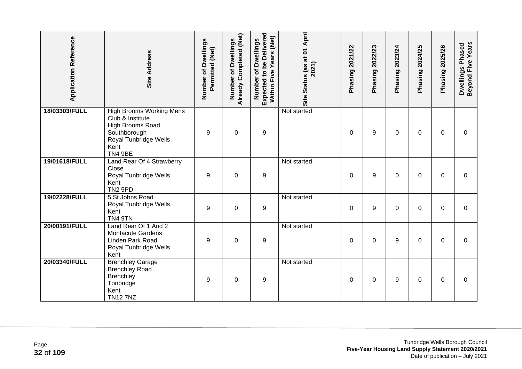| <b>Application Reference</b> | Site Address                                                                                                                               | <b>Number of Dwellings</b><br>Permitted (Net) | Already Completed (Net)<br>Number of Dwellings | Expected to be Delivered<br>Years (Net)<br>Number of Dwellings<br>Within Five | Site Status (as at 01 April<br>2021) | Phasing 2021/22 | Phasing 2022/23 | Phasing 2023/24 | Phasing 2024/25 | Phasing 2025/26 | Beyond Five Years<br>Dwellings Phased |
|------------------------------|--------------------------------------------------------------------------------------------------------------------------------------------|-----------------------------------------------|------------------------------------------------|-------------------------------------------------------------------------------|--------------------------------------|-----------------|-----------------|-----------------|-----------------|-----------------|---------------------------------------|
| 18/03303/FULL                | <b>High Brooms Working Mens</b><br>Club & Institute<br>High Brooms Road<br>Southborough<br>Royal Tunbridge Wells<br>Kent<br><b>TN4 9BE</b> | 9                                             | $\mathbf 0$                                    | 9                                                                             | Not started                          | 0               | 9               | 0               | 0               | $\Omega$        | $\Omega$                              |
| 19/01618/FULL                | Land Rear Of 4 Strawberry<br>Close<br>Royal Tunbridge Wells<br>Kent<br><b>TN2 5PD</b>                                                      | 9                                             | $\mathbf 0$                                    | 9                                                                             | Not started                          | 0               | 9               | 0               | $\Omega$        | 0               | 0                                     |
| 19/02228/FULL                | 5 St Johns Road<br>Royal Tunbridge Wells<br>Kent<br><b>TN4 9TN</b>                                                                         | 9                                             | $\mathbf 0$                                    | $\boldsymbol{9}$                                                              | Not started                          | 0               | 9               | 0               | 0               | $\Omega$        | $\Omega$                              |
| 20/00191/FULL                | Land Rear Of 1 And 2<br><b>Montacute Gardens</b><br>Linden Park Road<br>Royal Tunbridge Wells<br>Kent                                      | 9                                             | $\mathbf 0$                                    | 9                                                                             | Not started                          | 0               | $\mathbf 0$     | 9               | 0               | $\Omega$        | 0                                     |
| 20/03340/FULL                | <b>Brenchley Garage</b><br><b>Brenchley Road</b><br>Brenchley<br>Tonbridge<br>Kent<br><b>TN127NZ</b>                                       | 9                                             | $\boldsymbol{0}$                               | 9                                                                             | Not started                          | 0               | 0               | 9               | 0               | $\Omega$        | $\Omega$                              |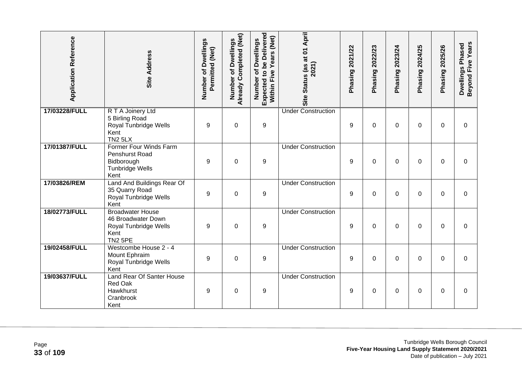| <b>Application Reference</b> | Site Address                                                                                     | Number of Dwellings<br>Permitted (Net) | Already Completed (Net)<br>Dwellings<br>Number of | Expected to be Delivered<br>Five Years (Net)<br>Number of Dwellings<br>Within I | Site Status (as at 01 April<br>2021) | Phasing 2021/22 | Phasing 2022/23 | Phasing 2023/24 | 2024/25<br>Phasing | Phasing 2025/26 | <b>Beyond Five Years</b><br>Dwellings Phased |
|------------------------------|--------------------------------------------------------------------------------------------------|----------------------------------------|---------------------------------------------------|---------------------------------------------------------------------------------|--------------------------------------|-----------------|-----------------|-----------------|--------------------|-----------------|----------------------------------------------|
| 17/03228/FULL                | R T A Joinery Ltd<br>5 Birling Road<br>Royal Tunbridge Wells<br>Kent<br><b>TN2 5LX</b>           | 9                                      | $\mathbf 0$                                       | $\boldsymbol{9}$                                                                | <b>Under Construction</b>            | 9               | 0               | 0               | $\Omega$           | $\Omega$        | $\overline{0}$                               |
| 17/01387/FULL                | Former Four Winds Farm<br>Penshurst Road<br>Bidborough<br>Tunbridge Wells<br>Kent                | 9                                      | $\overline{0}$                                    | 9                                                                               | <b>Under Construction</b>            | 9               | 0               | $\Omega$        | $\Omega$           | $\Omega$        | $\Omega$                                     |
| 17/03826/REM                 | Land And Buildings Rear Of<br>35 Quarry Road<br>Royal Tunbridge Wells<br>Kent                    | 9                                      | $\mathbf 0$                                       | $\boldsymbol{9}$                                                                | <b>Under Construction</b>            | 9               | 0               | 0               | 0                  | 0               | 0                                            |
| 18/02773/FULL                | <b>Broadwater House</b><br>46 Broadwater Down<br>Royal Tunbridge Wells<br>Kent<br><b>TN2 5PE</b> | 9                                      | $\mathbf 0$                                       | 9                                                                               | <b>Under Construction</b>            | 9               | $\Omega$        | 0               | 0                  | $\Omega$        | $\Omega$                                     |
| 19/02458/FULL                | Westcombe House 2 - 4<br>Mount Ephraim<br>Royal Tunbridge Wells<br>Kent                          | 9                                      | $\mathbf 0$                                       | 9                                                                               | <b>Under Construction</b>            | 9               | $\Omega$        | $\Omega$        | $\Omega$           | $\Omega$        | $\overline{0}$                               |
| 19/03637/FULL                | Land Rear Of Santer House<br><b>Red Oak</b><br>Hawkhurst<br>Cranbrook<br>Kent                    | 9                                      | $\mathbf 0$                                       | 9                                                                               | <b>Under Construction</b>            | 9               | 0               | 0               | $\Omega$           | $\Omega$        | $\Omega$                                     |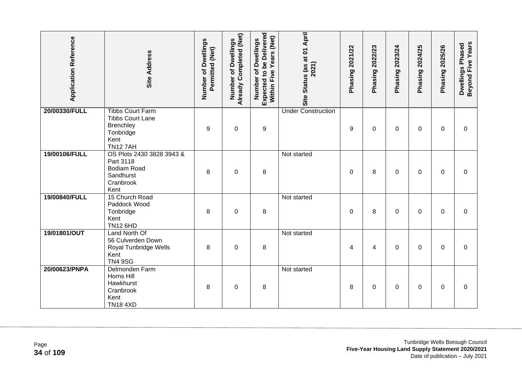| <b>Application Reference</b> | Site Address                                                                                           | Number of Dwellings<br>Permitted (Net) | Already Completed (Net)<br>Number of Dwellings | Expected to be Delivered<br>Within Five Years (Net)<br>Number of Dwellings | Site Status (as at 01 April<br>2021) | Phasing 2021/22 | Phasing 2022/23 | Phasing 2023/24 | 2024/25<br>Phasing | Phasing 2025/26 | Beyond Five Years<br>Dwellings Phased |
|------------------------------|--------------------------------------------------------------------------------------------------------|----------------------------------------|------------------------------------------------|----------------------------------------------------------------------------|--------------------------------------|-----------------|-----------------|-----------------|--------------------|-----------------|---------------------------------------|
| 20/00330/FULL                | <b>Tibbs Court Farm</b><br><b>Tibbs Court Lane</b><br>Brenchley<br>Tonbridge<br>Kent<br><b>TN127AH</b> | 9                                      | $\mathbf 0$                                    | 9                                                                          | <b>Under Construction</b>            | 9               | 0               | 0               | $\Omega$           | $\Omega$        | 0                                     |
| 19/00106/FULL                | OS Plots 2430 3828 3943 &<br>Part 3118<br><b>Bodiam Road</b><br>Sandhurst<br>Cranbrook<br>Kent         | 8                                      | $\boldsymbol{0}$                               | 8                                                                          | Not started                          | 0               | 8               | 0               | 0                  | 0               | 0                                     |
| 19/00840/FULL                | 15 Church Road<br>Paddock Wood<br>Tonbridge<br>Kent<br><b>TN12 6HD</b>                                 | 8                                      | 0                                              | 8                                                                          | Not started                          | 0               | 8               | 0               | 0                  | $\Omega$        | 0                                     |
| 19/01801/OUT                 | Land North Of<br>56 Culverden Down<br>Royal Tunbridge Wells<br>Kent<br><b>TN4 9SG</b>                  | 8                                      | $\mathbf 0$                                    | 8                                                                          | Not started                          | 4               | 4               | 0               | $\Omega$           | $\mathbf{0}$    | $\Omega$                              |
| 20/00623/PNPA                | Delmonden Farm<br>Horns Hill<br>Hawkhurst<br>Cranbrook<br>Kent<br><b>TN18 4XD</b>                      | 8                                      | $\mathbf 0$                                    | 8                                                                          | Not started                          | 8               | 0               | 0               | 0                  | $\Omega$        | $\Omega$                              |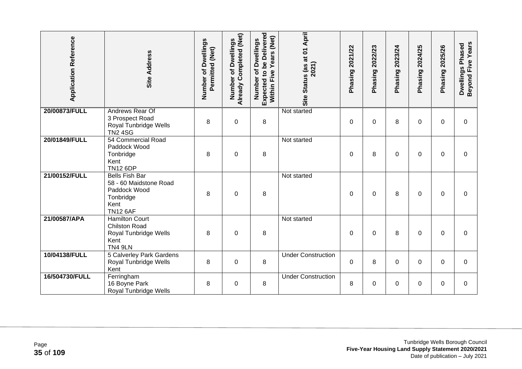| <b>Application Reference</b> | <b>Site Address</b>                                                                                     | Number of Dwellings<br>Permitted (Net) | Already Completed (Net)<br>Dwellings<br>đ<br>Number | <b>Expected to be Delivered</b><br>Years (Net)<br>of Dwellings<br>Five<br>Number<br>Within | Site Status (as at 01 April<br>2021) | Phasing 2021/22 | 2022/23<br>Phasing | 2023/24<br>Phasing | 2024/25<br>Phasing | 2025/26<br>Phasing | Beyond Five Years<br>Dwellings Phased |
|------------------------------|---------------------------------------------------------------------------------------------------------|----------------------------------------|-----------------------------------------------------|--------------------------------------------------------------------------------------------|--------------------------------------|-----------------|--------------------|--------------------|--------------------|--------------------|---------------------------------------|
| 20/00873/FULL                | Andrews Rear Of<br>3 Prospect Road<br>Royal Tunbridge Wells<br><b>TN2 4SG</b>                           | 8                                      | $\boldsymbol{0}$                                    | 8                                                                                          | Not started                          | $\mathbf 0$     | 0                  | 8                  | $\Omega$           | 0                  | $\mathbf 0$                           |
| 20/01849/FULL                | 54 Commercial Road<br>Paddock Wood<br>Tonbridge<br>Kent<br><b>TN12 6DP</b>                              | 8                                      | $\mathbf 0$                                         | 8                                                                                          | Not started                          | $\Omega$        | 8                  | 0                  | $\Omega$           | $\Omega$           | $\Omega$                              |
| 21/00152/FULL                | <b>Bells Fish Bar</b><br>58 - 60 Maidstone Road<br>Paddock Wood<br>Tonbridge<br>Kent<br><b>TN12 6AF</b> | 8                                      | $\mathbf 0$                                         | 8                                                                                          | Not started                          | 0               | $\Omega$           | 8                  | 0                  | $\mathbf{0}$       | 0                                     |
| 21/00587/APA                 | <b>Hamilton Court</b><br><b>Chilston Road</b><br>Royal Tunbridge Wells<br>Kent<br><b>TN4 9LN</b>        | 8                                      | $\mathbf 0$                                         | 8                                                                                          | Not started                          | $\mathbf{0}$    | 0                  | 8                  | $\Omega$           | $\Omega$           | $\Omega$                              |
| 10/04138/FULL                | 5 Calverley Park Gardens<br>Royal Tunbridge Wells<br>Kent                                               | 8                                      | $\boldsymbol{0}$                                    | 8                                                                                          | <b>Under Construction</b>            | 0               | 8                  | 0                  | 0                  | $\Omega$           | 0                                     |
| 16/504730/FULL               | Ferringham<br>16 Boyne Park<br>Royal Tunbridge Wells                                                    | 8                                      | $\pmb{0}$                                           | 8                                                                                          | <b>Under Construction</b>            | 8               | 0                  | 0                  | 0                  | 0                  | 0                                     |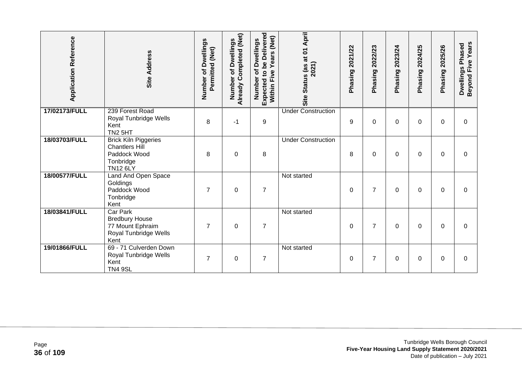| <b>Application Reference</b> | <b>Site Address</b>                                                                                  | Number of Dwellings<br>Permitted (Net) | Already Completed (Net)<br>Dwellings<br>৳<br>Number | <b>Expected to be Delivered</b><br>Years (Net)<br>of Dwellings<br>Within Five<br>Number | April<br>Site Status (as at 01<br>2021) | Phasing 2021/22 | 2022/23<br>Phasing | 2023/24<br>Phasing | 2024/25<br>Phasing | 2025/26<br>Phasing | Beyond Five Years<br>Dwellings Phased |
|------------------------------|------------------------------------------------------------------------------------------------------|----------------------------------------|-----------------------------------------------------|-----------------------------------------------------------------------------------------|-----------------------------------------|-----------------|--------------------|--------------------|--------------------|--------------------|---------------------------------------|
| 17/02173/FULL                | 239 Forest Road<br>Royal Tunbridge Wells<br>Kent<br>TN <sub>2</sub> 5HT                              | 8                                      | $-1$                                                | $\boldsymbol{9}$                                                                        | <b>Under Construction</b>               | 9               | $\Omega$           | 0                  | 0                  | 0                  | 0                                     |
| 18/03703/FULL                | <b>Brick Kiln Piggeries</b><br><b>Chantlers Hill</b><br>Paddock Wood<br>Tonbridge<br><b>TN12 6LY</b> | 8                                      | $\overline{0}$                                      | 8                                                                                       | <b>Under Construction</b>               | 8               | $\Omega$           | 0                  | 0                  | $\Omega$           | $\Omega$                              |
| 18/00577/FULL                | Land And Open Space<br>Goldings<br>Paddock Wood<br>Tonbridge<br>Kent                                 | $\overline{7}$                         | $\overline{0}$                                      | $\overline{7}$                                                                          | Not started                             | $\mathbf{0}$    | $\overline{7}$     | 0                  | $\Omega$           | $\Omega$           | $\Omega$                              |
| 18/03841/FULL                | <b>Car Park</b><br><b>Bredbury House</b><br>77 Mount Ephraim<br>Royal Tunbridge Wells<br>Kent        | $\overline{7}$                         | $\Omega$                                            | $\overline{7}$                                                                          | Not started                             | $\mathbf{0}$    | $\overline{7}$     | 0                  | $\Omega$           | $\Omega$           | $\Omega$                              |
| 19/01866/FULL                | 69 - 71 Culverden Down<br>Royal Tunbridge Wells<br>Kent<br><b>TN4 9SL</b>                            | $\overline{7}$                         | $\mathbf 0$                                         | $\overline{7}$                                                                          | Not started                             | 0               | $\overline{7}$     | 0                  | 0                  | 0                  | 0                                     |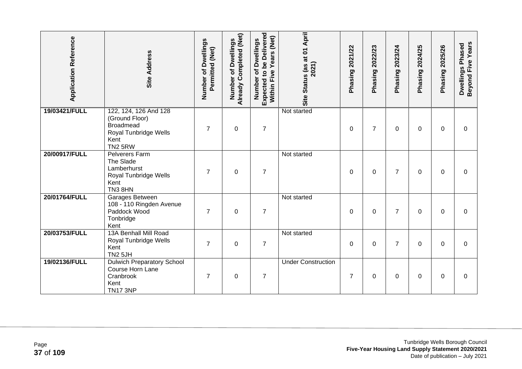| <b>Application Reference</b> | <b>Site Address</b>                                                                                            | Number of Dwellings<br>Permitted (Net) | Already Completed (Net)<br>of Dwellings<br>Number | <b>Expected to be Delivered</b><br>Years (Net)<br>Number of Dwellings<br>Five<br>Within | Site Status (as at 01 April<br>2021) | Phasing 2021/22 | 2022/23<br>Phasing | 2023/24<br>Phasing | 2024/25<br>Phasing | 2025/26<br>Phasing | Beyond Five Years<br>Dwellings Phased |
|------------------------------|----------------------------------------------------------------------------------------------------------------|----------------------------------------|---------------------------------------------------|-----------------------------------------------------------------------------------------|--------------------------------------|-----------------|--------------------|--------------------|--------------------|--------------------|---------------------------------------|
| 19/03421/FULL                | 122, 124, 126 And 128<br>(Ground Floor)<br><b>Broadmead</b><br>Royal Tunbridge Wells<br>Kent<br><b>TN2 5RW</b> | $\overline{7}$                         | $\boldsymbol{0}$                                  | $\overline{7}$                                                                          | Not started                          | 0               | $\overline{7}$     | 0                  | 0                  | $\mathbf 0$        | 0                                     |
| 20/00917/FULL                | Pelverers Farm<br>The Slade<br>Lamberhurst<br>Royal Tunbridge Wells<br>Kent<br>TN38HN                          | $\overline{7}$                         | $\mathbf 0$                                       | $\overline{7}$                                                                          | Not started                          | $\Omega$        | $\Omega$           | 7                  | $\Omega$           | $\Omega$           | $\Omega$                              |
| 20/01764/FULL                | Garages Between<br>108 - 110 Ringden Avenue<br>Paddock Wood<br>Tonbridge<br>Kent                               | $\overline{7}$                         | 0                                                 | $\overline{7}$                                                                          | Not started                          | 0               | 0                  | 7                  | 0                  | $\Omega$           | $\Omega$                              |
| 20/03753/FULL                | 13A Benhall Mill Road<br>Royal Tunbridge Wells<br>Kent<br><b>TN2 5JH</b>                                       | $\overline{7}$                         | $\mathbf 0$                                       | $\overline{7}$                                                                          | Not started                          | $\mathbf 0$     | $\mathbf 0$        | 7                  | $\Omega$           | $\Omega$           | $\Omega$                              |
| 19/02136/FULL                | <b>Dulwich Preparatory School</b><br>Course Horn Lane<br>Cranbrook<br>Kent<br><b>TN17 3NP</b>                  | $\overline{7}$                         | $\boldsymbol{0}$                                  | $\overline{7}$                                                                          | <b>Under Construction</b>            | $\overline{7}$  | 0                  | 0                  | 0                  | 0                  | 0                                     |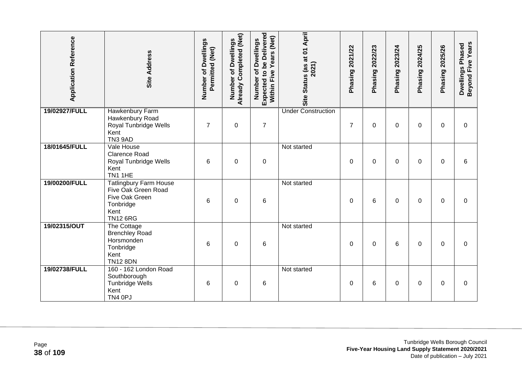| <b>Application Reference</b> | <b>Site Address</b>                                                                                     | Number of Dwellings<br>Permitted (Net) | <b>Already Completed (Net)</b><br>of Dwellings<br>Number | Expected to be Delivered<br>Years (Net)<br>Number of Dwellings<br>Within Five | Site Status (as at 01 April<br>2021) | Phasing 2021/22 | Phasing 2022/23 | Phasing 2023/24 | Phasing 2024/25 | Phasing 2025/26 | Beyond Five Years<br>Dwellings Phased |
|------------------------------|---------------------------------------------------------------------------------------------------------|----------------------------------------|----------------------------------------------------------|-------------------------------------------------------------------------------|--------------------------------------|-----------------|-----------------|-----------------|-----------------|-----------------|---------------------------------------|
| 19/02927/FULL                | Hawkenbury Farm<br>Hawkenbury Road<br>Royal Tunbridge Wells<br>Kent<br><b>TN3 9AD</b>                   | $\overline{7}$                         | $\mathbf 0$                                              | $\overline{7}$                                                                | <b>Under Construction</b>            | $\overline{7}$  | $\Omega$        | 0               | $\Omega$        | $\Omega$        | $\Omega$                              |
| 18/01645/FULL                | Vale House<br><b>Clarence Road</b><br>Royal Tunbridge Wells<br>Kent<br>TN1 1HE                          | 6                                      | $\Omega$                                                 | $\pmb{0}$                                                                     | Not started                          | $\Omega$        | $\Omega$        | 0               | 0               | $\Omega$        | 6                                     |
| 19/00200/FULL                | Tatlingbury Farm House<br>Five Oak Green Road<br>Five Oak Green<br>Tonbridge<br>Kent<br><b>TN12 6RG</b> | 6                                      | $\boldsymbol{0}$                                         | 6                                                                             | Not started                          | 0               | 6               | 0               | 0               | 0               | $\mathbf 0$                           |
| 19/02315/OUT                 | The Cottage<br><b>Brenchley Road</b><br>Horsmonden<br>Tonbridge<br>Kent<br><b>TN12 8DN</b>              | 6                                      | $\boldsymbol{0}$                                         | 6                                                                             | Not started                          | 0               | 0               | 6               | 0               | $\mathbf 0$     | $\mathbf 0$                           |
| 19/02738/FULL                | 160 - 162 London Road<br>Southborough<br><b>Tunbridge Wells</b><br>Kent<br>TN4 0PJ                      | 6                                      | $\mathbf 0$                                              | 6                                                                             | Not started                          | 0               | 6               | 0               | 0               | 0               | 0                                     |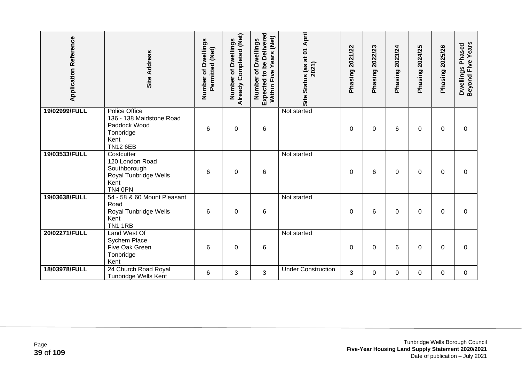| <b>Application Reference</b> | <b>Site Address</b>                                                                                      | Number of Dwellings<br>Permitted (Net) | Already Completed (Net)<br>of Dwellings<br>Number | Expected to be Delivered<br>Years (Net)<br>of Dwellings<br>Within Five<br>Number | Site Status (as at 01 April<br>2021) | 2021/22<br>Phasing | 2022/23<br>Phasing | 2023/24<br>Phasing | 2024/25<br>Phasing | 2025/26<br>Phasing | Beyond Five Years<br>Dwellings Phased |
|------------------------------|----------------------------------------------------------------------------------------------------------|----------------------------------------|---------------------------------------------------|----------------------------------------------------------------------------------|--------------------------------------|--------------------|--------------------|--------------------|--------------------|--------------------|---------------------------------------|
| 19/02999/FULL                | <b>Police Office</b><br>136 - 138 Maidstone Road<br>Paddock Wood<br>Tonbridge<br>Kent<br><b>TN12 6EB</b> | 6                                      | $\pmb{0}$                                         | 6                                                                                | Not started                          | 0                  | 0                  | 6                  | 0                  | 0                  | 0                                     |
| 19/03533/FULL                | Costcutter<br>120 London Road<br>Southborough<br>Royal Tunbridge Wells<br>Kent<br>TN4 0PN                | 6                                      | $\mathbf 0$                                       | $\,6$                                                                            | Not started                          | $\Omega$           | 6                  | 0                  | $\Omega$           | $\Omega$           | $\Omega$                              |
| 19/03638/FULL                | 54 - 58 & 60 Mount Pleasant<br>Road<br>Royal Tunbridge Wells<br>Kent<br><b>TN1 1RB</b>                   | 6                                      | $\mathbf 0$                                       | 6                                                                                | Not started                          | $\Omega$           | 6                  | 0                  | 0                  | $\Omega$           | $\Omega$                              |
| 20/02271/FULL                | Land West Of<br>Sychem Place<br>Five Oak Green<br>Tonbridge<br>Kent                                      | 6                                      | $\mathbf 0$                                       | 6                                                                                | Not started                          | 0                  | 0                  | 6                  | 0                  | $\Omega$           | $\Omega$                              |
| 18/03978/FULL                | 24 Church Road Royal<br>Tunbridge Wells Kent                                                             | 6                                      | 3                                                 | 3                                                                                | <b>Under Construction</b>            | 3                  | 0                  | 0                  | 0                  | $\Omega$           | $\mathbf 0$                           |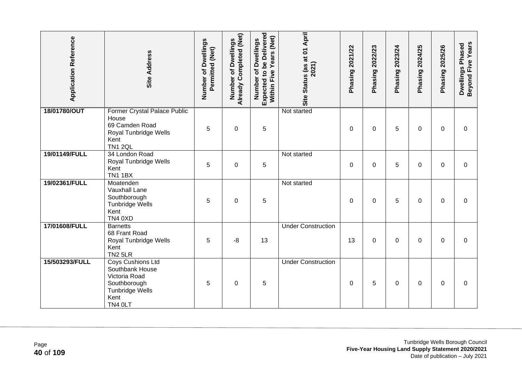| <b>Application Reference</b> | <b>Site Address</b>                                                                                                | Number of Dwellings<br>Permitted (Net) | Already Completed (Net)<br>Number of Dwellings | <b>Expected to be Delivered</b><br>Within Five Years (Net)<br>Number of Dwellings | Site Status (as at 01 April<br>2021) | Phasing 2021/22 | Phasing 2022/23 | Phasing 2023/24 | Phasing 2024/25 | Phasing 2025/26 | Beyond Five Years<br>Dwellings Phased |
|------------------------------|--------------------------------------------------------------------------------------------------------------------|----------------------------------------|------------------------------------------------|-----------------------------------------------------------------------------------|--------------------------------------|-----------------|-----------------|-----------------|-----------------|-----------------|---------------------------------------|
| 18/01780/OUT                 | Former Crystal Palace Public<br>House<br>69 Camden Road<br>Royal Tunbridge Wells<br>Kent<br><b>TN1 2QL</b>         | 5                                      | $\boldsymbol{0}$                               | 5                                                                                 | Not started                          | 0               | 0               | 5               | 0               | 0               | 0                                     |
| 19/01149/FULL                | 34 London Road<br>Royal Tunbridge Wells<br>Kent<br><b>TN1 1BX</b>                                                  | 5                                      | 0                                              | 5                                                                                 | Not started                          | 0               | 0               | 5               | 0               | 0               | 0                                     |
| 19/02361/FULL                | Moatenden<br>Vauxhall Lane<br>Southborough<br>Tunbridge Wells<br>Kent<br>TN4 0XD                                   | 5                                      | $\pmb{0}$                                      | 5                                                                                 | Not started                          | $\mathbf 0$     | 0               | 5               | 0               | 0               | 0                                     |
| 17/01608/FULL                | <b>Barnetts</b><br>68 Frant Road<br>Royal Tunbridge Wells<br>Kent<br><b>TN2 5LR</b>                                | 5                                      | -8                                             | 13                                                                                | <b>Under Construction</b>            | 13              | 0               | 0               | 0               | 0               | 0                                     |
| 15/503293/FULL               | Coys Cushions Ltd<br>Southbank House<br>Victoria Road<br>Southborough<br><b>Tunbridge Wells</b><br>Kent<br>TN4 OLT | 5                                      | $\boldsymbol{0}$                               | 5                                                                                 | <b>Under Construction</b>            | 0               | 5               | 0               | 0               | 0               | 0                                     |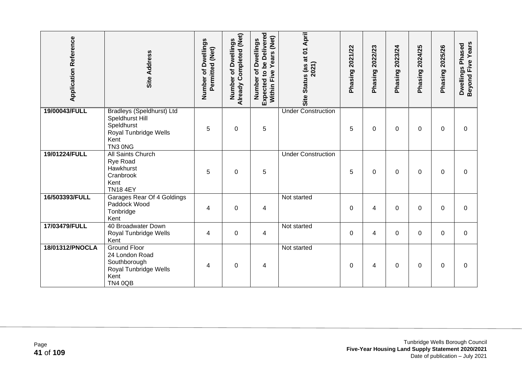| <b>Application Reference</b> | Site Address                                                                                                  | Number of Dwellings<br>Permitted (Net) | Already Completed (Net)<br><b>Dwellings</b><br>Number of | Expected to be Delivered<br>(Net)<br>Number of Dwellings<br>Years<br>Five<br>Within I | Site Status (as at 01 April<br>2021) | 2021/22<br>Phasing | 2022/23<br>Phasing | 2023/24<br>Phasing | 2024/25<br>Phasing | 2025/26<br>Phasing | Beyond Five Years<br>Dwellings Phased |
|------------------------------|---------------------------------------------------------------------------------------------------------------|----------------------------------------|----------------------------------------------------------|---------------------------------------------------------------------------------------|--------------------------------------|--------------------|--------------------|--------------------|--------------------|--------------------|---------------------------------------|
| 19/00043/FULL                | <b>Bradleys (Speldhurst) Ltd</b><br>Speldhurst Hill<br>Speldhurst<br>Royal Tunbridge Wells<br>Kent<br>TN3 ONG | 5                                      | $\pmb{0}$                                                | 5                                                                                     | <b>Under Construction</b>            | 5                  | $\Omega$           | 0                  | 0                  | $\Omega$           | $\Omega$                              |
| 19/01224/FULL                | All Saints Church<br>Rye Road<br>Hawkhurst<br>Cranbrook<br>Kent<br><b>TN18 4EY</b>                            | 5                                      | $\mathbf 0$                                              | 5                                                                                     | <b>Under Construction</b>            | 5                  | 0                  | 0                  | $\Omega$           | $\Omega$           | $\Omega$                              |
| 16/503393/FULL               | Garages Rear Of 4 Goldings<br>Paddock Wood<br>Tonbridge<br>Kent                                               | 4                                      | $\mathbf 0$                                              | $\overline{\mathbf{4}}$                                                               | Not started                          | 0                  | 4                  | 0                  | 0                  | $\Omega$           | 0                                     |
| 17/03479/FULL                | 40 Broadwater Down<br>Royal Tunbridge Wells<br>Kent                                                           | 4                                      | $\pmb{0}$                                                | 4                                                                                     | Not started                          | 0                  | 4                  | 0                  | 0                  | $\Omega$           | $\Omega$                              |
| 18/01312/PNOCLA              | <b>Ground Floor</b><br>24 London Road<br>Southborough<br>Royal Tunbridge Wells<br>Kent<br><b>TN4 0QB</b>      | 4                                      | $\mathbf 0$                                              | 4                                                                                     | Not started                          | $\Omega$           | 4                  | 0                  | 0                  | $\Omega$           | $\Omega$                              |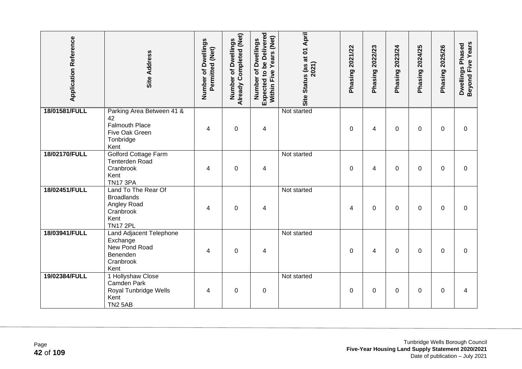| <b>Application Reference</b> | <b>Site Address</b>                                                                             | Number of Dwellings<br>Permitted (Net) | Already Completed (Net)<br>Dwellings<br>đ<br>Number | <b>Expected to be Delivered</b><br>Within Five Years (Net)<br>Number of Dwellings | Site Status (as at 01 April<br>2021) | Phasing 2021/22 | 2022/23<br>Phasing? | 2023/24<br>Phasing | 2024/25<br>Phasing? | Phasing 2025/26 | <b>Beyond Five Years</b><br>Dwellings Phased |
|------------------------------|-------------------------------------------------------------------------------------------------|----------------------------------------|-----------------------------------------------------|-----------------------------------------------------------------------------------|--------------------------------------|-----------------|---------------------|--------------------|---------------------|-----------------|----------------------------------------------|
| 18/01581/FULL                | Parking Area Between 41 &<br>42<br><b>Falmouth Place</b><br>Five Oak Green<br>Tonbridge<br>Kent | 4                                      | $\mathbf 0$                                         | 4                                                                                 | Not started                          | $\Omega$        | 4                   | 0                  | $\Omega$            | $\Omega$        | $\Omega$                                     |
| 18/02170/FULL                | <b>Golford Cottage Farm</b><br><b>Tenterden Road</b><br>Cranbrook<br>Kent<br><b>TN17 3PA</b>    | 4                                      | $\boldsymbol{0}$                                    | $\overline{\mathbf{4}}$                                                           | Not started                          | $\mathbf 0$     | 4                   | 0                  | 0                   | $\mathbf 0$     | $\mathbf 0$                                  |
| 18/02451/FULL                | Land To The Rear Of<br><b>Broadlands</b><br>Angley Road<br>Cranbrook<br>Kent<br><b>TN17 2PL</b> | 4                                      | $\boldsymbol{0}$                                    | 4                                                                                 | Not started                          | 4               | 0                   | 0                  | 0                   | 0               | $\mathbf 0$                                  |
| 18/03941/FULL                | Land Adjacent Telephone<br>Exchange<br>New Pond Road<br>Benenden<br>Cranbrook<br>Kent           | 4                                      | $\mathbf 0$                                         | 4                                                                                 | Not started                          | $\Omega$        | 4                   | $\Omega$           | $\Omega$            | $\Omega$        | $\Omega$                                     |
| 19/02384/FULL                | 1 Hollyshaw Close<br>Camden Park<br>Royal Tunbridge Wells<br>Kent<br><b>TN2 5AB</b>             | 4                                      | $\mathbf 0$                                         | $\pmb{0}$                                                                         | Not started                          | $\mathbf 0$     | 0                   | 0                  | 0                   | $\Omega$        | 4                                            |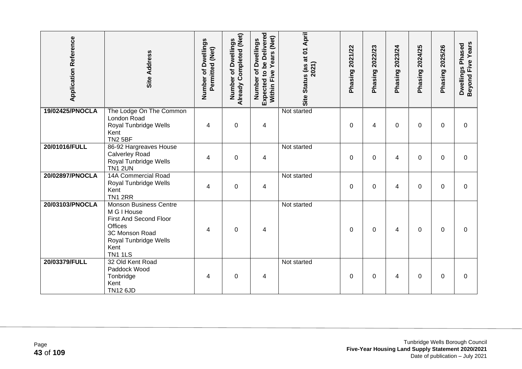| <b>Application Reference</b> | <b>Site Address</b>                                                                                                                                           | Number of Dwellings<br>Permitted (Net) | Already Completed (Net)<br>of Dwellings<br>Number | Expected to be Delivered<br>Years (Net)<br>Number of Dwellings<br>Five<br>Within | Site Status (as at 01 April<br>2021) | Phasing 2021/22 | 2022/23<br>Phasing | 2023/24<br>Phasing | 2024/25<br>Phasing | Phasing 2025/26 | Beyond Five Years<br>Dwellings Phased |
|------------------------------|---------------------------------------------------------------------------------------------------------------------------------------------------------------|----------------------------------------|---------------------------------------------------|----------------------------------------------------------------------------------|--------------------------------------|-----------------|--------------------|--------------------|--------------------|-----------------|---------------------------------------|
| 19/02425/PNOCLA              | The Lodge On The Common<br>London Road<br>Royal Tunbridge Wells<br>Kent<br><b>TN2 5BF</b>                                                                     | 4                                      | $\mathbf 0$                                       | 4                                                                                | Not started                          | $\Omega$        | 4                  | 0                  | $\Omega$           | $\Omega$        | $\Omega$                              |
| 20/01016/FULL                | 86-92 Hargreaves House<br><b>Calverley Road</b><br>Royal Tunbridge Wells<br>TN1 2UN                                                                           | 4                                      | $\mathbf 0$                                       | 4                                                                                | Not started                          | 0               | 0                  | 4                  | 0                  | $\Omega$        | 0                                     |
| 20/02897/PNOCLA              | <b>14A Commercial Road</b><br>Royal Tunbridge Wells<br>Kent<br><b>TN1 2RR</b>                                                                                 | 4                                      | 0                                                 | 4                                                                                | Not started                          | $\mathbf{0}$    | $\Omega$           | 4                  | 0                  | 0               | 0                                     |
| 20/03103/PNOCLA              | <b>Monson Business Centre</b><br>M G I House<br>First And Second Floor<br><b>Offices</b><br>3C Monson Road<br>Royal Tunbridge Wells<br>Kent<br><b>TN1 1LS</b> | 4                                      | $\mathbf 0$                                       | 4                                                                                | Not started                          | $\mathbf{0}$    | 0                  | 4                  | 0                  | $\Omega$        | 0                                     |
| 20/03379/FULL                | 32 Old Kent Road<br>Paddock Wood<br>Tonbridge<br>Kent<br><b>TN12 6JD</b>                                                                                      | 4                                      | $\pmb{0}$                                         | 4                                                                                | Not started                          | 0               | 0                  | 4                  | 0                  | 0               | 0                                     |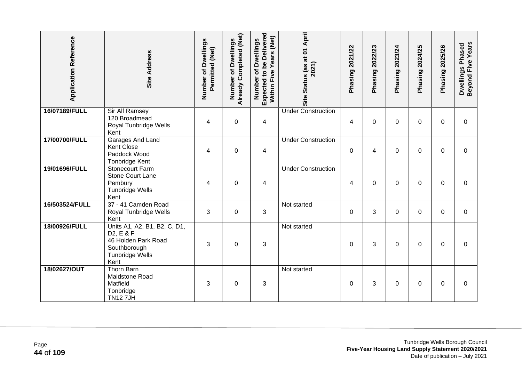| <b>Application Reference</b> | Site Address                                                                                                                    | Number of Dwellings<br>Permitted (Net) | Already Completed (Net)<br>of Dwellings<br>Number | Expected to be Delivered<br>Years (Net)<br>Number of Dwellings<br>Within Five | Site Status (as at 01 April<br>2021) | Phasing 2021/22 | Phasing 2022/23 | Phasing 2023/24 | Phasing 2024/25 | <b>Phasing 2025/26</b> | Beyond Five Years<br>Dwellings Phased |
|------------------------------|---------------------------------------------------------------------------------------------------------------------------------|----------------------------------------|---------------------------------------------------|-------------------------------------------------------------------------------|--------------------------------------|-----------------|-----------------|-----------------|-----------------|------------------------|---------------------------------------|
| 16/07189/FULL                | <b>Sir Alf Ramsey</b><br>120 Broadmead<br>Royal Tunbridge Wells<br>Kent                                                         | 4                                      | $\mathbf 0$                                       | $\overline{4}$                                                                | <b>Under Construction</b>            | 4               | $\overline{0}$  | 0               | $\Omega$        | $\Omega$               | $\mathbf 0$                           |
| 17/00700/FULL                | Garages And Land<br>Kent Close<br>Paddock Wood<br><b>Tonbridge Kent</b>                                                         | 4                                      | $\mathbf 0$                                       | 4                                                                             | <b>Under Construction</b>            | $\mathbf 0$     | 4               | 0               | $\Omega$        | $\mathbf{0}$           | $\mathbf 0$                           |
| 19/01696/FULL                | Stonecourt Farm<br><b>Stone Court Lane</b><br>Pembury<br><b>Tunbridge Wells</b><br>Kent                                         | 4                                      | $\boldsymbol{0}$                                  | 4                                                                             | <b>Under Construction</b>            | 4               | $\pmb{0}$       | 0               | 0               | 0                      | $\mathbf 0$                           |
| 16/503524/FULL               | 37 - 41 Camden Road<br>Royal Tunbridge Wells<br>Kent                                                                            | 3                                      | $\boldsymbol{0}$                                  | $\mathbf{3}$                                                                  | Not started                          | 0               | 3               | 0               | 0               | 0                      | $\mathbf 0$                           |
| 18/00926/FULL                | Units A1, A2, B1, B2, C, D1,<br>D <sub>2</sub> , E & F<br>46 Holden Park Road<br>Southborough<br><b>Tunbridge Wells</b><br>Kent | 3                                      | $\mathbf 0$                                       | 3                                                                             | Not started                          | $\mathbf 0$     | 3               | 0               | $\Omega$        | $\Omega$               | $\Omega$                              |
| 18/02627/OUT                 | <b>Thorn Barn</b><br>Maidstone Road<br>Matfield<br>Tonbridge<br><b>TN127JH</b>                                                  | 3                                      | $\pmb{0}$                                         | 3                                                                             | Not started                          | 0               | 3               | 0               | 0               | 0                      | $\Omega$                              |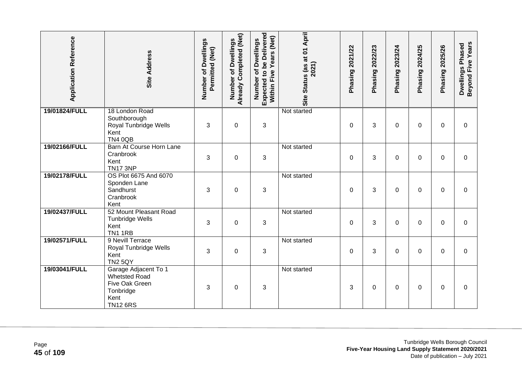| <b>Application Reference</b> | <b>Site Address</b>                                                                                    | Number of Dwellings<br>Permitted (Net) | Already Completed (Net)<br>Dwellings<br>Number of | <b>Expected to be Delivered</b><br>Within Five Years (Net)<br>Number of Dwellings | Site Status (as at 01 April<br>2021) | Phasing 2021/22 | Phasing 2022/23 | Phasing 2023/24 | 2024/25<br>Phasing: | Phasing 2025/26 | <b>Beyond Five Years</b><br>Dwellings Phased |
|------------------------------|--------------------------------------------------------------------------------------------------------|----------------------------------------|---------------------------------------------------|-----------------------------------------------------------------------------------|--------------------------------------|-----------------|-----------------|-----------------|---------------------|-----------------|----------------------------------------------|
| 19/01824/FULL                | 18 London Road<br>Southborough<br>Royal Tunbridge Wells<br>Kent<br><b>TN4 0QB</b>                      | 3                                      | $\boldsymbol{0}$                                  | 3                                                                                 | Not started                          | 0               | 3               | 0               | 0                   | 0               | 0                                            |
| 19/02166/FULL                | Barn At Course Horn Lane<br>Cranbrook<br>Kent<br><b>TN17 3NP</b>                                       | 3                                      | $\mathbf 0$                                       | 3                                                                                 | Not started                          | $\Omega$        | 3               | 0               | $\Omega$            | $\Omega$        | 0                                            |
| 19/02178/FULL                | OS Plot 6675 And 6070<br>Sponden Lane<br>Sandhurst<br>Cranbrook<br>Kent                                | 3                                      | $\boldsymbol{0}$                                  | 3                                                                                 | Not started                          | 0               | 3               | 0               | 0                   | 0               | 0                                            |
| 19/02437/FULL                | 52 Mount Pleasant Road<br><b>Tunbridge Wells</b><br>Kent<br><b>TN1 1RB</b>                             | 3                                      | $\mathbf 0$                                       | 3                                                                                 | Not started                          | 0               | 3               | 0               | 0                   | $\mathbf{0}$    | $\mathbf 0$                                  |
| 19/02571/FULL                | 9 Nevill Terrace<br>Royal Tunbridge Wells<br>Kent<br><b>TN2 5QY</b>                                    | 3                                      | $\mathbf 0$                                       | 3                                                                                 | Not started                          | 0               | 3               | 0               | 0                   | $\Omega$        | 0                                            |
| 19/03041/FULL                | Garage Adjacent To 1<br><b>Whetsted Road</b><br>Five Oak Green<br>Tonbridge<br>Kent<br><b>TN12 6RS</b> | 3                                      | $\mathbf 0$                                       | 3                                                                                 | Not started                          | 3               | 0               | 0               | 0                   | $\Omega$        | $\Omega$                                     |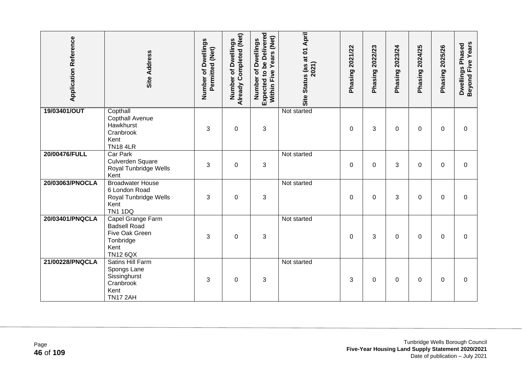| <b>Application Reference</b> | <b>Site Address</b>                                                                                | Number of Dwellings<br>Permitted (Net) | Already Completed (Net)<br>of Dwellings<br>Number | <b>Expected to be Delivered</b><br>Years (Net)<br>Number of Dwellings<br>Within Five | Site Status (as at 01 April<br>2021) | Phasing 2021/22 | 2022/23<br>Phasing | Phasing 2023/24 | 2024/25<br>Phasing | 2025/26<br>Phasing | Beyond Five Years<br>Dwellings Phased |
|------------------------------|----------------------------------------------------------------------------------------------------|----------------------------------------|---------------------------------------------------|--------------------------------------------------------------------------------------|--------------------------------------|-----------------|--------------------|-----------------|--------------------|--------------------|---------------------------------------|
| 19/03401/OUT                 | Copthall<br>Copthall Avenue<br>Hawkhurst<br>Cranbrook<br>Kent<br><b>TN18 4LR</b>                   | 3                                      | $\boldsymbol{0}$                                  | 3                                                                                    | Not started                          | 0               | 3                  | 0               | $\Omega$           | $\mathbf 0$        | 0                                     |
| 20/00476/FULL                | <b>Car Park</b><br>Culverden Square<br>Royal Tunbridge Wells<br>Kent                               | 3                                      | $\overline{0}$                                    | 3                                                                                    | Not started                          | $\Omega$        | $\Omega$           | 3               | 0                  | $\Omega$           | $\Omega$                              |
| 20/03063/PNOCLA              | <b>Broadwater House</b><br>6 London Road<br>Royal Tunbridge Wells<br>Kent<br><b>TN1 1DQ</b>        | 3                                      | $\boldsymbol{0}$                                  | 3                                                                                    | Not started                          | 0               | 0                  | 3               | 0                  | 0                  | 0                                     |
| 20/03401/PNQCLA              | Capel Grange Farm<br><b>Badsell Road</b><br>Five Oak Green<br>Tonbridge<br>Kent<br><b>TN12 6QX</b> | 3                                      | $\boldsymbol{0}$                                  | 3                                                                                    | Not started                          | 0               | 3                  | 0               | 0                  | $\mathbf 0$        | $\mathbf 0$                           |
| 21/00228/PNQCLA              | <b>Satins Hill Farm</b><br>Spongs Lane<br>Sissinghurst<br>Cranbrook<br>Kent<br><b>TN17 2AH</b>     | 3                                      | $\boldsymbol{0}$                                  | 3                                                                                    | Not started                          | 3               | 0                  | 0               | 0                  | 0                  | 0                                     |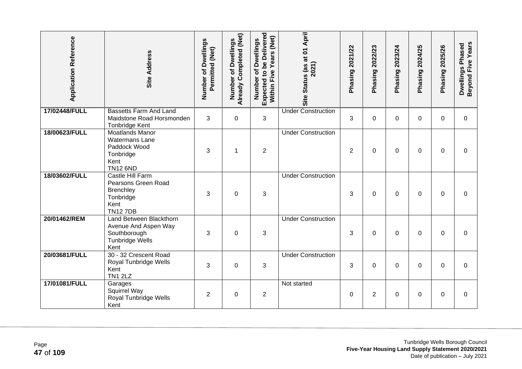| <b>Application Reference</b> | <b>Site Address</b>                                                                                     | Number of Dwellings<br>Permitted (Net) | Already Completed (Net)<br>Dwellings<br>Number of | <b>Expected to be Delivered</b><br>Within Five Years (Net)<br>Number of Dwellings | Site Status (as at 01 April<br>2021) | Phasing 2021/22 | 2022/23<br>Phasing? | 2023/24<br>Phasing | 2024/25<br>Phasing | Phasing 2025/26 | Dwellings Phased<br>Beyond Five Years |
|------------------------------|---------------------------------------------------------------------------------------------------------|----------------------------------------|---------------------------------------------------|-----------------------------------------------------------------------------------|--------------------------------------|-----------------|---------------------|--------------------|--------------------|-----------------|---------------------------------------|
| 17/02448/FULL                | <b>Bassetts Farm And Land</b><br>Maidstone Road Horsmonden<br>Tonbridge Kent                            | 3                                      | $\mathbf 0$                                       | 3                                                                                 | <b>Under Construction</b>            | 3               | $\mathbf 0$         | 0                  | 0                  | $\mathbf 0$     | $\mathbf 0$                           |
| 18/00623/FULL                | <b>Moatlands Manor</b><br><b>Watermans Lane</b><br>Paddock Wood<br>Tonbridge<br>Kent<br><b>TN12 6ND</b> | 3                                      | $\mathbf 1$                                       | $\overline{c}$                                                                    | <b>Under Construction</b>            | $\overline{2}$  | $\Omega$            | 0                  | 0                  | $\Omega$        | $\Omega$                              |
| 18/03602/FULL                | Castle Hill Farm<br>Pearsons Green Road<br>Brenchley<br>Tonbridge<br>Kent<br><b>TN127DB</b>             | 3                                      | $\mathbf 0$                                       | 3                                                                                 | <b>Under Construction</b>            | 3               | $\overline{0}$      | $\Omega$           | 0                  | $\Omega$        | $\mathbf 0$                           |
| 20/01462/REM                 | Land Between Blackthorn<br>Avenue And Aspen Way<br>Southborough<br><b>Tunbridge Wells</b><br>Kent       | 3                                      | $\mathbf 0$                                       | 3                                                                                 | <b>Under Construction</b>            | 3               | $\Omega$            | 0                  | 0                  | $\Omega$        | $\Omega$                              |
| 20/03681/FULL                | 30 - 32 Crescent Road<br>Royal Tunbridge Wells<br>Kent<br><b>TN1 2LZ</b>                                | 3                                      | $\mathbf 0$                                       | 3                                                                                 | <b>Under Construction</b>            | 3               | $\Omega$            | 0                  | 0                  | $\Omega$        | $\Omega$                              |
| 17/01081/FULL                | Garages<br>Squirrel Way<br>Royal Tunbridge Wells<br>Kent                                                | $\overline{2}$                         | $\mathbf 0$                                       | $\overline{2}$                                                                    | Not started                          | $\mathbf 0$     | $\overline{2}$      | $\Omega$           | 0                  | $\Omega$        | $\mathbf 0$                           |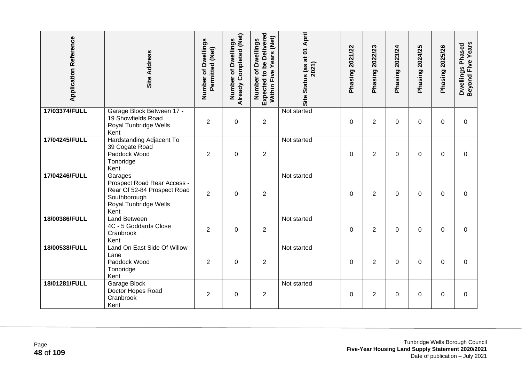| <b>Application Reference</b> | Site Address                                                                                                           | Number of Dwellings<br>Permitted (Net) | Already Completed (Net)<br>Number of Dwellings | <b>Expected to be Delivered</b><br>Within Five Years (Net)<br>Number of Dwellings | Site Status (as at 01 April<br>2021) | Phasing 2021/22 | 2022/23<br>Phasing? | Phasing 2023/24 | 2024/25<br>Phasing | Phasing 2025/26 | Dwellings Phased<br>Beyond Five Years |
|------------------------------|------------------------------------------------------------------------------------------------------------------------|----------------------------------------|------------------------------------------------|-----------------------------------------------------------------------------------|--------------------------------------|-----------------|---------------------|-----------------|--------------------|-----------------|---------------------------------------|
| 17/03374/FULL                | Garage Block Between 17 -<br>19 Showfields Road<br>Royal Tunbridge Wells<br>Kent                                       | $\overline{2}$                         | $\boldsymbol{0}$                               | $\overline{c}$                                                                    | Not started                          | $\mathbf 0$     | $\overline{2}$      | 0               | 0                  | $\mathbf 0$     | $\mathbf 0$                           |
| 17/04245/FULL                | Hardstanding Adjacent To<br>39 Cogate Road<br>Paddock Wood<br>Tonbridge<br>Kent                                        | $\overline{2}$                         | $\mathbf 0$                                    | $\overline{2}$                                                                    | Not started                          | $\Omega$        | $\overline{2}$      | 0               | 0                  | $\Omega$        | $\Omega$                              |
| 17/04246/FULL                | Garages<br>Prospect Road Rear Access -<br>Rear Of 52-84 Prospect Road<br>Southborough<br>Royal Tunbridge Wells<br>Kent | $\overline{2}$                         | $\mathbf 0$                                    | $\overline{2}$                                                                    | Not started                          | $\mathbf 0$     | $\overline{2}$      | $\Omega$        | 0                  | $\Omega$        | $\mathbf 0$                           |
| 18/00386/FULL                | <b>Land Between</b><br>4C - 5 Goddards Close<br>Cranbrook<br>Kent                                                      | 2                                      | $\boldsymbol{0}$                               | $\overline{c}$                                                                    | Not started                          | 0               | 2                   | 0               | 0                  | $\Omega$        | 0                                     |
| 18/00538/FULL                | Land On East Side Of Willow<br>Lane<br>Paddock Wood<br>Tonbridge<br>Kent                                               | 2                                      | $\mathbf 0$                                    | $\overline{2}$                                                                    | Not started                          | $\Omega$        | $\overline{2}$      | 0               | 0                  | $\Omega$        | $\Omega$                              |
| 18/01281/FULL                | Garage Block<br>Doctor Hopes Road<br>Cranbrook<br>Kent                                                                 | $\overline{2}$                         | $\mathbf 0$                                    | $\overline{2}$                                                                    | Not started                          | $\mathbf 0$     | $\overline{2}$      | $\Omega$        | 0                  | $\Omega$        | $\overline{0}$                        |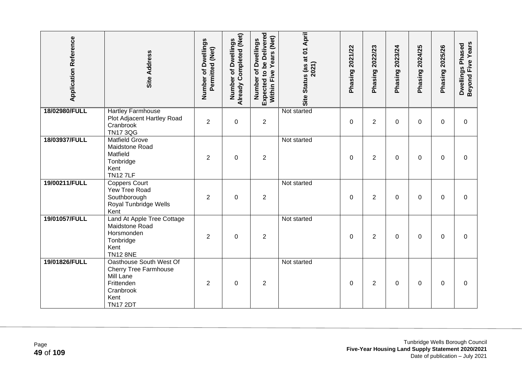| <b>Application Reference</b> | <b>Site Address</b>                                                                                                        | Number of Dwellings<br>Permitted (Net) | Already Completed (Net)<br>Number of Dwellings | Expected to be Delivered<br>Within Five Years (Net)<br>Number of Dwellings | Site Status (as at 01 April<br>2021) | Phasing 2021/22 | Phasing 2022/23 | Phasing 2023/24 | Phasing 2024/25 | Phasing 2025/26 | Beyond Five Years<br>Dwellings Phased |
|------------------------------|----------------------------------------------------------------------------------------------------------------------------|----------------------------------------|------------------------------------------------|----------------------------------------------------------------------------|--------------------------------------|-----------------|-----------------|-----------------|-----------------|-----------------|---------------------------------------|
| 18/02980/FULL                | <b>Hartley Farmhouse</b><br>Plot Adjacent Hartley Road<br>Cranbrook<br><b>TN17 3QG</b>                                     | $\overline{c}$                         | $\boldsymbol{0}$                               | $\overline{2}$                                                             | Not started                          | 0               | $\overline{2}$  | 0               | 0               | 0               | 0                                     |
| 18/03937/FULL                | <b>Matfield Grove</b><br>Maidstone Road<br>Matfield<br>Tonbridge<br>Kent<br><b>TN127LF</b>                                 | 2                                      | 0                                              | $\overline{c}$                                                             | Not started                          | 0               | 2               | 0               | 0               | 0               | 0                                     |
| 19/00211/FULL                | <b>Coppers Court</b><br>Yew Tree Road<br>Southborough<br>Royal Tunbridge Wells<br>Kent                                     | $\overline{2}$                         | $\boldsymbol{0}$                               | $\overline{c}$                                                             | Not started                          | 0               | $\overline{2}$  | 0               | 0               | 0               | 0                                     |
| 19/01057/FULL                | Land At Apple Tree Cottage<br>Maidstone Road<br>Horsmonden<br>Tonbridge<br>Kent<br><b>TN12 8NE</b>                         | 2                                      | $\boldsymbol{0}$                               | $\overline{c}$                                                             | Not started                          | $\mathbf 0$     | 2               | 0               | 0               | 0               | 0                                     |
| 19/01826/FULL                | Oasthouse South West Of<br><b>Cherry Tree Farmhouse</b><br>Mill Lane<br>Frittenden<br>Cranbrook<br>Kent<br><b>TN17 2DT</b> | $\overline{2}$                         | $\boldsymbol{0}$                               | $\overline{c}$                                                             | Not started                          | 0               | $\overline{c}$  | 0               | 0               | 0               | 0                                     |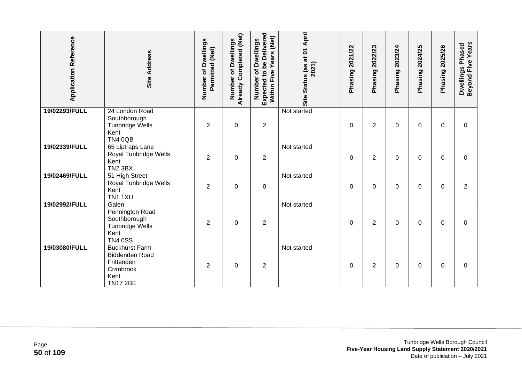| <b>Application Reference</b> | <b>Site Address</b>                                                                           | Number of Dwellings<br>Permitted (Net) | Already Completed (Net)<br><b>Dwellings</b><br>৳<br>Number | <b>Expected to be Delivered</b><br>Years (Net)<br>Number of Dwellings<br>Within Five | Site Status (as at 01 April<br>2021) | 2021/22<br>Phasing | 2022/23<br>Phasing | 2023/24<br>Phasing | 2024/25<br>Phasing | 2025/26<br>Phasing | Beyond Five Years<br>Dwellings Phased |
|------------------------------|-----------------------------------------------------------------------------------------------|----------------------------------------|------------------------------------------------------------|--------------------------------------------------------------------------------------|--------------------------------------|--------------------|--------------------|--------------------|--------------------|--------------------|---------------------------------------|
| 19/02293/FULL                | 24 London Road<br>Southborough<br>Tunbridge Wells<br>Kent<br><b>TN4 0QB</b>                   | 2                                      | $\pmb{0}$                                                  | $\mathbf 2$                                                                          | Not started                          | 0                  | $\overline{c}$     | 0                  | 0                  | 0                  | 0                                     |
| 19/02339/FULL                | 65 Liptraps Lane<br>Royal Tunbridge Wells<br>Kent<br><b>TN2 3BX</b>                           | $\overline{2}$                         | $\boldsymbol{0}$                                           | $\overline{2}$                                                                       | Not started                          | 0                  | $\overline{2}$     | 0                  | 0                  | 0                  | $\mathbf 0$                           |
| 19/02469/FULL                | 51 High Street<br>Royal Tunbridge Wells<br>Kent<br><b>TN1 1XU</b>                             | 2                                      | $\boldsymbol{0}$                                           | $\boldsymbol{0}$                                                                     | Not started                          | 0                  | 0                  | 0                  | 0                  | $\Omega$           | $\overline{2}$                        |
| 19/02992/FULL                | Galen<br>Pennington Road<br>Southborough<br>Tunbridge Wells<br>Kent<br><b>TN4 0SS</b>         | 2                                      | $\boldsymbol{0}$                                           | $\boldsymbol{2}$                                                                     | Not started                          | 0                  | $\overline{2}$     | 0                  | 0                  | 0                  | 0                                     |
| 19/03080/FULL                | <b>Buckhurst Farm</b><br>Biddenden Road<br>Frittenden<br>Cranbrook<br>Kent<br><b>TN17 2BE</b> | 2                                      | $\mathbf 0$                                                | $\overline{2}$                                                                       | Not started                          | $\Omega$           | 2                  | 0                  | 0                  | $\Omega$           | $\Omega$                              |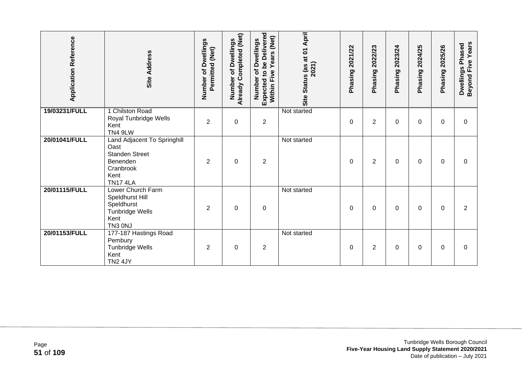| <b>Application Reference</b> | <b>Site Address</b>                                                                                              | Number of Dwellings<br>Permitted (Net) | Already Completed (Net)<br><b>Dwellings</b><br>৳<br>Number | Expected to be Delivered<br>Years (Net)<br>of Dwellings<br>Within Five<br>Number | Site Status (as at 01 April<br>2021) | 2021/22<br>Phasing | 2022/23<br>Phasing | 2023/24<br>Phasing | 2024/25<br><b>Phasing</b> | 2025/26<br>Phasing | Beyond Five Years<br>Dwellings Phased |
|------------------------------|------------------------------------------------------------------------------------------------------------------|----------------------------------------|------------------------------------------------------------|----------------------------------------------------------------------------------|--------------------------------------|--------------------|--------------------|--------------------|---------------------------|--------------------|---------------------------------------|
| 19/03231/FULL                | 1 Chilston Road<br>Royal Tunbridge Wells<br>Kent<br>TN4 9LW                                                      | $\overline{2}$                         | $\mathbf 0$                                                | $\overline{c}$                                                                   | Not started                          | 0                  | $\overline{2}$     | 0                  | 0                         | $\Omega$           | $\Omega$                              |
| 20/01041/FULL                | Land Adjacent To Springhill<br>Oast<br><b>Standen Street</b><br>Benenden<br>Cranbrook<br>Kent<br><b>TN17 4LA</b> | 2                                      | $\mathbf 0$                                                | $\overline{c}$                                                                   | Not started                          | 0                  | 2                  | 0                  | 0                         | 0                  | 0                                     |
| 20/01115/FULL                | Lower Church Farm<br>Speldhurst Hill<br>Speldhurst<br>Tunbridge Wells<br>Kent<br>TN3 0NJ                         | $\overline{2}$                         | $\mathbf 0$                                                | $\mathbf 0$                                                                      | Not started                          | 0                  | $\Omega$           | 0                  | 0                         | $\Omega$           | $\overline{2}$                        |
| 20/01153/FULL                | 177-187 Hastings Road<br>Pembury<br><b>Tunbridge Wells</b><br>Kent<br><b>TN2 4JY</b>                             | $\overline{2}$                         | $\boldsymbol{0}$                                           | $\overline{c}$                                                                   | Not started                          | 0                  | $\overline{2}$     | 0                  | 0                         | $\Omega$           | $\Omega$                              |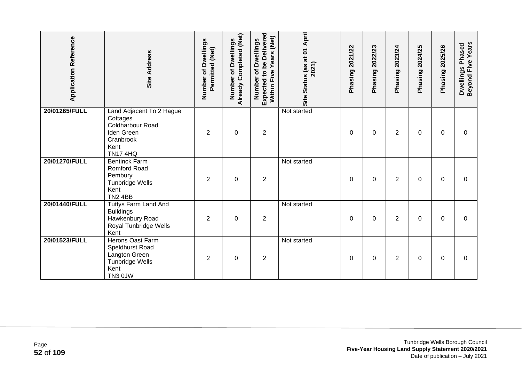| <b>Application Reference</b> | <b>Site Address</b>                                                                                                   | Number of Dwellings<br>Permitted (Net) | Already Completed (Net)<br>of Dwellings<br>Number | Expected to be Delivered<br>(Net)<br>Number of Dwellings<br><b>Years</b><br>Five<br>Within | Site Status (as at 01 April<br>2021) | 2021/22<br>Phasing | 2022/23<br>Phasing | 2023/24<br>Phasing | 2024/25<br>Phasing | 2025/26<br>Phasing | Beyond Five Years<br>Dwellings Phased |
|------------------------------|-----------------------------------------------------------------------------------------------------------------------|----------------------------------------|---------------------------------------------------|--------------------------------------------------------------------------------------------|--------------------------------------|--------------------|--------------------|--------------------|--------------------|--------------------|---------------------------------------|
| 20/01265/FULL                | Land Adjacent To 2 Hague<br>Cottages<br>Coldharbour Road<br><b>Iden Green</b><br>Cranbrook<br>Kent<br><b>TN17 4HQ</b> | $\overline{2}$                         | $\boldsymbol{0}$                                  | $\mathbf 2$                                                                                | Not started                          | 0                  | 0                  | 2                  | 0                  | 0                  | 0                                     |
| 20/01270/FULL                | <b>Bentinck Farm</b><br>Romford Road<br>Pembury<br>Tunbridge Wells<br>Kent<br><b>TN2 4BB</b>                          | 2                                      | $\mathbf 0$                                       | $\overline{2}$                                                                             | Not started                          | $\Omega$           | 0                  | $\overline{2}$     | 0                  | $\Omega$           | 0                                     |
| 20/01440/FULL                | Tuttys Farm Land And<br><b>Buildings</b><br>Hawkenbury Road<br>Royal Tunbridge Wells<br>Kent                          | $\overline{2}$                         | $\mathbf 0$                                       | $\overline{2}$                                                                             | Not started                          | $\Omega$           | 0                  | 2                  | $\Omega$           | $\Omega$           | $\Omega$                              |
| 20/01523/FULL                | <b>Herons Oast Farm</b><br>Speldhurst Road<br>Langton Green<br><b>Tunbridge Wells</b><br>Kent<br>TN3 0JW              | 2                                      | $\mathbf 0$                                       | $\overline{2}$                                                                             | Not started                          | $\Omega$           | $\Omega$           | $\overline{2}$     | $\Omega$           | $\Omega$           | $\Omega$                              |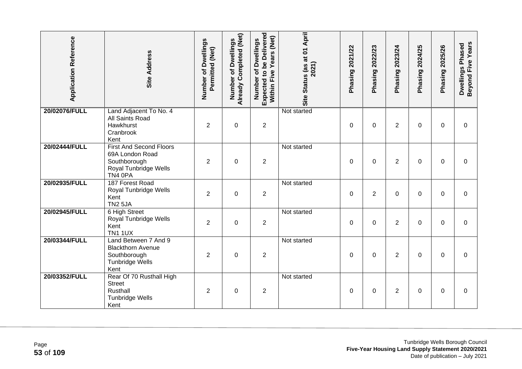| <b>Application Reference</b> | Site Address                                                                                          | Number of Dwellings<br>Permitted (Net) | Already Completed (Net)<br>Dwellings<br>$\overline{\sigma}$<br>Number | <b>Expected to be Delivered</b><br>Years (Net)<br>Number of Dwellings<br>Within Five | Site Status (as at 01 April<br>2021) | Phasing 2021/22 | 2022/23<br>Phasing? | 2023/24<br>Phasing | 2024/25<br>Phasing | 2025/26<br>Phasing | <b>Beyond Five Years</b><br>Dwellings Phased |
|------------------------------|-------------------------------------------------------------------------------------------------------|----------------------------------------|-----------------------------------------------------------------------|--------------------------------------------------------------------------------------|--------------------------------------|-----------------|---------------------|--------------------|--------------------|--------------------|----------------------------------------------|
| 20/02076/FULL                | Land Adjacent To No. 4<br>All Saints Road<br>Hawkhurst<br>Cranbrook<br>Kent                           | $\overline{2}$                         | $\boldsymbol{0}$                                                      | $\overline{2}$                                                                       | Not started                          | 0               | 0                   | $\overline{2}$     | 0                  | $\Omega$           | 0                                            |
| 20/02444/FULL                | <b>First And Second Floors</b><br>69A London Road<br>Southborough<br>Royal Tunbridge Wells<br>TN4 0PA | $\overline{2}$                         | $\mathbf 0$                                                           | $\overline{2}$                                                                       | Not started                          | $\Omega$        | $\Omega$            | $\overline{2}$     | 0                  | $\Omega$           | $\Omega$                                     |
| 20/02935/FULL                | 187 Forest Road<br>Royal Tunbridge Wells<br>Kent<br><b>TN2 5JA</b>                                    | $\overline{2}$                         | $\mathbf 0$                                                           | $\overline{2}$                                                                       | Not started                          | $\mathbf 0$     | $\overline{2}$      | 0                  | 0                  | $\Omega$           | $\mathbf 0$                                  |
| 20/02945/FULL                | 6 High Street<br>Royal Tunbridge Wells<br>Kent<br><b>TN1 1UX</b>                                      | $\overline{2}$                         | $\mathbf 0$                                                           | $\boldsymbol{2}$                                                                     | Not started                          | $\mathbf 0$     | 0                   | $\overline{2}$     | 0                  | $\Omega$           | $\mathbf 0$                                  |
| 20/03344/FULL                | Land Between 7 And 9<br><b>Blackthorn Avenue</b><br>Southborough<br><b>Tunbridge Wells</b><br>Kent    | $\overline{2}$                         | $\overline{0}$                                                        | $\overline{2}$                                                                       | Not started                          | $\mathbf 0$     | $\mathbf 0$         | $\overline{2}$     | $\Omega$           | $\Omega$           | $\Omega$                                     |
| 20/03352/FULL                | Rear Of 70 Rusthall High<br><b>Street</b><br>Rusthall<br><b>Tunbridge Wells</b><br>Kent               | $\overline{2}$                         | $\mathbf 0$                                                           | $\overline{2}$                                                                       | Not started                          | $\mathbf 0$     | $\mathbf 0$         | $\overline{2}$     | 0                  | $\Omega$           | $\mathbf 0$                                  |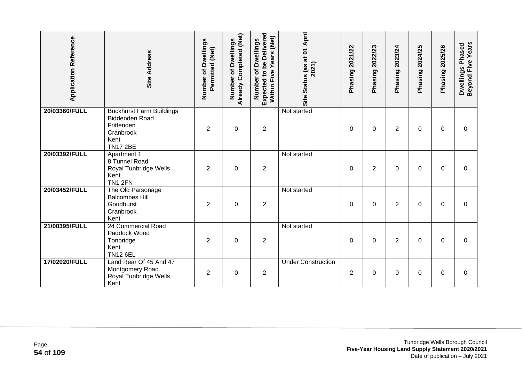| <b>Application Reference</b> | Site Address                                                                                                   | Number of Dwellings<br>Permitted (Net) | <b>Already Completed (Net)</b><br><b>Dwellings</b><br>Ⴆ<br>Number | Expected to be Delivered<br>(Net)<br>Number of Dwellings<br>Years<br>Five<br>Within I | Site Status (as at 01 April<br>2021) | 2021/22<br>Phasing | 2022/23<br>Phasing | 2023/24<br>Phasing | 2024/25<br>Phasing | 2025/26<br>Phasing | Beyond Five Years<br>Dwellings Phased |
|------------------------------|----------------------------------------------------------------------------------------------------------------|----------------------------------------|-------------------------------------------------------------------|---------------------------------------------------------------------------------------|--------------------------------------|--------------------|--------------------|--------------------|--------------------|--------------------|---------------------------------------|
| 20/03360/FULL                | <b>Buckhurst Farm Buildings</b><br><b>Biddenden Road</b><br>Frittenden<br>Cranbrook<br>Kent<br><b>TN17 2BE</b> | $\overline{2}$                         | $\mathbf 0$                                                       | $\overline{2}$                                                                        | Not started                          | $\Omega$           | $\Omega$           | $\overline{2}$     | 0                  | $\Omega$           | $\Omega$                              |
| 20/03392/FULL                | Apartment 1<br>8 Tunnel Road<br>Royal Tunbridge Wells<br>Kent<br>TN1 2FN                                       | $\overline{2}$                         | $\overline{0}$                                                    | $\overline{2}$                                                                        | Not started                          | $\Omega$           | $\overline{2}$     | $\Omega$           | $\Omega$           | $\Omega$           | $\Omega$                              |
| 20/03452/FULL                | The Old Parsonage<br><b>Balcombes Hill</b><br>Goudhurst<br>Cranbrook<br>Kent                                   | $\overline{2}$                         | $\mathbf 0$                                                       | $\overline{2}$                                                                        | Not started                          | $\Omega$           | $\Omega$           | $\overline{2}$     | $\Omega$           | $\Omega$           | $\Omega$                              |
| 21/00395/FULL                | 24 Commercial Road<br>Paddock Wood<br>Tonbridge<br>Kent<br><b>TN12 6EL</b>                                     | $\overline{2}$                         | $\mathbf 0$                                                       | $\overline{2}$                                                                        | Not started                          | $\Omega$           | $\Omega$           | $\overline{2}$     | 0                  | $\Omega$           | $\Omega$                              |
| 17/02020/FULL                | Land Rear Of 45 And 47<br>Montgomery Road<br>Royal Tunbridge Wells<br>Kent                                     | $\overline{2}$                         | 0                                                                 | $\overline{2}$                                                                        | <b>Under Construction</b>            | $\overline{2}$     | $\Omega$           | 0                  | 0                  | $\Omega$           | $\Omega$                              |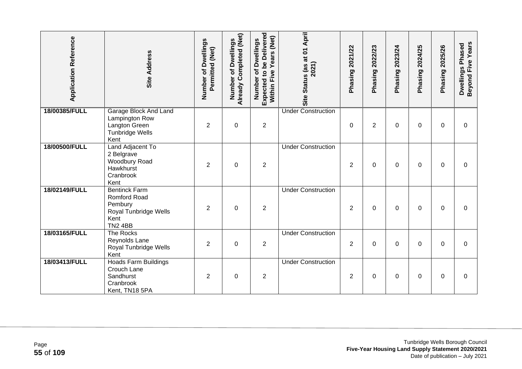| <b>Application Reference</b> | <b>Site Address</b>                                                                                | Number of Dwellings<br>Permitted (Net) | Already Completed (Net)<br>Dwellings<br>đ<br>Number | Expected to be Delivered<br>Years (Net)<br>Number of Dwellings<br>Five<br>Within I | Status (as at 01 April<br>2021)<br>Site | Phasing 2021/22 | Phasing 2022/23 | Phasing 2023/24 | Phasing 2024/25 | 2025/26<br>Phasing | Beyond Five Years<br>Dwellings Phased |
|------------------------------|----------------------------------------------------------------------------------------------------|----------------------------------------|-----------------------------------------------------|------------------------------------------------------------------------------------|-----------------------------------------|-----------------|-----------------|-----------------|-----------------|--------------------|---------------------------------------|
| 18/00385/FULL                | <b>Garage Block And Land</b><br>Lampington Row<br>Langton Green<br>Tunbridge Wells<br>Kent         | $\overline{2}$                         | $\pmb{0}$                                           | $\overline{2}$                                                                     | <b>Under Construction</b>               | $\mathbf 0$     | $\overline{2}$  | 0               | 0               | $\Omega$           | $\Omega$                              |
| 18/00500/FULL                | Land Adjacent To<br>2 Belgrave<br>Woodbury Road<br>Hawkhurst<br>Cranbrook<br>Kent                  | $\overline{2}$                         | $\mathbf 0$                                         | $\overline{2}$                                                                     | <b>Under Construction</b>               | $\overline{2}$  | $\mathbf 0$     | 0               | 0               | $\Omega$           | $\Omega$                              |
| 18/02149/FULL                | <b>Bentinck Farm</b><br>Romford Road<br>Pembury<br>Royal Tunbridge Wells<br>Kent<br><b>TN2 4BB</b> | $\overline{2}$                         | $\overline{0}$                                      | $\overline{2}$                                                                     | <b>Under Construction</b>               | 2               | $\mathbf 0$     | $\Omega$        | $\Omega$        | $\Omega$           | $\Omega$                              |
| 18/03165/FULL                | The Rocks<br>Reynolds Lane<br>Royal Tunbridge Wells<br>Kent                                        | $\overline{2}$                         | $\overline{0}$                                      | $\overline{2}$                                                                     | <b>Under Construction</b>               | $\overline{2}$  | $\mathbf 0$     | $\Omega$        | $\Omega$        | $\Omega$           | $\Omega$                              |
| 18/03413/FULL                | <b>Hoads Farm Buildings</b><br>Crouch Lane<br>Sandhurst<br>Cranbrook<br>Kent, TN18 5PA             | 2                                      | $\pmb{0}$                                           | $\overline{2}$                                                                     | <b>Under Construction</b>               | $\overline{2}$  | 0               | 0               | 0               | 0                  | $\Omega$                              |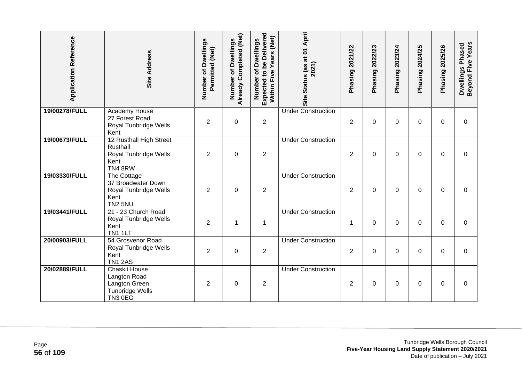| <b>Application Reference</b> | <b>Site Address</b>                                                                        | Number of Dwellings<br>Permitted (Net) | <b>Already Completed (Net)</b><br>of Dwellings<br>Number | Expected to be Delivered<br>Years (Net)<br>Number of Dwellings<br>Within Five | Site Status (as at 01 April<br>2021) | Phasing 2021/22 | Phasing 2022/23 | Phasing 2023/24 | Phasing 2024/25 | Phasing 2025/26 | Beyond Five Years<br>Dwellings Phased |
|------------------------------|--------------------------------------------------------------------------------------------|----------------------------------------|----------------------------------------------------------|-------------------------------------------------------------------------------|--------------------------------------|-----------------|-----------------|-----------------|-----------------|-----------------|---------------------------------------|
| 19/00278/FULL                | <b>Academy House</b><br>27 Forest Road<br>Royal Tunbridge Wells<br>Kent                    | $\overline{2}$                         | $\mathbf 0$                                              | $\overline{2}$                                                                | <b>Under Construction</b>            | $\overline{2}$  | 0               | 0               | $\Omega$        | $\mathbf 0$     | $\mathbf 0$                           |
| 19/00673/FULL                | 12 Rusthall High Street<br>Rusthall<br>Royal Tunbridge Wells<br>Kent<br>TN48RW             | 2                                      | $\mathbf 0$                                              | $\overline{2}$                                                                | <b>Under Construction</b>            | $\overline{2}$  | 0               | 0               | 0               | 0               | 0                                     |
| 19/03330/FULL                | The Cottage<br>37 Broadwater Down<br>Royal Tunbridge Wells<br>Kent<br><b>TN2 5NU</b>       | $\overline{2}$                         | $\boldsymbol{0}$                                         | $\overline{2}$                                                                | <b>Under Construction</b>            | $\overline{2}$  | 0               | 0               | 0               | $\mathbf 0$     | $\mathbf 0$                           |
| 19/03441/FULL                | 21 - 23 Church Road<br>Royal Tunbridge Wells<br>Kent<br>TN1 1LT                            | $\overline{2}$                         | 1                                                        | $\mathbf{1}$                                                                  | <b>Under Construction</b>            | $\mathbf 1$     | 0               | 0               | $\Omega$        | $\mathbf{0}$    | $\mathbf 0$                           |
| 20/00903/FULL                | 54 Grosvenor Road<br>Royal Tunbridge Wells<br>Kent<br><b>TN1 2AS</b>                       | $\overline{2}$                         | $\mathbf 0$                                              | $\overline{2}$                                                                | <b>Under Construction</b>            | $\overline{2}$  | 0               | 0               | 0               | $\Omega$        | $\mathbf 0$                           |
| 20/02889/FULL                | <b>Chaskit House</b><br>Langton Road<br>Langton Green<br><b>Tunbridge Wells</b><br>TN3 0EG | 2                                      | $\mathbf 0$                                              | $\overline{2}$                                                                | <b>Under Construction</b>            | $\overline{2}$  | 0               | 0               | 0               | $\mathbf 0$     | 0                                     |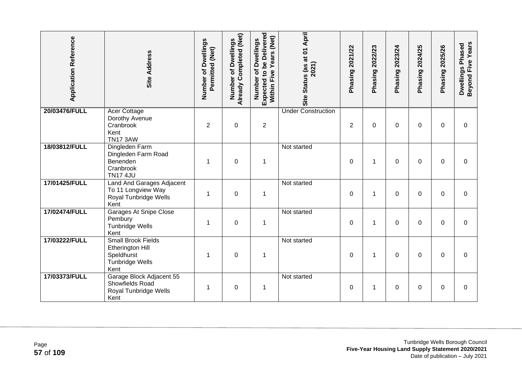| <b>Application Reference</b> | <b>Site Address</b>                                                                    | Number of Dwellings<br>Permitted (Net) | <b>Already Completed (Net)</b><br>of Dwellings<br>Number | Expected to be Delivered<br>Years (Net)<br>Number of Dwellings<br>Five<br>Within | Site Status (as at 01 April<br>2021) | Phasing 2021/22 | Phasing 2022/23 | Phasing 2023/24 | Phasing 2024/25 | <b>Phasing 2025/26</b> | <b>Beyond Five Years</b><br>Dwellings Phased |
|------------------------------|----------------------------------------------------------------------------------------|----------------------------------------|----------------------------------------------------------|----------------------------------------------------------------------------------|--------------------------------------|-----------------|-----------------|-----------------|-----------------|------------------------|----------------------------------------------|
| 20/03476/FULL                | <b>Acer Cottage</b><br>Dorothy Avenue<br>Cranbrook<br>Kent<br><b>TN17 3AW</b>          | $\overline{2}$                         | $\mathbf 0$                                              | $\overline{2}$                                                                   | <b>Under Construction</b>            | $\overline{2}$  | $\Omega$        | 0               | 0               | $\mathbf{0}$           | 0                                            |
| 18/03812/FULL                | Dingleden Farm<br>Dingleden Farm Road<br>Benenden<br>Cranbrook<br><b>TN17 4JU</b>      | 1                                      | $\pmb{0}$                                                | $\mathbf{1}$                                                                     | Not started                          | $\mathbf 0$     | 1               | 0               | 0               | 0                      | $\pmb{0}$                                    |
| 17/01425/FULL                | Land And Garages Adjacent<br>To 11 Longview Way<br>Royal Tunbridge Wells<br>Kent       | 1                                      | $\mathbf 0$                                              | $\mathbf 1$                                                                      | Not started                          | $\mathbf 0$     | 1               | 0               | $\Omega$        | $\mathbf 0$            | $\mathbf 0$                                  |
| 17/02474/FULL                | <b>Garages At Snipe Close</b><br>Pembury<br><b>Tunbridge Wells</b><br>Kent             | 1                                      | $\mathbf 0$                                              | $\mathbf 1$                                                                      | Not started                          | $\mathbf 0$     | 1               | 0               | $\Omega$        | $\mathbf 0$            | $\overline{0}$                               |
| 17/03222/FULL                | <b>Small Brook Fields</b><br>Etherington Hill<br>Speldhurst<br>Tunbridge Wells<br>Kent | 1                                      | $\mathbf 0$                                              | $\mathbf 1$                                                                      | Not started                          | 0               | 1               | 0               | 0               | 0                      | $\mathbf 0$                                  |
| 17/03373/FULL                | Garage Block Adjacent 55<br>Showfields Road<br>Royal Tunbridge Wells<br>Kent           | 1                                      | $\mathbf 0$                                              | $\mathbf 1$                                                                      | Not started                          | 0               | 1               | 0               | 0               | $\Omega$               | $\Omega$                                     |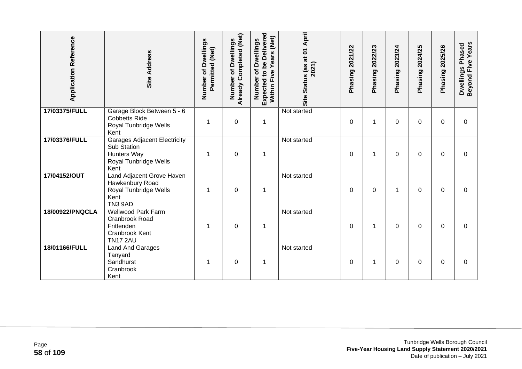| <b>Application Reference</b> | Site Address                                                                                              | Number of Dwellings<br>Permitted (Net) | Already Completed (Net)<br>of Dwellings<br>Number | Expected to be Delivered<br>(Net)<br>Number of Dwellings<br>Years<br>Five<br><b>Within</b> | Site Status (as at 01 April<br>2021) | 2021/22<br>Phasing | 2022/23<br>Phasing | 2023/24<br>Phasing | 2024/25<br>Phasing | 2025/26<br>Phasing | Beyond Five Years<br>Dwellings Phased |
|------------------------------|-----------------------------------------------------------------------------------------------------------|----------------------------------------|---------------------------------------------------|--------------------------------------------------------------------------------------------|--------------------------------------|--------------------|--------------------|--------------------|--------------------|--------------------|---------------------------------------|
| 17/03375/FULL                | Garage Block Between 5 - 6<br><b>Cobbetts Ride</b><br>Royal Tunbridge Wells<br>Kent                       | 1                                      | $\boldsymbol{0}$                                  | $\mathbf 1$                                                                                | Not started                          | 0                  | 1                  | 0                  | $\Omega$           | $\Omega$           | $\Omega$                              |
| 17/03376/FULL                | <b>Garages Adjacent Electricity</b><br>Sub Station<br><b>Hunters Way</b><br>Royal Tunbridge Wells<br>Kent |                                        | $\mathbf 0$                                       | 1                                                                                          | Not started                          | $\Omega$           | 1                  | 0                  | 0                  | $\Omega$           | 0                                     |
| 17/04152/OUT                 | Land Adjacent Grove Haven<br>Hawkenbury Road<br>Royal Tunbridge Wells<br>Kent<br><b>TN3 9AD</b>           | 1                                      | $\mathbf 0$                                       | 1                                                                                          | Not started                          | 0                  | 0                  | 1                  | 0                  | $\mathbf 0$        | 0                                     |
| 18/00922/PNQCLA              | <b>Wellwood Park Farm</b><br>Cranbrook Road<br>Frittenden<br>Cranbrook Kent<br><b>TN17 2AU</b>            |                                        | $\mathbf 0$                                       | 1                                                                                          | Not started                          | 0                  | 1                  | 0                  | 0                  | $\Omega$           | $\Omega$                              |
| 18/01166/FULL                | Land And Garages<br>Tanyard<br>Sandhurst<br>Cranbrook<br>Kent                                             |                                        | $\mathbf 0$                                       | 1                                                                                          | Not started                          | 0                  | 1                  | 0                  | 0                  | $\Omega$           | 0                                     |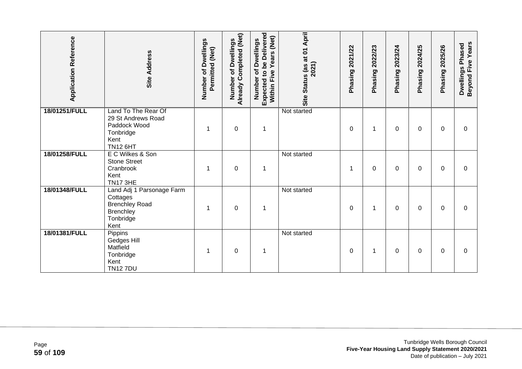| <b>Application Reference</b> | Site Address                                                                                      | Number of Dwellings<br>Permitted (Net) | Already Completed (Net)<br>of Dwellings<br>Number | <b>Expected to be Delivered</b><br>Years (Net)<br>of Dwellings<br>Within Five<br>Number | Site Status (as at 01 April<br>2021) | 2021/22<br>Phasing | 2022/23<br>Phasing | 2023/24<br>Phasing | 2024/25<br>Phasing | 2025/26<br>Phasing | Beyond Five Years<br>Dwellings Phased |
|------------------------------|---------------------------------------------------------------------------------------------------|----------------------------------------|---------------------------------------------------|-----------------------------------------------------------------------------------------|--------------------------------------|--------------------|--------------------|--------------------|--------------------|--------------------|---------------------------------------|
| 18/01251/FULL                | Land To The Rear Of<br>29 St Andrews Road<br>Paddock Wood<br>Tonbridge<br>Kent<br><b>TN12 6HT</b> |                                        | $\pmb{0}$                                         | $\mathbf 1$                                                                             | Not started                          | 0                  | 1                  | 0                  | 0                  | $\Omega$           | 0                                     |
| 18/01258/FULL                | E C Wilkes & Son<br><b>Stone Street</b><br>Cranbrook<br>Kent<br><b>TN17 3HE</b>                   | 1                                      | $\mathbf 0$                                       | $\mathbf 1$                                                                             | Not started                          | 1                  | 0                  | 0                  | 0                  | $\Omega$           | $\Omega$                              |
| 18/01348/FULL                | Land Adj 1 Parsonage Farm<br>Cottages<br><b>Brenchley Road</b><br>Brenchley<br>Tonbridge<br>Kent  |                                        | $\mathbf 0$                                       | $\mathbf 1$                                                                             | Not started                          | 0                  | 1                  | 0                  | 0                  | 0                  | 0                                     |
| 18/01381/FULL                | Pippins<br>Gedges Hill<br>Matfield<br>Tonbridge<br>Kent<br><b>TN127DU</b>                         | 1                                      | 0                                                 | $\mathbf 1$                                                                             | Not started                          | $\Omega$           | 1                  | 0                  | $\Omega$           | 0                  | 0                                     |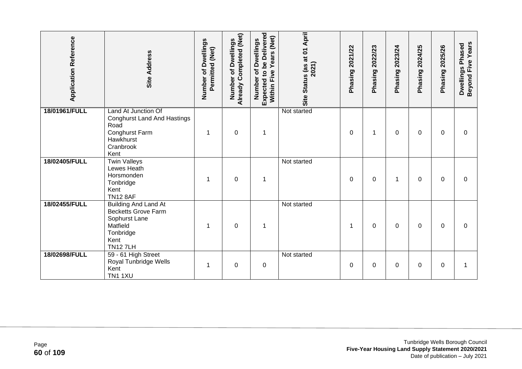| <b>Application Reference</b> | Site Address                                                                                                                  | Number of Dwellings<br>Permitted (Net) | Already Completed (Net)<br>of Dwellings<br>Number | Expected to be Delivered<br>Years (Net)<br>Number of Dwellings<br>Five<br>Within I | Site Status (as at 01 April<br>2021) | 2021/22<br>Phasing <sup>2</sup> | 2022/23<br>Phasing <sup>2</sup> | 2023/24<br>Phasing | 2024/25<br>Phasing: | Phasing 2025/26 | Beyond Five Years<br>Dwellings Phased |
|------------------------------|-------------------------------------------------------------------------------------------------------------------------------|----------------------------------------|---------------------------------------------------|------------------------------------------------------------------------------------|--------------------------------------|---------------------------------|---------------------------------|--------------------|---------------------|-----------------|---------------------------------------|
| 18/01961/FULL                | Land At Junction Of<br><b>Conghurst Land And Hastings</b><br>Road<br>Conghurst Farm<br>Hawkhurst<br>Cranbrook<br>Kent         | 1                                      | $\mathbf 0$                                       | $\mathbf 1$                                                                        | Not started                          | $\Omega$                        | 1                               | 0                  | 0                   | 0               | $\Omega$                              |
| 18/02405/FULL                | <b>Twin Valleys</b><br>Lewes Heath<br>Horsmonden<br>Tonbridge<br>Kent<br><b>TN12 8AF</b>                                      | 1                                      | $\pmb{0}$                                         | $\mathbf 1$                                                                        | Not started                          | 0                               | 0                               | 1                  | 0                   | $\Omega$        | 0                                     |
| 18/02455/FULL                | <b>Building And Land At</b><br><b>Becketts Grove Farm</b><br>Sophurst Lane<br>Matfield<br>Tonbridge<br>Kent<br><b>TN127LH</b> | 1                                      | $\pmb{0}$                                         | $\mathbf 1$                                                                        | Not started                          | 1                               | 0                               | 0                  | $\Omega$            | $\mathbf 0$     | $\Omega$                              |
| 18/02698/FULL                | 59 - 61 High Street<br>Royal Tunbridge Wells<br>Kent<br><b>TN1 1XU</b>                                                        | 1                                      | $\mathbf 0$                                       | $\boldsymbol{0}$                                                                   | Not started                          | $\Omega$                        | $\Omega$                        | 0                  | $\Omega$            | $\Omega$        | 1                                     |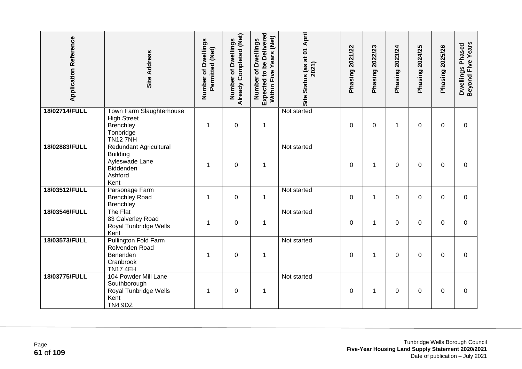| <b>Application Reference</b> | <b>Site Address</b>                                                                         | Number of Dwellings<br>Permitted (Net) | Already Completed (Net)<br>Number of Dwellings | <b>Expected to be Delivered</b><br>Within Five Years (Net)<br>Number of Dwellings | Site Status (as at 01 April<br>2021) | Phasing 2021/22 | Phasing 2022/23 | Phasing 2023/24 | 2024/25<br>Phasing | Phasing 2025/26 | <b>Beyond Five Years</b><br>Dwellings Phased |
|------------------------------|---------------------------------------------------------------------------------------------|----------------------------------------|------------------------------------------------|-----------------------------------------------------------------------------------|--------------------------------------|-----------------|-----------------|-----------------|--------------------|-----------------|----------------------------------------------|
| 18/02714/FULL                | Town Farm Slaughterhouse<br><b>High Street</b><br>Brenchley<br>Tonbridge<br><b>TN127NH</b>  | 1                                      | $\boldsymbol{0}$                               | 1                                                                                 | Not started                          | $\mathbf 0$     | 0               | 1               | $\Omega$           | $\mathbf 0$     | $\mathbf 0$                                  |
| 18/02883/FULL                | Redundant Agricultural<br><b>Building</b><br>Ayleswade Lane<br>Biddenden<br>Ashford<br>Kent | 1                                      | $\mathbf 0$                                    | $\mathbf 1$                                                                       | Not started                          | $\Omega$        | $\mathbf 1$     | $\Omega$        | 0                  | $\Omega$        | $\Omega$                                     |
| 18/03512/FULL                | Parsonage Farm<br><b>Brenchley Road</b><br><b>Brenchley</b>                                 | $\mathbf 1$                            | $\mathbf 0$                                    | 1                                                                                 | Not started                          | $\mathbf 0$     | 1               | 0               | 0                  | $\Omega$        | $\mathbf 0$                                  |
| 18/03546/FULL                | The Flat<br>83 Calverley Road<br>Royal Tunbridge Wells<br>Kent                              | 1                                      | $\boldsymbol{0}$                               | 1                                                                                 | Not started                          | 0               | 1               | 0               | 0                  | 0               | 0                                            |
| 18/03573/FULL                | Pullington Fold Farm<br>Rolvenden Road<br>Benenden<br>Cranbrook<br><b>TN17 4EH</b>          | 1                                      | $\mathbf 0$                                    | $\mathbf 1$                                                                       | Not started                          | $\Omega$        | 1               | 0               | 0                  | $\Omega$        | $\Omega$                                     |
| 18/03775/FULL                | 104 Powder Mill Lane<br>Southborough<br>Royal Tunbridge Wells<br>Kent<br><b>TN4 9DZ</b>     | 1                                      | $\mathbf 0$                                    | 1                                                                                 | Not started                          | 0               | 1               | 0               | 0                  | $\Omega$        | $\mathbf 0$                                  |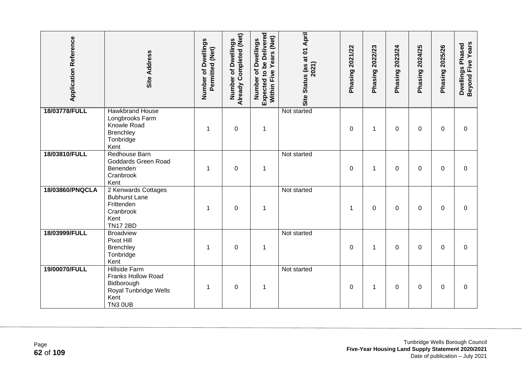| <b>Application Reference</b> | Site Address                                                                                                       | Number of Dwellings<br>Permitted (Net) | Already Completed (Net)<br>Number of Dwellings | <b>Expected to be Delivered</b><br>Within Five Years (Net)<br>Number of Dwellings | Site Status (as at 01 April<br>2021) | Phasing 2021/22 | Phasing 2022/23 | Phasing 2023/24 | Phasing 2024/25 | Phasing 2025/26 | Beyond Five Years<br>Dwellings Phased |
|------------------------------|--------------------------------------------------------------------------------------------------------------------|----------------------------------------|------------------------------------------------|-----------------------------------------------------------------------------------|--------------------------------------|-----------------|-----------------|-----------------|-----------------|-----------------|---------------------------------------|
| 18/03778/FULL                | <b>Hawkbrand House</b><br>Longbrooks Farm<br>Knowle Road<br>Brenchley<br>Tonbridge<br>Kent                         |                                        | $\mathbf 0$                                    | 1                                                                                 | Not started                          | 0               | 1               | 0               | $\Omega$        | $\mathbf 0$     | 0                                     |
| 18/03810/FULL                | Redhouse Barn<br>Goddards Green Road<br>Benenden<br>Cranbrook<br>Kent                                              | 1                                      | $\boldsymbol{0}$                               | $\mathbf 1$                                                                       | Not started                          | 0               | 1               | 0               | 0               | $\mathbf 0$     | $\mathbf 0$                           |
| 18/03860/PNQCLA              | 2 Kenwards Cottages<br><b>Bubhurst Lane</b><br>Frittenden<br>Cranbrook<br>Kent<br><b>TN17 2BD</b>                  | 1                                      | $\mathbf 0$                                    | $\mathbf 1$                                                                       | Not started                          | 1               | 0               | 0               | 0               | 0               | 0                                     |
| 18/03999/FULL                | <b>Broadview</b><br>Pixot Hill<br>Brenchley<br>Tonbridge<br>Kent                                                   | 1                                      | $\mathbf 0$                                    | $\mathbf 1$                                                                       | Not started                          | $\Omega$        | $\mathbf 1$     | 0               | $\Omega$        | $\Omega$        | $\Omega$                              |
| 19/00070/FULL                | <b>Hillside Farm</b><br><b>Franks Hollow Road</b><br>Bidborough<br>Royal Tunbridge Wells<br>Kent<br><b>TN3 0UB</b> | 1                                      | $\boldsymbol{0}$                               | $\mathbf{1}$                                                                      | Not started                          | 0               | 1               | 0               | 0               | $\Omega$        | $\Omega$                              |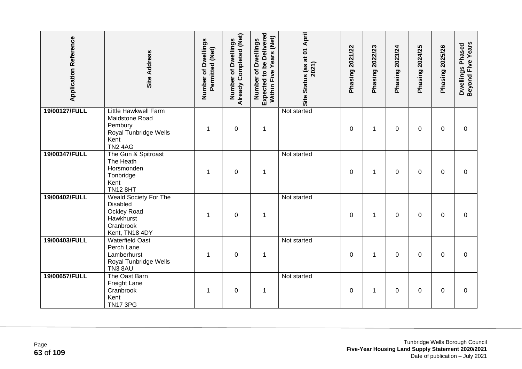| <b>Application Reference</b> | <b>Site Address</b>                                                                                         | Number of Dwellings<br>Permitted (Net) | Already Completed (Net)<br>Number of Dwellings | <b>Expected to be Delivered</b><br>Within Five Years (Net)<br>Number of Dwellings | Site Status (as at 01 April<br>2021) | Phasing 2021/22 | Phasing 2022/23 | Phasing 2023/24 | Phasing 2024/25 | <b>Phasing 2025/26</b> | Beyond Five Years<br>Dwellings Phased |
|------------------------------|-------------------------------------------------------------------------------------------------------------|----------------------------------------|------------------------------------------------|-----------------------------------------------------------------------------------|--------------------------------------|-----------------|-----------------|-----------------|-----------------|------------------------|---------------------------------------|
| 19/00127/FULL                | <b>Little Hawkwell Farm</b><br>Maidstone Road<br>Pembury<br>Royal Tunbridge Wells<br>Kent<br><b>TN2 4AG</b> |                                        | $\mathbf 0$                                    | $\mathbf 1$                                                                       | Not started                          | 0               | 1               | 0               | $\Omega$        | $\mathbf 0$            | 0                                     |
| 19/00347/FULL                | The Gun & Spitroast<br>The Heath<br>Horsmonden<br>Tonbridge<br>Kent<br><b>TN12 8HT</b>                      | 1                                      | $\boldsymbol{0}$                               | 1                                                                                 | Not started                          | 0               | 1               | 0               | 0               | 0                      | 0                                     |
| 19/00402/FULL                | <b>Weald Society For The</b><br><b>Disabled</b><br>Ockley Road<br>Hawkhurst<br>Cranbrook<br>Kent, TN18 4DY  | 1                                      | $\boldsymbol{0}$                               | $\mathbf 1$                                                                       | Not started                          | 0               | 1               | 0               | 0               | 0                      | 0                                     |
| 19/00403/FULL                | <b>Waterfield Oast</b><br>Perch Lane<br>Lamberhurst<br>Royal Tunbridge Wells<br>TN3 8AU                     | 1                                      | $\overline{0}$                                 | $\mathbf 1$                                                                       | Not started                          | $\mathbf{0}$    | $\mathbf 1$     | 0               | $\Omega$        | $\Omega$               | $\Omega$                              |
| 19/00657/FULL                | The Oast Barn<br><b>Freight Lane</b><br>Cranbrook<br>Kent<br><b>TN17 3PG</b>                                | 1                                      | $\mathbf 0$                                    | $\mathbf 1$                                                                       | Not started                          | 0               | 1               | 0               | 0               | 0                      | 0                                     |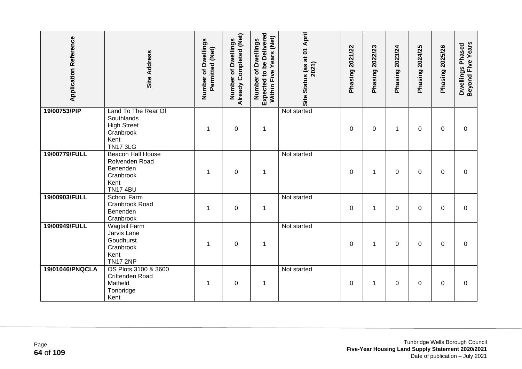| <b>Application Reference</b> | <b>Site Address</b>                                                                             | Number of Dwellings<br>Permitted (Net) | <b>Already Completed (Net)</b><br>of Dwellings<br>Number | Expected to be Delivered<br>Years (Net)<br>Number of Dwellings<br>Within Five | Site Status (as at 01 April<br>2021) | Phasing 2021/22 | Phasing 2022/23 | Phasing 2023/24 | 2024/25<br>Phasing | Phasing 2025/26 | Beyond Five Years<br>Dwellings Phased |
|------------------------------|-------------------------------------------------------------------------------------------------|----------------------------------------|----------------------------------------------------------|-------------------------------------------------------------------------------|--------------------------------------|-----------------|-----------------|-----------------|--------------------|-----------------|---------------------------------------|
| 19/00753/PIP                 | Land To The Rear Of<br>Southlands<br><b>High Street</b><br>Cranbrook<br>Kent<br><b>TN17 3LG</b> | 1                                      | $\mathbf 0$                                              | $\mathbf 1$                                                                   | Not started                          | 0               | 0               | 1               | $\Omega$           | $\mathbf 0$     | $\Omega$                              |
| 19/00779/FULL                | <b>Beacon Hall House</b><br>Rolvenden Road<br>Benenden<br>Cranbrook<br>Kent<br><b>TN17 4BU</b>  | 1                                      | $\mathbf 0$                                              | $\mathbf 1$                                                                   | Not started                          | 0               | 1               | 0               | 0                  | 0               | 0                                     |
| 19/00903/FULL                | <b>School Farm</b><br>Cranbrook Road<br>Benenden<br>Cranbrook                                   | 1                                      | $\mathbf 0$                                              | $\mathbf 1$                                                                   | Not started                          | 0               | 1               | 0               | 0                  | $\mathbf{0}$    | $\overline{0}$                        |
| 19/00949/FULL                | Wagtail Farm<br>Jarvis Lane<br>Goudhurst<br>Cranbrook<br>Kent<br><b>TN17 2NP</b>                | 1                                      | $\boldsymbol{0}$                                         | 1                                                                             | Not started                          | 0               | 1               | 0               | 0                  | $\mathbf{0}$    | $\Omega$                              |
| 19/01046/PNQCLA              | OS Plots 3100 & 3600<br>Crittenden Road<br>Matfield<br>Tonbridge<br>Kent                        | 1                                      | $\mathbf 0$                                              | $\mathbf 1$                                                                   | Not started                          | 0               | 1               | 0               | 0                  | 0               | 0                                     |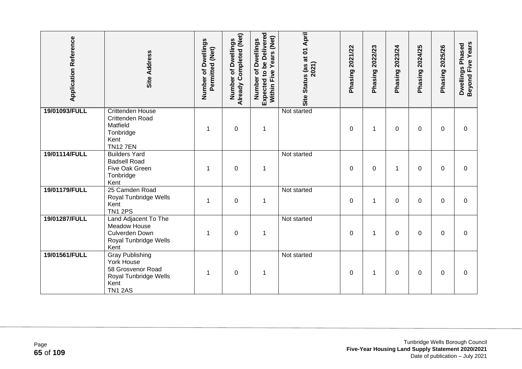| <b>Application Reference</b> | <b>Site Address</b>                                                                                          | Number of Dwellings<br>Permitted (Net) | Already Completed (Net)<br>Dwellings<br>đ<br>Number | <b>Expected to be Delivered</b><br>Years (Net)<br>Number of Dwellings<br>Five<br>Within | Site Status (as at 01 April<br>2021) | Phasing 2021/22 | 2022/23<br>Phasing | 2023/24<br>Phasing | 2024/25<br>Phasing | 2025/26<br>Phasing | Beyond Five Years<br>Dwellings Phased |
|------------------------------|--------------------------------------------------------------------------------------------------------------|----------------------------------------|-----------------------------------------------------|-----------------------------------------------------------------------------------------|--------------------------------------|-----------------|--------------------|--------------------|--------------------|--------------------|---------------------------------------|
| 19/01093/FULL                | <b>Crittenden House</b><br>Crittenden Road<br>Matfield<br>Tonbridge<br>Kent<br><b>TN127EN</b>                | 1                                      | $\boldsymbol{0}$                                    | 1                                                                                       | Not started                          | 0               | 1                  | $\Omega$           | 0                  | 0                  | 0                                     |
| 19/01114/FULL                | <b>Builders Yard</b><br><b>Badsell Road</b><br>Five Oak Green<br>Tonbridge<br>Kent                           | 1                                      | $\boldsymbol{0}$                                    | $\mathbf 1$                                                                             | Not started                          | 0               | 0                  | 1                  | 0                  | $\mathbf{0}$       | $\Omega$                              |
| 19/01179/FULL                | 25 Camden Road<br>Royal Tunbridge Wells<br>Kent<br><b>TN1 2PS</b>                                            | 1                                      | 0                                                   | 1                                                                                       | Not started                          | 0               | 1                  | 0                  | 0                  | 0                  | 0                                     |
| 19/01287/FULL                | Land Adjacent To The<br>Meadow House<br>Culverden Down<br>Royal Tunbridge Wells<br>Kent                      | 1                                      | $\pmb{0}$                                           | 1                                                                                       | Not started                          | 0               | 1                  | 0                  | 0                  | 0                  | 0                                     |
| 19/01561/FULL                | <b>Gray Publishing</b><br>York House<br>58 Grosvenor Road<br>Royal Tunbridge Wells<br>Kent<br><b>TN1 2AS</b> |                                        | $\boldsymbol{0}$                                    | $\mathbf 1$                                                                             | Not started                          | 0               | 1                  | 0                  | 0                  | $\mathbf{0}$       | $\Omega$                              |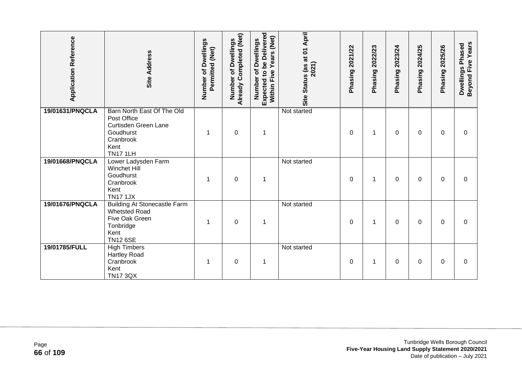| <b>Application Reference</b> | <b>Site Address</b>                                                                                                    | Number of Dwellings<br>Permitted (Net) | Already Completed (Net)<br>of Dwellings<br>Number | Expected to be Delivered<br>Years (Net)<br>Number of Dwellings<br>Within Five | Site Status (as at 01 April<br>2021) | Phasing 2021/22 | Phasing 2022/23 | 2023/24<br>Phasing | Phasing 2024/25 | Phasing 2025/26 | Beyond Five Years<br>Dwellings Phased |
|------------------------------|------------------------------------------------------------------------------------------------------------------------|----------------------------------------|---------------------------------------------------|-------------------------------------------------------------------------------|--------------------------------------|-----------------|-----------------|--------------------|-----------------|-----------------|---------------------------------------|
| 19/01631/PNQCLA              | Barn North East Of The Old<br>Post Office<br>Curtisden Green Lane<br>Goudhurst<br>Cranbrook<br>Kent<br><b>TN17 1LH</b> | -1                                     | $\mathbf 0$                                       | $\mathbf 1$                                                                   | Not started                          | $\mathbf{0}$    | $\mathbf 1$     | 0                  | 0               | $\mathbf{0}$    | 0                                     |
| 19/01668/PNQCLA              | Lower Ladysden Farm<br>Winchet Hill<br>Goudhurst<br>Cranbrook<br>Kent<br><b>TN17 1JX</b>                               |                                        | $\boldsymbol{0}$                                  | 1                                                                             | Not started                          | 0               | $\mathbf 1$     | 0                  | 0               | 0               | 0                                     |
| 19/01676/PNQCLA              | <b>Building At Stonecastle Farm</b><br><b>Whetsted Road</b><br>Five Oak Green<br>Tonbridge<br>Kent<br><b>TN12 6SE</b>  |                                        | $\boldsymbol{0}$                                  | $\mathbf 1$                                                                   | Not started                          | 0               | 1               | 0                  | 0               | 0               | 0                                     |
| 19/01785/FULL                | <b>High Timbers</b><br><b>Hartley Road</b><br>Cranbrook<br>Kent<br><b>TN17 3QX</b>                                     |                                        | $\pmb{0}$                                         | 1                                                                             | Not started                          | 0               | 1               | 0                  | 0               | 0               | 0                                     |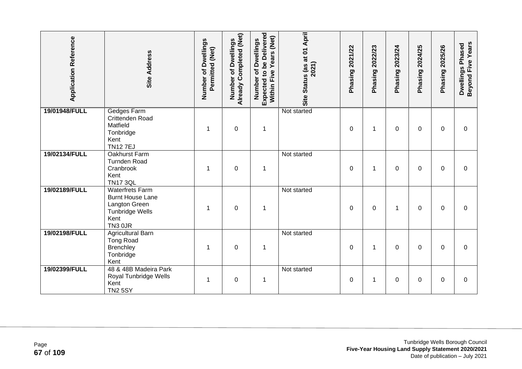| <b>Application Reference</b> | <b>Site Address</b>                                                                                             | Number of Dwellings<br>Permitted (Net) | Already Completed (Net)<br>Dwellings<br>đ<br>Number | <b>Expected to be Delivered</b><br>Years (Net)<br>Number of Dwellings<br>Five<br>Within | Site Status (as at 01 April<br>2021) | Phasing 2021/22 | 2022/23<br>Phasing <sup>2</sup> | 2023/24<br>Phasing | 2024/25<br>Phasing | 2025/26<br>Phasing | Beyond Five Years<br>Dwellings Phased |
|------------------------------|-----------------------------------------------------------------------------------------------------------------|----------------------------------------|-----------------------------------------------------|-----------------------------------------------------------------------------------------|--------------------------------------|-----------------|---------------------------------|--------------------|--------------------|--------------------|---------------------------------------|
| 19/01948/FULL                | <b>Gedges Farm</b><br>Crittenden Road<br>Matfield<br>Tonbridge<br>Kent<br><b>TN127EJ</b>                        | 1                                      | $\boldsymbol{0}$                                    | $\mathbf 1$                                                                             | Not started                          | 0               | 1                               | $\Omega$           | 0                  | 0                  | $\mathbf 0$                           |
| 19/02134/FULL                | Oakhurst Farm<br><b>Turnden Road</b><br>Cranbrook<br>Kent<br><b>TN17 3QL</b>                                    | 1                                      | $\boldsymbol{0}$                                    | $\mathbf 1$                                                                             | Not started                          | 0               | $\mathbf 1$                     | 0                  | 0                  | $\mathbf{0}$       | $\Omega$                              |
| 19/02189/FULL                | <b>Waterfrets Farm</b><br><b>Burnt House Lane</b><br>Langton Green<br><b>Tunbridge Wells</b><br>Kent<br>TN3 0JR | 1                                      | $\overline{0}$                                      | $\mathbf 1$                                                                             | Not started                          | $\mathbf{0}$    | $\Omega$                        | 1                  | 0                  | $\mathbf{0}$       | $\Omega$                              |
| 19/02198/FULL                | Agricultural Barn<br><b>Tong Road</b><br><b>Brenchley</b><br>Tonbridge<br>Kent                                  | 1                                      | $\mathbf 0$                                         | 1                                                                                       | Not started                          | 0               | 1                               | 0                  | 0                  | 0                  | 0                                     |
| 19/02399/FULL                | 48 & 48B Madeira Park<br>Royal Tunbridge Wells<br>Kent<br><b>TN2 5SY</b>                                        | 1                                      | $\mathbf 0$                                         | $\mathbf 1$                                                                             | Not started                          | $\mathbf 0$     | 1                               | 0                  | 0                  | $\mathbf{0}$       | $\overline{0}$                        |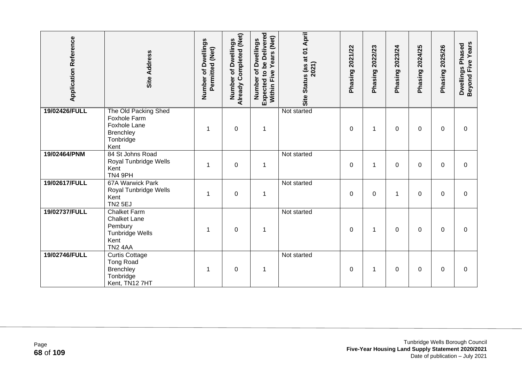| <b>Application Reference</b> | Site Address                                                                                                   | Number of Dwellings<br>Permitted (Net) | <b>Already Completed (Net)</b><br>Number of Dwellings | Expected to be Delivered<br>Years (Net)<br>Number of Dwellings<br>Five<br>Within I | Site Status (as at 01 April<br>2021) | 2021/22<br>Phasing | 2022/23<br>Phasing | 2023/24<br>Phasing | 2024/25<br>Phasing | 2025/26<br>Phasing | Beyond Five Years<br>Dwellings Phased |
|------------------------------|----------------------------------------------------------------------------------------------------------------|----------------------------------------|-------------------------------------------------------|------------------------------------------------------------------------------------|--------------------------------------|--------------------|--------------------|--------------------|--------------------|--------------------|---------------------------------------|
| 19/02426/FULL                | The Old Packing Shed<br>Foxhole Farm<br><b>Foxhole Lane</b><br>Brenchley<br>Tonbridge<br>Kent                  | 1                                      | $\mathbf 0$                                           | $\mathbf 1$                                                                        | Not started                          | 0                  | 1                  | 0                  | 0                  | 0                  | $\Omega$                              |
| 19/02464/PNM                 | 84 St Johns Road<br>Royal Tunbridge Wells<br>Kent<br>TN4 9PH                                                   | 1                                      | $\mathbf 0$                                           | $\mathbf 1$                                                                        | Not started                          | 0                  | 1                  | 0                  | 0                  | 0                  | $\Omega$                              |
| 19/02617/FULL                | 67A Warwick Park<br>Royal Tunbridge Wells<br>Kent<br><b>TN2 5EJ</b>                                            | 1                                      | $\mathbf 0$                                           | $\mathbf 1$                                                                        | Not started                          | 0                  | $\mathbf 0$        | 1                  | 0                  | 0                  | 0                                     |
| 19/02737/FULL                | <b>Chalket Farm</b><br><b>Chalket Lane</b><br>Pembury<br><b>Tunbridge Wells</b><br>Kent<br>TN <sub>2</sub> 4AA | 1                                      | $\mathbf 0$                                           | $\mathbf 1$                                                                        | Not started                          | 0                  | 1                  | 0                  | 0                  | $\Omega$           | 0                                     |
| 19/02746/FULL                | <b>Curtis Cottage</b><br><b>Tong Road</b><br>Brenchley<br>Tonbridge<br>Kent, TN12 7HT                          |                                        | $\mathbf 0$                                           | 1                                                                                  | Not started                          | 0                  | 1                  | 0                  | 0                  | 0                  | 0                                     |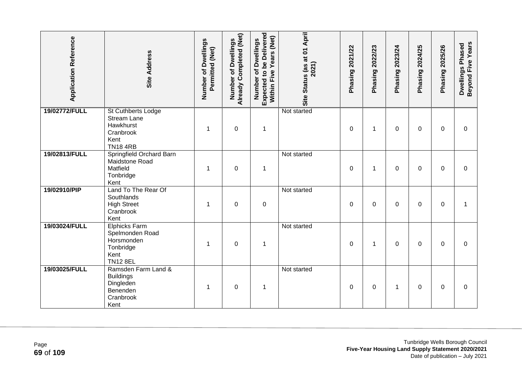| <b>Application Reference</b> | <b>Site Address</b>                                                                                 | Number of Dwellings<br>Permitted (Net) | Already Completed (Net)<br><b>Dwellings</b><br>đ<br>Number | Expected to be Delivered<br>Within Five Years (Net)<br>Number of Dwellings | Site Status (as at 01 April<br>2021) | Phasing 2021/22 | Phasing 2022/23 | Phasing 2023/24 | 2024/25<br>Phasing? | <b>Phasing 2025/26</b> | Beyond Five Years<br>Dwellings Phased |
|------------------------------|-----------------------------------------------------------------------------------------------------|----------------------------------------|------------------------------------------------------------|----------------------------------------------------------------------------|--------------------------------------|-----------------|-----------------|-----------------|---------------------|------------------------|---------------------------------------|
| 19/02772/FULL                | <b>St Cuthberts Lodge</b><br><b>Stream Lane</b><br>Hawkhurst<br>Cranbrook<br>Kent<br><b>TN184RB</b> | 1                                      | $\boldsymbol{0}$                                           | $\mathbf{1}$                                                               | Not started                          | 0               | 1               | 0               | 0                   | 0                      | 0                                     |
| 19/02813/FULL                | Springfield Orchard Barn<br>Maidstone Road<br>Matfield<br>Tonbridge<br>Kent                         | 1                                      | $\boldsymbol{0}$                                           | $\mathbf 1$                                                                | Not started                          | 0               | $\mathbf 1$     | 0               | 0                   | $\mathbf{0}$           | 0                                     |
| 19/02910/PIP                 | Land To The Rear Of<br>Southlands<br><b>High Street</b><br>Cranbrook<br>Kent                        | 1                                      | $\mathbf 0$                                                | $\boldsymbol{0}$                                                           | Not started                          | $\mathbf{0}$    | $\Omega$        | 0               | $\Omega$            | $\Omega$               | 1                                     |
| 19/03024/FULL                | <b>Elphicks Farm</b><br>Spelmonden Road<br>Horsmonden<br>Tonbridge<br>Kent<br><b>TN12 8EL</b>       | 1                                      | $\boldsymbol{0}$                                           | $\mathbf{1}$                                                               | Not started                          | 0               | 1               | $\Omega$        | $\mathbf{0}$        | $\mathbf{0}$           | $\Omega$                              |
| 19/03025/FULL                | Ramsden Farm Land &<br><b>Buildings</b><br>Dingleden<br>Benenden<br>Cranbrook<br>Kent               | 1                                      | $\boldsymbol{0}$                                           | $\mathbf 1$                                                                | Not started                          | 0               | 0               | 1               | $\Omega$            | $\Omega$               | $\Omega$                              |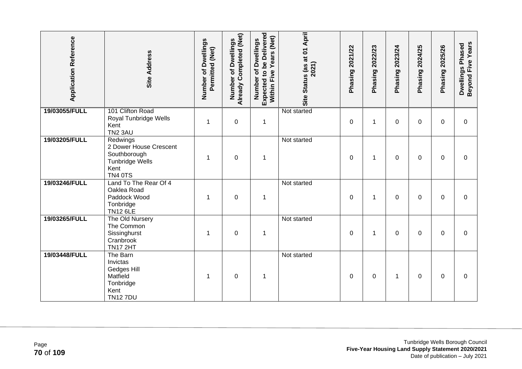| <b>Application Reference</b> | Site Address                                                                                           | Number of Dwellings<br>Permitted (Net) | Already Completed (Net)<br>Number of Dwellings | Expected to be Delivered<br>Years (Net)<br>Number of Dwellings<br>Within Five | Site Status (as at 01 April<br>2021) | Phasing 2021/22 | Phasing 2022/23 | Phasing 2023/24 | Phasing 2024/25 | Phasing 2025/26 | Beyond Five Years<br>Dwellings Phased |
|------------------------------|--------------------------------------------------------------------------------------------------------|----------------------------------------|------------------------------------------------|-------------------------------------------------------------------------------|--------------------------------------|-----------------|-----------------|-----------------|-----------------|-----------------|---------------------------------------|
| 19/03055/FULL                | 101 Clifton Road<br>Royal Tunbridge Wells<br>Kent<br><b>TN2 3AU</b>                                    | $\mathbf{1}$                           | $\boldsymbol{0}$                               | $\mathbf{1}$                                                                  | Not started                          | $\mathbf 0$     | 1               | 0               | 0               | $\Omega$        | $\mathbf 0$                           |
| 19/03205/FULL                | Redwings<br>2 Dower House Crescent<br>Southborough<br><b>Tunbridge Wells</b><br>Kent<br><b>TN4 0TS</b> | $\mathbf 1$                            | $\mathbf 0$                                    | $\mathbf 1$                                                                   | Not started                          | 0               | $\mathbf{1}$    | 0               | 0               | $\mathbf{0}$    | $\Omega$                              |
| 19/03246/FULL                | Land To The Rear Of 4<br>Oaklea Road<br>Paddock Wood<br>Tonbridge<br><b>TN12 6LE</b>                   | 1                                      | $\mathbf 0$                                    | $\mathbf 1$                                                                   | Not started                          | 0               | 1               | 0               | 0               | $\Omega$        | 0                                     |
| 19/03265/FULL                | The Old Nursery<br>The Common<br>Sissinghurst<br>Cranbrook<br><b>TN17 2HT</b>                          | 1                                      | $\boldsymbol{0}$                               | $\mathbf 1$                                                                   | Not started                          | 0               | 1               | 0               | 0               | 0               | 0                                     |
| 19/03448/FULL                | The Barn<br>Invictas<br>Gedges Hill<br>Matfield<br>Tonbridge<br>Kent<br><b>TN127DU</b>                 | 1                                      | $\boldsymbol{0}$                               | 1                                                                             | Not started                          | 0               | 0               | 1               | 0               | 0               | $\Omega$                              |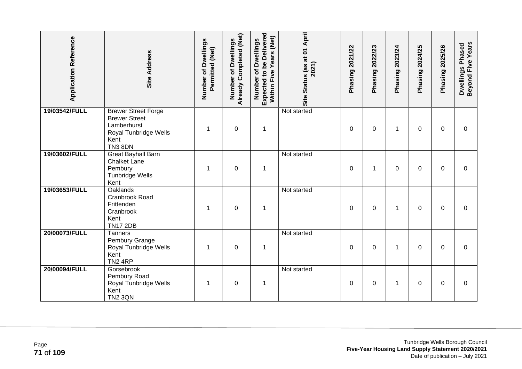| <b>Application Reference</b> | Site Address                                                                                                         | Number of Dwellings<br>Permitted (Net) | Already Completed (Net)<br>of Dwellings<br>Number | Expected to be Delivered<br>Years (Net)<br>Number of Dwellings<br>Within Five | Site Status (as at 01 April<br>2021) | Phasing 2021/22 | Phasing 2022/23 | Phasing 2023/24 | 2024/25<br>Phasing | <b>Phasing 2025/26</b> | Beyond Five Years<br>Dwellings Phased |
|------------------------------|----------------------------------------------------------------------------------------------------------------------|----------------------------------------|---------------------------------------------------|-------------------------------------------------------------------------------|--------------------------------------|-----------------|-----------------|-----------------|--------------------|------------------------|---------------------------------------|
| 19/03542/FULL                | <b>Brewer Street Forge</b><br><b>Brewer Street</b><br>Lamberhurst<br>Royal Tunbridge Wells<br>Kent<br><b>TN3 8DN</b> | 1                                      | $\mathbf 0$                                       | $\mathbf 1$                                                                   | Not started                          | $\Omega$        | $\mathbf 0$     | 1               | $\Omega$           | $\overline{0}$         | $\overline{0}$                        |
| 19/03602/FULL                | <b>Great Bayhall Barn</b><br><b>Chalket Lane</b><br>Pembury<br><b>Tunbridge Wells</b><br>Kent                        | 1                                      | $\mathbf 0$                                       | $\mathbf 1$                                                                   | Not started                          | $\Omega$        | 1               | 0               | $\Omega$           | $\Omega$               | 0                                     |
| 19/03653/FULL                | <b>Oaklands</b><br>Cranbrook Road<br>Frittenden<br>Cranbrook<br>Kent<br><b>TN17 2DB</b>                              | 1                                      | $\pmb{0}$                                         | $\mathbf 1$                                                                   | Not started                          | $\mathbf 0$     | $\mathbf 0$     | 1               | $\Omega$           | $\mathbf 0$            | $\overline{0}$                        |
| 20/00073/FULL                | <b>Tanners</b><br>Pembury Grange<br>Royal Tunbridge Wells<br>Kent<br>TN <sub>2</sub> 4RP                             | 1                                      | $\mathbf 0$                                       | $\mathbf 1$                                                                   | Not started                          | $\Omega$        | $\mathbf 0$     | 1               | 0                  | $\Omega$               | 0                                     |
| 20/00094/FULL                | Gorsebrook<br>Pembury Road<br>Royal Tunbridge Wells<br>Kent<br><b>TN2 3QN</b>                                        | 1                                      | $\mathbf 0$                                       | $\mathbf 1$                                                                   | Not started                          | 0               | 0               | 1               | 0                  | 0                      | 0                                     |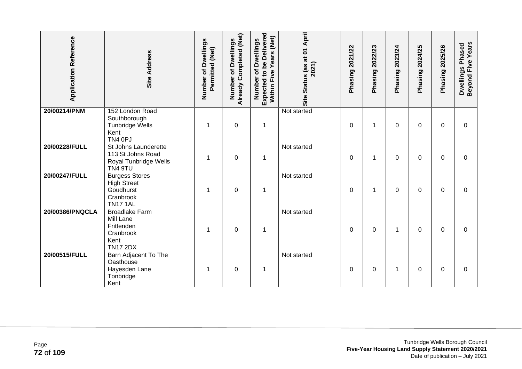| <b>Application Reference</b> | <b>Site Address</b>                                                                      | Number of Dwellings<br>Permitted (Net) | Already Completed (Net)<br><b>Dwellings</b><br>৳<br>Number | <b>Expected to be Delivered</b><br>Years (Net)<br>Number of Dwellings<br>Within Five | Site Status (as at 01 April<br>2021) | 2021/22<br>Phasing | 2022/23<br>Phasing | 2023/24<br>Phasing | 2024/25<br>Phasing | 2025/26<br>Phasing | Beyond Five Years<br>Dwellings Phased |
|------------------------------|------------------------------------------------------------------------------------------|----------------------------------------|------------------------------------------------------------|--------------------------------------------------------------------------------------|--------------------------------------|--------------------|--------------------|--------------------|--------------------|--------------------|---------------------------------------|
| 20/00214/PNM                 | 152 London Road<br>Southborough<br>Tunbridge Wells<br>Kent<br>TN4 0PJ                    | 1                                      | $\mathbf 0$                                                | $\mathbf 1$                                                                          | Not started                          | 0                  | 1                  | 0                  | 0                  | 0                  | 0                                     |
| 20/00228/FULL                | St Johns Launderette<br>113 St Johns Road<br>Royal Tunbridge Wells<br>TN4 9TU            | 1                                      | $\boldsymbol{0}$                                           | $\mathbf 1$                                                                          | Not started                          | 0                  | 1                  | 0                  | 0                  | 0                  | $\mathbf 0$                           |
| 20/00247/FULL                | <b>Burgess Stores</b><br><b>High Street</b><br>Goudhurst<br>Cranbrook<br><b>TN17 1AL</b> |                                        | $\boldsymbol{0}$                                           | 1                                                                                    | Not started                          | 0                  | 1                  | 0                  | 0                  | $\mathbf{0}$       | 0                                     |
| 20/00386/PNQCLA              | <b>Broadlake Farm</b><br>Mill Lane<br>Frittenden<br>Cranbrook<br>Kent<br><b>TN17 2DX</b> | 1                                      | $\mathbf 0$                                                | $\mathbf 1$                                                                          | Not started                          | 0                  | 0                  | 1                  | 0                  | 0                  | 0                                     |
| 20/00515/FULL                | Barn Adjacent To The<br>Oasthouse<br>Hayesden Lane<br>Tonbridge<br>Kent                  |                                        | $\pmb{0}$                                                  | 1                                                                                    | Not started                          | 0                  | 0                  | 1                  | 0                  | 0                  | 0                                     |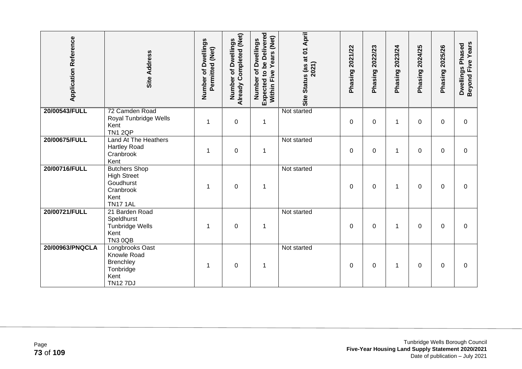| <b>Application Reference</b> | Site Address                                                                                    | Number of Dwellings<br>Permitted (Net) | Already Completed (Net)<br><b>Dwellings</b><br>Number of | Expected to be Delivered<br>Years (Net)<br>Number of Dwellings<br>Five<br>Within I | Site Status (as at 01 April<br>2021) | 2021/22<br>Phasing | 2022/23<br>Phasing | 2023/24<br>Phasing | 2024/25<br>Phasing | 2025/26<br>Phasing | Beyond Five Years<br>Dwellings Phased |
|------------------------------|-------------------------------------------------------------------------------------------------|----------------------------------------|----------------------------------------------------------|------------------------------------------------------------------------------------|--------------------------------------|--------------------|--------------------|--------------------|--------------------|--------------------|---------------------------------------|
| 20/00543/FULL                | 72 Camden Road<br>Royal Tunbridge Wells<br>Kent<br><b>TN1 2QP</b>                               | 1                                      | $\mathbf 0$                                              | $\mathbf 1$                                                                        | Not started                          | $\Omega$           | 0                  | 1                  | $\Omega$           | $\Omega$           | 0                                     |
| 20/00675/FULL                | Land At The Heathers<br><b>Hartley Road</b><br>Cranbrook<br>Kent                                | 1                                      | $\mathbf 0$                                              | $\mathbf 1$                                                                        | Not started                          | 0                  | 0                  | 1                  | 0                  | 0                  | $\mathbf 0$                           |
| 20/00716/FULL                | <b>Butchers Shop</b><br><b>High Street</b><br>Goudhurst<br>Cranbrook<br>Kent<br><b>TN17 1AL</b> | 1                                      | $\pmb{0}$                                                | $\mathbf 1$                                                                        | Not started                          | 0                  | $\pmb{0}$          | 1                  | 0                  | 0                  | 0                                     |
| 20/00721/FULL                | 21 Barden Road<br>Speldhurst<br>Tunbridge Wells<br>Kent<br><b>TN3 0QB</b>                       | 1                                      | $\pmb{0}$                                                | $\mathbf 1$                                                                        | Not started                          | 0                  | $\mathbf 0$        | 1                  | 0                  | 0                  | 0                                     |
| 20/00963/PNQCLA              | Longbrooks Oast<br>Knowle Road<br><b>Brenchley</b><br>Tonbridge<br>Kent<br><b>TN127DJ</b>       | 1                                      | $\mathbf 0$                                              | $\mathbf 1$                                                                        | Not started                          | $\Omega$           | $\Omega$           | 1                  | 0                  | $\Omega$           | $\Omega$                              |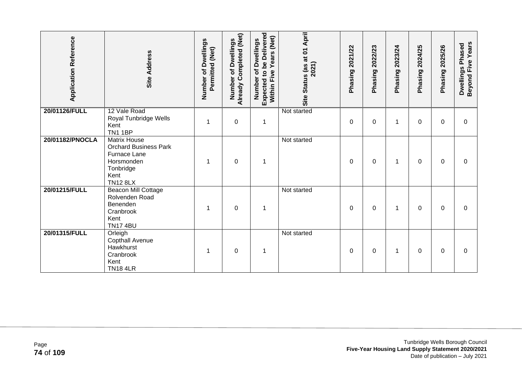| <b>Application Reference</b> | <b>Site Address</b>                                                                                                       | Number of Dwellings<br>Permitted (Net) | Already Completed (Net)<br>of Dwellings<br>Number | <b>Expected to be Delivered</b><br>Years (Net)<br>of Dwellings<br>Within Five<br>Number | Site Status (as at 01 April<br>2021) | Phasing 2021/22 | 2022/23<br>Phasing | 2023/24<br>Phasing | 2024/25<br>Phasing | 2025/26<br>Phasing | Beyond Five Years<br>Dwellings Phased |
|------------------------------|---------------------------------------------------------------------------------------------------------------------------|----------------------------------------|---------------------------------------------------|-----------------------------------------------------------------------------------------|--------------------------------------|-----------------|--------------------|--------------------|--------------------|--------------------|---------------------------------------|
| 20/01126/FULL                | 12 Vale Road<br>Royal Tunbridge Wells<br>Kent<br><b>TN1 1BP</b>                                                           |                                        | $\mathbf 0$                                       | 1                                                                                       | Not started                          | $\Omega$        | 0                  | 1                  | $\Omega$           | $\mathbf{0}$       | 0                                     |
| 20/01182/PNOCLA              | <b>Matrix House</b><br><b>Orchard Business Park</b><br>Furnace Lane<br>Horsmonden<br>Tonbridge<br>Kent<br><b>TN12 8LX</b> |                                        | $\boldsymbol{0}$                                  | 1                                                                                       | Not started                          | 0               | 0                  | 1                  | 0                  | $\Omega$           | $\Omega$                              |
| 20/01215/FULL                | Beacon Mill Cottage<br>Rolvenden Road<br>Benenden<br>Cranbrook<br>Kent<br><b>TN17 4BU</b>                                 | 1                                      | 0                                                 | 1                                                                                       | Not started                          | 0               | 0                  | 1                  | 0                  | 0                  | 0                                     |
| 20/01315/FULL                | Orleigh<br>Copthall Avenue<br>Hawkhurst<br>Cranbrook<br>Kent<br><b>TN18 4LR</b>                                           | 1                                      | 0                                                 | 1                                                                                       | Not started                          | 0               | 0                  | 1                  | 0                  | 0                  | 0                                     |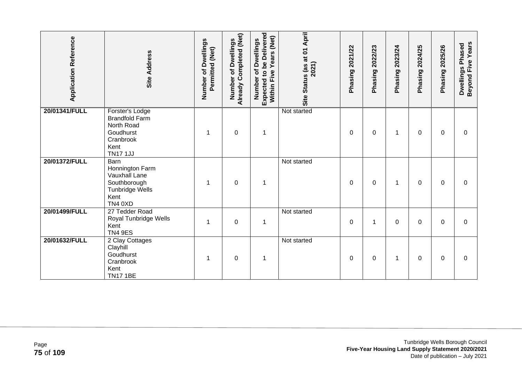| <b>Application Reference</b> | <b>Site Address</b>                                                                                         | Number of Dwellings<br>Permitted (Net) | Already Completed (Net)<br>of Dwellings<br>Number | Expected to be Delivered<br>Years (Net)<br>Number of Dwellings<br>Within Five | Site Status (as at 01 April<br>2021) | 2021/22<br>Phasing | 2022/23<br>Phasing | 2023/24<br>Phasing | 2024/25<br>Phasing | 2025/26<br>Phasing | Beyond Five Years<br>Dwellings Phased |
|------------------------------|-------------------------------------------------------------------------------------------------------------|----------------------------------------|---------------------------------------------------|-------------------------------------------------------------------------------|--------------------------------------|--------------------|--------------------|--------------------|--------------------|--------------------|---------------------------------------|
| 20/01341/FULL                | Forster's Lodge<br><b>Brandfold Farm</b><br>North Road<br>Goudhurst<br>Cranbrook<br>Kent<br><b>TN17 1JJ</b> | 1                                      | $\boldsymbol{0}$                                  | $\mathbf 1$                                                                   | Not started                          | 0                  | 0                  | 1                  | 0                  | 0                  | 0                                     |
| 20/01372/FULL                | Barn<br>Honnington Farm<br>Vauxhall Lane<br>Southborough<br>Tunbridge Wells<br>Kent<br>TN4 0XD              | 1                                      | $\boldsymbol{0}$                                  | 1                                                                             | Not started                          | $\mathbf 0$        | 0                  | 1                  | 0                  | 0                  | 0                                     |
| 20/01499/FULL                | 27 Tedder Road<br>Royal Tunbridge Wells<br>Kent<br><b>TN4 9ES</b>                                           | 1                                      | $\mathbf 0$                                       | $\mathbf 1$                                                                   | Not started                          | 0                  | 1                  | 0                  | 0                  | 0                  | 0                                     |
| 20/01632/FULL                | 2 Clay Cottages<br>Clayhill<br>Goudhurst<br>Cranbrook<br>Kent<br><b>TN17 1BE</b>                            | 1                                      | $\mathbf 0$                                       | 1                                                                             | Not started                          | $\Omega$           | $\Omega$           | 1                  | 0                  | $\Omega$           | $\Omega$                              |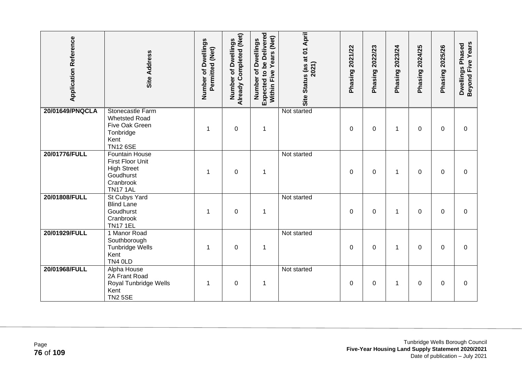| <b>Application Reference</b> | <b>Site Address</b>                                                                                          | Number of Dwellings<br>Permitted (Net) | <b>Already Completed (Net)</b><br>of Dwellings<br>Number | Expected to be Delivered<br>Years (Net)<br>Number of Dwellings<br>Within Five | Site Status (as at 01 April<br>2021) | Phasing 2021/22 | Phasing 2022/23 | Phasing 2023/24 | 2024/25<br>Phasing <sup>2</sup> | Phasing 2025/26 | Beyond Five Years<br>Dwellings Phased |
|------------------------------|--------------------------------------------------------------------------------------------------------------|----------------------------------------|----------------------------------------------------------|-------------------------------------------------------------------------------|--------------------------------------|-----------------|-----------------|-----------------|---------------------------------|-----------------|---------------------------------------|
| 20/01649/PNQCLA              | Stonecastle Farm<br><b>Whetsted Road</b><br>Five Oak Green<br>Tonbridge<br>Kent<br><b>TN12 6SE</b>           | 1                                      | $\mathbf 0$                                              | $\mathbf 1$                                                                   | Not started                          | 0               | 0               | 1               | 0                               | $\mathbf 0$     | $\Omega$                              |
| 20/01776/FULL                | <b>Fountain House</b><br>First Floor Unit<br><b>High Street</b><br>Goudhurst<br>Cranbrook<br><b>TN17 1AL</b> | 1                                      | $\mathbf 0$                                              | $\mathbf 1$                                                                   | Not started                          | 0               | $\mathbf 0$     | 1               | 0                               | 0               | 0                                     |
| 20/01808/FULL                | St Cubys Yard<br><b>Blind Lane</b><br>Goudhurst<br>Cranbrook<br><b>TN17 1EL</b>                              | 1                                      | $\mathbf 0$                                              | $\mathbf 1$                                                                   | Not started                          | 0               | 0               | 1               | 0                               | $\mathbf 0$     | $\boldsymbol{0}$                      |
| 20/01929/FULL                | 1 Manor Road<br>Southborough<br><b>Tunbridge Wells</b><br>Kent<br>TN4 OLD                                    | 1                                      | $\mathbf 0$                                              | $\mathbf 1$                                                                   | Not started                          | 0               | $\pmb{0}$       | 1               | 0                               | 0               | 0                                     |
| 20/01968/FULL                | Alpha House<br>2A Frant Road<br>Royal Tunbridge Wells<br>Kent<br><b>TN2 5SE</b>                              | 1                                      | $\mathbf 0$                                              | $\mathbf{1}$                                                                  | Not started                          | 0               | 0               | 1               | 0                               | 0               | 0                                     |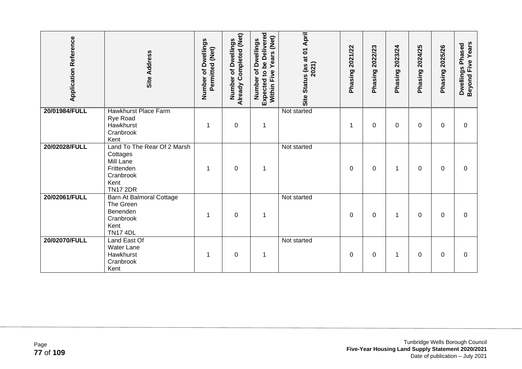| <b>Application Reference</b> | Site Address                                                                                               | Number of Dwellings<br>Permitted (Net) | Already Completed (Net)<br>of Dwellings<br>Number | <b>Expected to be Delivered</b><br>Years (Net)<br>of Dwellings<br>Within Five<br>Number | April<br>Site Status (as at 01<br>2021) | Phasing 2021/22 | 2022/23<br>Phasing | 2023/24<br>Phasing | 2024/25<br>Phasing | 2025/26<br>Phasing | Beyond Five Years<br>Dwellings Phased |
|------------------------------|------------------------------------------------------------------------------------------------------------|----------------------------------------|---------------------------------------------------|-----------------------------------------------------------------------------------------|-----------------------------------------|-----------------|--------------------|--------------------|--------------------|--------------------|---------------------------------------|
| 20/01984/FULL                | <b>Hawkhurst Place Farm</b><br>Rye Road<br>Hawkhurst<br>Cranbrook<br>Kent                                  |                                        | $\mathbf 0$                                       | 1                                                                                       | Not started                             | 1               | 0                  | 0                  | 0                  | $\Omega$           | $\Omega$                              |
| 20/02028/FULL                | Land To The Rear Of 2 Marsh<br>Cottages<br>Mill Lane<br>Frittenden<br>Cranbrook<br>Kent<br><b>TN17 2DR</b> | 1                                      | $\boldsymbol{0}$                                  | $\mathbf 1$                                                                             | Not started                             | 0               | 0                  | 1                  | 0                  | $\mathbf{0}$       | 0                                     |
| 20/02061/FULL                | Barn At Balmoral Cottage<br>The Green<br>Benenden<br>Cranbrook<br>Kent<br><b>TN17 4DL</b>                  |                                        | $\mathbf 0$                                       | 1                                                                                       | Not started                             | 0               | 0                  | 1                  | 0                  | $\mathbf{0}$       | 0                                     |
| 20/02070/FULL                | Land East Of<br>Water Lane<br>Hawkhurst<br>Cranbrook<br>Kent                                               |                                        | $\pmb{0}$                                         | 1                                                                                       | Not started                             | 0               | 0                  | 1                  | 0                  | $\Omega$           | 0                                     |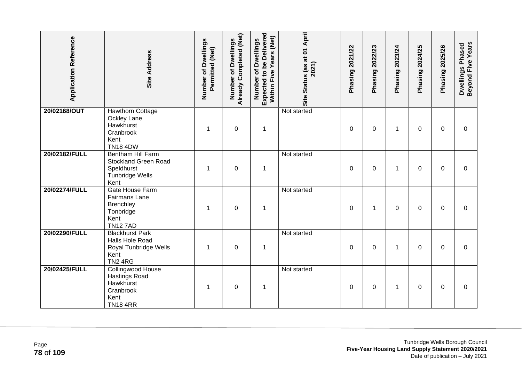| <b>Application Reference</b> | Site Address                                                                                       | Number of Dwellings<br>Permitted (Net) | Already Completed (Net)<br><b>Dwellings</b><br>đ<br>Number | Expected to be Delivered<br>Within Five Years (Net)<br>Number of Dwellings | Site Status (as at 01 April<br>2021) | Phasing 2021/22 | 2022/23<br>Phasing? | Phasing 2023/24 | 2024/25<br>Phasing? | Phasing 2025/26 | Beyond Five Years<br>Dwellings Phased |
|------------------------------|----------------------------------------------------------------------------------------------------|----------------------------------------|------------------------------------------------------------|----------------------------------------------------------------------------|--------------------------------------|-----------------|---------------------|-----------------|---------------------|-----------------|---------------------------------------|
| 20/02168/OUT                 | <b>Hawthorn Cottage</b><br>Ockley Lane<br>Hawkhurst<br>Cranbrook<br>Kent<br><b>TN18 4DW</b>        |                                        | $\pmb{0}$                                                  | 1                                                                          | Not started                          | 0               | 0                   | 1               | 0                   | 0               | $\mathbf 0$                           |
| 20/02182/FULL                | Bentham Hill Farm<br><b>Stockland Green Road</b><br>Speldhurst<br><b>Tunbridge Wells</b><br>Kent   | 1                                      | $\boldsymbol{0}$                                           | $\mathbf 1$                                                                | Not started                          | 0               | 0                   | 1               | 0                   | $\Omega$        | $\Omega$                              |
| 20/02274/FULL                | <b>Gate House Farm</b><br><b>Fairmans Lane</b><br>Brenchley<br>Tonbridge<br>Kent<br><b>TN127AD</b> | 1                                      | $\pmb{0}$                                                  | $\mathbf 1$                                                                | Not started                          | 0               | 1                   | 0               | 0                   | $\Omega$        | $\mathbf 0$                           |
| 20/02290/FULL                | <b>Blackhurst Park</b><br>Halls Hole Road<br>Royal Tunbridge Wells<br>Kent<br><b>TN2 4RG</b>       | 1                                      | $\mathbf 0$                                                | 1                                                                          | Not started                          | $\mathbf{0}$    | $\Omega$            | 1               | $\Omega$            | $\Omega$        | $\Omega$                              |
| 20/02425/FULL                | Collingwood House<br><b>Hastings Road</b><br>Hawkhurst<br>Cranbrook<br>Kent<br><b>TN184RR</b>      | 1                                      | $\boldsymbol{0}$                                           | $\mathbf 1$                                                                | Not started                          | 0               | 0                   | 1               | 0                   | $\Omega$        | $\Omega$                              |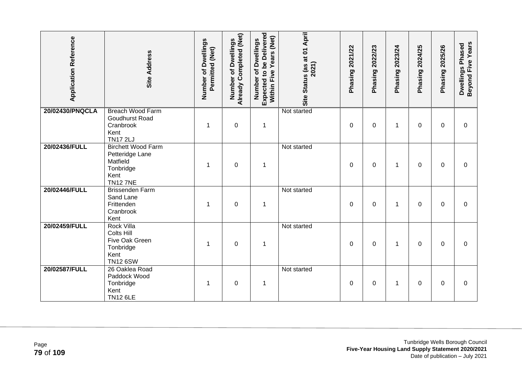| <b>Application Reference</b> | <b>Site Address</b>                                                                              | Number of Dwellings<br>Permitted (Net) | Already Completed (Net)<br>of Dwellings<br>Number | Expected to be Delivered<br>Years (Net)<br>Number of Dwellings<br>Within Five | Site Status (as at 01 April<br>2021) | Phasing 2021/22 | Phasing 2022/23 | Phasing 2023/24 | 2024/25<br>Phasing | Phasing 2025/26 | Beyond Five Years<br>Dwellings Phased |
|------------------------------|--------------------------------------------------------------------------------------------------|----------------------------------------|---------------------------------------------------|-------------------------------------------------------------------------------|--------------------------------------|-----------------|-----------------|-----------------|--------------------|-----------------|---------------------------------------|
| 20/02430/PNQCLA              | <b>Breach Wood Farm</b><br>Goudhurst Road<br>Cranbrook<br>Kent<br><b>TN17 2LJ</b>                | 1                                      | $\mathbf 0$                                       | $\mathbf 1$                                                                   | Not started                          | $\mathbf{0}$    | 0               | 1               | 0                  | $\mathbf 0$     | 0                                     |
| 20/02436/FULL                | <b>Birchett Wood Farm</b><br>Petteridge Lane<br>Matfield<br>Tonbridge<br>Kent<br><b>TN12 7NE</b> | 1                                      | $\mathbf 0$                                       | $\mathbf 1$                                                                   | Not started                          | $\Omega$        | $\Omega$        | 1               | 0                  | $\Omega$        | $\Omega$                              |
| 20/02446/FULL                | <b>Brissenden Farm</b><br>Sand Lane<br>Frittenden<br>Cranbrook<br>Kent                           | 1                                      | $\mathbf 0$                                       | $\mathbf 1$                                                                   | Not started                          | 0               | $\mathbf 0$     | 1               | 0                  | 0               | $\mathbf 0$                           |
| 20/02459/FULL                | <b>Rock Villa</b><br><b>Colts Hill</b><br>Five Oak Green<br>Tonbridge<br>Kent<br><b>TN12 6SW</b> | 1                                      | $\boldsymbol{0}$                                  | $\mathbf 1$                                                                   | Not started                          | 0               | 0               | 1               | 0                  | $\mathbf{0}$    | $\Omega$                              |
| 20/02587/FULL                | 26 Oaklea Road<br>Paddock Wood<br>Tonbridge<br>Kent<br><b>TN12 6LE</b>                           | 1                                      | $\mathbf 0$                                       | $\mathbf 1$                                                                   | Not started                          | 0               | 0               | 1               | 0                  | 0               | 0                                     |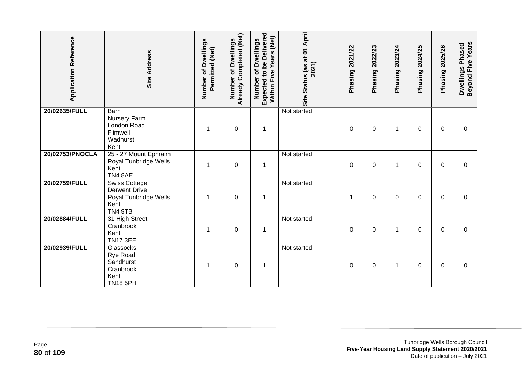| <b>Application Reference</b> | <b>Site Address</b>                                                                      | Number of Dwellings<br>Permitted (Net) | Already Completed (Net)<br>of Dwellings<br>Number | <b>Expected to be Delivered</b><br>Years (Net)<br>Number of Dwellings<br>Within Five | Site Status (as at 01 April<br>2021) | 2021/22<br>Phasing | 2022/23<br>Phasing | 2023/24<br>Phasing | 2024/25<br>Phasing | 2025/26<br>Phasing | Beyond Five Years<br>Dwellings Phased |
|------------------------------|------------------------------------------------------------------------------------------|----------------------------------------|---------------------------------------------------|--------------------------------------------------------------------------------------|--------------------------------------|--------------------|--------------------|--------------------|--------------------|--------------------|---------------------------------------|
| 20/02635/FULL                | Barn<br>Nursery Farm<br>London Road<br>Flimwell<br>Wadhurst<br>Kent                      |                                        | $\pmb{0}$                                         | $\mathbf 1$                                                                          | Not started                          | 0                  | 0                  | 1                  | 0                  | 0                  | 0                                     |
| 20/02753/PNOCLA              | 25 - 27 Mount Ephraim<br>Royal Tunbridge Wells<br>Kent<br>TN4 8AE                        | 1                                      | $\pmb{0}$                                         | $\mathbf 1$                                                                          | Not started                          | 0                  | 0                  | 1                  | 0                  | $\mathbf{0}$       | 0                                     |
| 20/02759/FULL                | <b>Swiss Cottage</b><br><b>Derwent Drive</b><br>Royal Tunbridge Wells<br>Kent<br>TN4 9TB | 1                                      | $\mathbf 0$                                       | $\mathbf 1$                                                                          | Not started                          | 1                  | $\Omega$           | 0                  | 0                  | $\mathbf{0}$       | $\Omega$                              |
| 20/02884/FULL                | 31 High Street<br>Cranbrook<br>Kent<br><b>TN17 3EE</b>                                   | 1                                      | $\mathbf 0$                                       | $\mathbf 1$                                                                          | Not started                          | $\mathbf{0}$       | $\Omega$           | 1                  | $\Omega$           | $\mathbf{0}$       | $\Omega$                              |
| 20/02939/FULL                | Glassocks<br>Rye Road<br>Sandhurst<br>Cranbrook<br>Kent<br><b>TN18 5PH</b>               | 1                                      | $\boldsymbol{0}$                                  | $\mathbf 1$                                                                          | Not started                          | $\mathbf{0}$       | $\Omega$           | 1                  | 0                  | $\mathbf{0}$       | $\Omega$                              |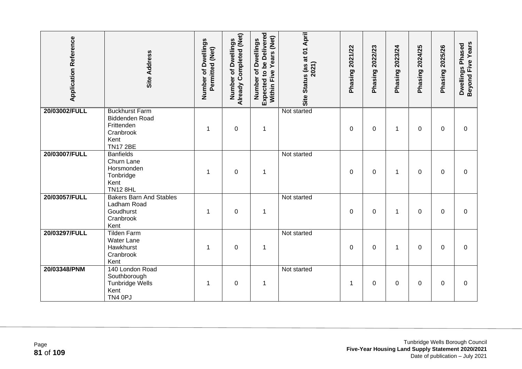| <b>Application Reference</b> | <b>Site Address</b>                                                                                  | Number of Dwellings<br>Permitted (Net) | <b>Already Completed (Net)</b><br>of Dwellings<br>Number | Expected to be Delivered<br>Years (Net)<br>Number of Dwellings<br>Within Five | Site Status (as at 01 April<br>2021) | Phasing 2021/22 | Phasing 2022/23  | Phasing 2023/24 | 2024/25<br>Phasing | Phasing 2025/26 | Beyond Five Years<br>Dwellings Phased |
|------------------------------|------------------------------------------------------------------------------------------------------|----------------------------------------|----------------------------------------------------------|-------------------------------------------------------------------------------|--------------------------------------|-----------------|------------------|-----------------|--------------------|-----------------|---------------------------------------|
| 20/03002/FULL                | <b>Buckhurst Farm</b><br><b>Biddenden Road</b><br>Frittenden<br>Cranbrook<br>Kent<br><b>TN17 2BE</b> | 1                                      | $\mathbf 0$                                              | $\mathbf 1$                                                                   | Not started                          | 0               | 0                | 1               | 0                  | $\mathbf 0$     | 0                                     |
| 20/03007/FULL                | <b>Banfields</b><br>Churn Lane<br>Horsmonden<br>Tonbridge<br>Kent<br><b>TN12 8HL</b>                 | 1                                      | $\mathbf 0$                                              | $\mathbf 1$                                                                   | Not started                          | 0               | 0                | 1               | 0                  | $\mathbf 0$     | 0                                     |
| 20/03057/FULL                | <b>Bakers Barn And Stables</b><br>Ladham Road<br>Goudhurst<br>Cranbrook<br>Kent                      | 1                                      | $\mathbf 0$                                              | $\mathbf 1$                                                                   | Not started                          | 0               | 0                | 1               | 0                  | $\mathbf 0$     | $\boldsymbol{0}$                      |
| 20/03297/FULL                | <b>Tilden Farm</b><br><b>Water Lane</b><br>Hawkhurst<br>Cranbrook<br>Kent                            | 1                                      | $\mathbf 0$                                              | $\mathbf 1$                                                                   | Not started                          | 0               | $\boldsymbol{0}$ | 1               | 0                  | 0               | 0                                     |
| 20/03348/PNM                 | 140 London Road<br>Southborough<br><b>Tunbridge Wells</b><br>Kent<br>TN4 0PJ                         | 1                                      | $\mathbf 0$                                              | $\mathbf{1}$                                                                  | Not started                          | 1               | 0                | 0               | 0                  | 0               | 0                                     |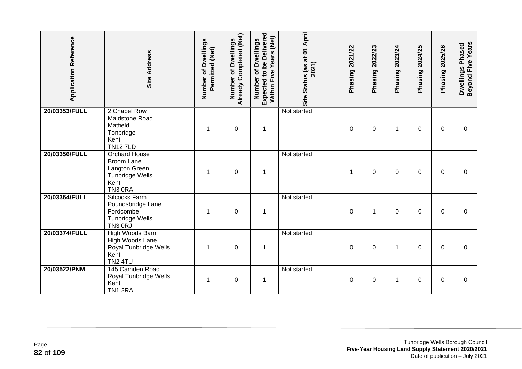| <b>Application Reference</b> | <b>Site Address</b>                                                                              | Number of Dwellings<br>Permitted (Net) | Already Completed (Net)<br>Dwellings<br>đ<br>Number | <b>Expected to be Delivered</b><br>Years (Net)<br>Number of Dwellings<br>Five<br>Within | Site Status (as at 01 April<br>2021) | Phasing 2021/22 | 2022/23<br>Phasing | 2023/24<br>Phasing | 2024/25<br>Phasing | 2025/26<br>Phasing | Beyond Five Years<br>Dwellings Phased |
|------------------------------|--------------------------------------------------------------------------------------------------|----------------------------------------|-----------------------------------------------------|-----------------------------------------------------------------------------------------|--------------------------------------|-----------------|--------------------|--------------------|--------------------|--------------------|---------------------------------------|
| 20/03353/FULL                | 2 Chapel Row<br>Maidstone Road<br>Matfield<br>Tonbridge<br>Kent<br><b>TN127LD</b>                | 1                                      | $\mathbf 0$                                         | 1                                                                                       | Not started                          | 0               | 0                  | 1                  | 0                  | $\mathbf 0$        | 0                                     |
| 20/03356/FULL                | <b>Orchard House</b><br>Broom Lane<br>Langton Green<br><b>Tunbridge Wells</b><br>Kent<br>TN3 ORA | 1                                      | $\boldsymbol{0}$                                    | $\mathbf 1$                                                                             | Not started                          | -1              | 0                  | 0                  | 0                  | 0                  | 0                                     |
| 20/03364/FULL                | <b>Silcocks Farm</b><br>Poundsbridge Lane<br>Fordcombe<br><b>Tunbridge Wells</b><br>TN3 0RJ      |                                        | $\mathbf 0$                                         | 1                                                                                       | Not started                          | 0               | 1                  | 0                  | 0                  | $\Omega$           | $\Omega$                              |
| 20/03374/FULL                | High Woods Barn<br>High Woods Lane<br>Royal Tunbridge Wells<br>Kent<br><b>TN2 4TU</b>            | 1                                      | $\boldsymbol{0}$                                    | $\mathbf 1$                                                                             | Not started                          | 0               | 0                  | 1                  | 0                  | 0                  | $\Omega$                              |
| 20/03522/PNM                 | 145 Camden Road<br>Royal Tunbridge Wells<br>Kent<br>TN1 2RA                                      | 1                                      | $\mathbf 0$                                         | $\mathbf 1$                                                                             | Not started                          | $\Omega$        | $\Omega$           | 1                  | 0                  | $\Omega$           | $\Omega$                              |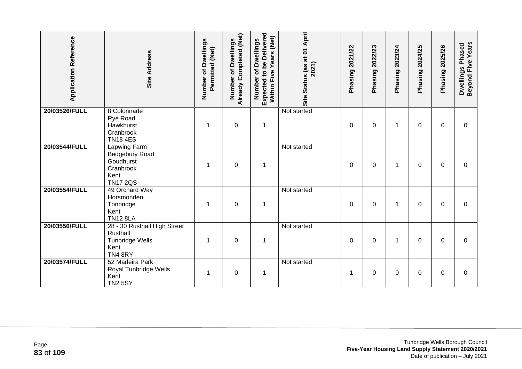| <b>Application Reference</b> | <b>Site Address</b>                                                                        | Number of Dwellings<br>Permitted (Net) | Already Completed (Net)<br>Dwellings<br>৳<br>Number | <b>Expected to be Delivered</b><br>Years (Net)<br>Number of Dwellings<br>Within Five | Site Status (as at 01 April<br>2021) | 2021/22<br>Phasing | 2022/23<br>Phasing | 2023/24<br>Phasing | 2024/25<br>Phasing | 2025/26<br>Phasing | Beyond Five Years<br>Dwellings Phased |
|------------------------------|--------------------------------------------------------------------------------------------|----------------------------------------|-----------------------------------------------------|--------------------------------------------------------------------------------------|--------------------------------------|--------------------|--------------------|--------------------|--------------------|--------------------|---------------------------------------|
| 20/03526/FULL                | 8 Colonnade<br>Rye Road<br>Hawkhurst<br>Cranbrook<br><b>TN184ES</b>                        | 1                                      | $\boldsymbol{0}$                                    | $\mathbf 1$                                                                          | Not started                          | 0                  | 0                  | 1                  | 0                  | 0                  | 0                                     |
| 20/03544/FULL                | <b>Lapwing Farm</b><br>Bedgebury Road<br>Goudhurst<br>Cranbrook<br>Kent<br><b>TN17 2QS</b> | 1                                      | $\mathbf 0$                                         | 1                                                                                    | Not started                          | 0                  | 0                  | 1                  | 0                  | $\Omega$           | $\Omega$                              |
| 20/03554/FULL                | 49 Orchard Way<br>Horsmonden<br>Tonbridge<br>Kent<br><b>TN12 8LA</b>                       | 1                                      | $\mathbf 0$                                         | $\mathbf 1$                                                                          | Not started                          | 0                  | 0                  | 1                  | 0                  | $\Omega$           | $\Omega$                              |
| 20/03556/FULL                | 28 - 30 Rusthall High Street<br>Rusthall<br>Tunbridge Wells<br>Kent<br>TN48RY              | 1                                      | $\mathbf 0$                                         | 1                                                                                    | Not started                          | 0                  | 0                  | 1                  | 0                  | $\Omega$           | $\Omega$                              |
| 20/03574/FULL                | 52 Madeira Park<br>Royal Tunbridge Wells<br>Kent<br><b>TN2 5SY</b>                         |                                        | 0                                                   | 1                                                                                    | Not started                          | 1                  | 0                  | 0                  | 0                  | $\Omega$           | $\Omega$                              |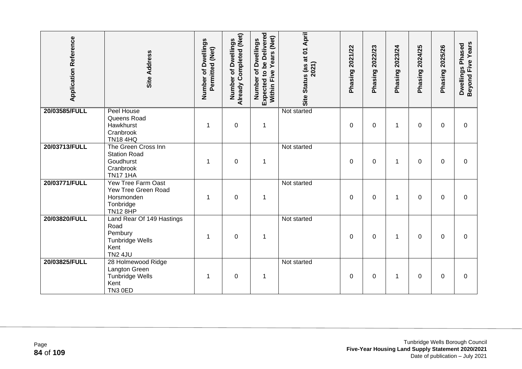| <b>Application Reference</b> | <b>Site Address</b>                                                                              | Number of Dwellings<br>Permitted (Net) | Already Completed (Net)<br>of Dwellings<br>Number | Expected to be Delivered<br>Years (Net)<br>Number of Dwellings<br>Five<br>Within | Site Status (as at 01 April<br>2021) | Phasing 2021/22 | 2022/23<br>Phasing | 2023/24<br>Phasing | 2024/25<br>Phasing | Phasing 2025/26 | Beyond Five Years<br>Dwellings Phased |
|------------------------------|--------------------------------------------------------------------------------------------------|----------------------------------------|---------------------------------------------------|----------------------------------------------------------------------------------|--------------------------------------|-----------------|--------------------|--------------------|--------------------|-----------------|---------------------------------------|
| 20/03585/FULL                | Peel House<br>Queens Road<br>Hawkhurst<br>Cranbrook<br><b>TN18 4HQ</b>                           | 1                                      | $\mathbf 0$                                       | 1                                                                                | Not started                          | $\mathbf 0$     | $\mathbf 0$        | 1                  | $\Omega$           | $\mathbf 0$     | $\overline{0}$                        |
| 20/03713/FULL                | The Green Cross Inn<br><b>Station Road</b><br>Goudhurst<br>Cranbrook<br><b>TN17 1HA</b>          | 1                                      | $\mathbf 0$                                       | $\mathbf 1$                                                                      | Not started                          | $\Omega$        | 0                  | 1                  | $\Omega$           | $\Omega$        | $\overline{0}$                        |
| 20/03771/FULL                | Yew Tree Farm Oast<br>Yew Tree Green Road<br>Horsmonden<br>Tonbridge<br><b>TN12 8HP</b>          | -1                                     | $\mathbf 0$                                       | $\mathbf 1$                                                                      | Not started                          | $\Omega$        | 0                  | 1                  | $\Omega$           | $\Omega$        | $\Omega$                              |
| 20/03820/FULL                | Land Rear Of 149 Hastings<br>Road<br>Pembury<br><b>Tunbridge Wells</b><br>Kent<br><b>TN2 4JU</b> |                                        | $\mathbf 0$                                       | 1                                                                                | Not started                          | $\Omega$        | $\mathbf 0$        | 1                  | $\Omega$           | $\Omega$        | $\Omega$                              |
| 20/03825/FULL                | 28 Holmewood Ridge<br>Langton Green<br>Tunbridge Wells<br>Kent<br>TN3 0ED                        | 1                                      | $\boldsymbol{0}$                                  | $\mathbf 1$                                                                      | Not started                          | 0               | 0                  | 1                  | 0                  | 0               | 0                                     |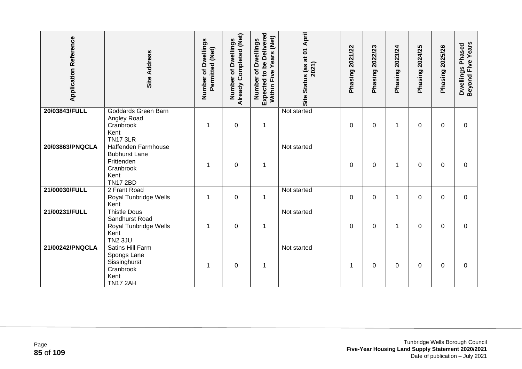| <b>Application Reference</b> | <b>Site Address</b>                                                                               | Number of Dwellings<br>Permitted (Net) | Already Completed (Net)<br><b>Dwellings</b><br>৳<br>Number | <b>Expected to be Delivered</b><br>Years (Net)<br>Number of Dwellings<br>Within Five | Site Status (as at 01 April<br>2021) | 2021/22<br>Phasing | 2022/23<br>Phasing | 2023/24<br>Phasing | 2024/25<br>Phasing | 2025/26<br>Phasing | Beyond Five Years<br>Dwellings Phased |
|------------------------------|---------------------------------------------------------------------------------------------------|----------------------------------------|------------------------------------------------------------|--------------------------------------------------------------------------------------|--------------------------------------|--------------------|--------------------|--------------------|--------------------|--------------------|---------------------------------------|
| 20/03843/FULL                | <b>Goddards Green Barn</b><br>Angley Road<br>Cranbrook<br>Kent<br><b>TN17 3LR</b>                 | 1                                      | $\mathbf 0$                                                | $\mathbf 1$                                                                          | Not started                          | 0                  | 0                  | 1                  | 0                  | 0                  | 0                                     |
| 20/03863/PNQCLA              | Haffenden Farmhouse<br><b>Bubhurst Lane</b><br>Frittenden<br>Cranbrook<br>Kent<br><b>TN17 2BD</b> | 1                                      | $\mathbf 0$                                                | 1                                                                                    | Not started                          | 0                  | 0                  | 1                  | 0                  | 0                  | 0                                     |
| 21/00030/FULL                | 2 Frant Road<br>Royal Tunbridge Wells<br>Kent                                                     | 1                                      | $\boldsymbol{0}$                                           | $\mathbf 1$                                                                          | Not started                          | $\mathbf 0$        | 0                  | 1                  | 0                  | $\Omega$           | $\mathbf 0$                           |
| 21/00231/FULL                | <b>Thistle Dous</b><br>Sandhurst Road<br>Royal Tunbridge Wells<br>Kent<br><b>TN2 3JU</b>          |                                        | $\mathbf 0$                                                | 1                                                                                    | Not started                          | 0                  | 0                  | 1                  | 0                  | $\Omega$           | $\Omega$                              |
| 21/00242/PNQCLA              | Satins Hill Farm<br>Spongs Lane<br>Sissinghurst<br>Cranbrook<br>Kent<br><b>TN17 2AH</b>           |                                        | $\mathbf 0$                                                | 1                                                                                    | Not started                          | 1                  | 0                  | 0                  | 0                  | $\Omega$           | $\Omega$                              |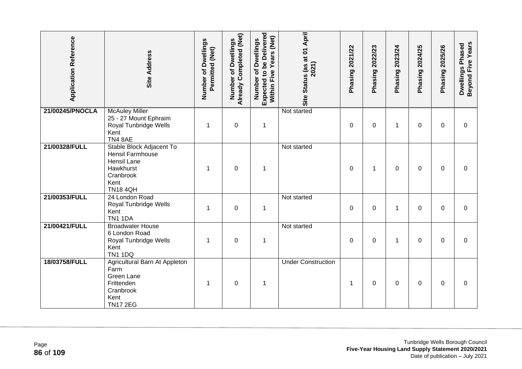| <b>Application Reference</b> | <b>Site Address</b>                                                                                              | Number of Dwellings<br>Permitted (Net) | Already Completed (Net)<br>Number of Dwellings | Expected to be Delivered<br>Within Five Years (Net)<br>Number of Dwellings | Site Status (as at 01 April<br>2021) | Phasing 2021/22 | Phasing 2022/23 | Phasing 2023/24 | 2024/25<br>Phasing | Phasing 2025/26 | Beyond Five Years<br>Dwellings Phased |
|------------------------------|------------------------------------------------------------------------------------------------------------------|----------------------------------------|------------------------------------------------|----------------------------------------------------------------------------|--------------------------------------|-----------------|-----------------|-----------------|--------------------|-----------------|---------------------------------------|
| 21/00245/PNOCLA              | <b>McAuley Miller</b><br>25 - 27 Mount Ephraim<br>Royal Tunbridge Wells<br>Kent<br>TN48AE                        | 1                                      | $\boldsymbol{0}$                               | 1                                                                          | Not started                          | 0               | 0               | 1               | 0                  | 0               | 0                                     |
| 21/00328/FULL                | Stable Block Adjacent To<br>Hensil Farmhouse<br>Hensil Lane<br>Hawkhurst<br>Cranbrook<br>Kent<br><b>TN18 4QH</b> | 1                                      | 0                                              | $\mathbf{1}$                                                               | Not started                          | 0               | 1               | 0               | 0                  | $\Omega$        | $\Omega$                              |
| 21/00353/FULL                | 24 London Road<br>Royal Tunbridge Wells<br>Kent<br><b>TN1 1DA</b>                                                | 1                                      | $\boldsymbol{0}$                               | $\mathbf 1$                                                                | Not started                          | $\mathbf 0$     | $\mathbf 0$     | 1               | 0                  | 0               | $\mathbf 0$                           |
| 21/00421/FULL                | <b>Broadwater House</b><br>6 London Road<br>Royal Tunbridge Wells<br>Kent<br><b>TN1 1DQ</b>                      | 1                                      | $\boldsymbol{0}$                               | $\mathbf 1$                                                                | Not started                          | 0               | 0               | 1               | 0                  | $\Omega$        | 0                                     |
| 18/03758/FULL                | Agricultural Barn At Appleton<br>Farm<br>Green Lane<br>Frittenden<br>Cranbrook<br>Kent<br><b>TN17 2EG</b>        | 1                                      | 0                                              | 1                                                                          | <b>Under Construction</b>            | 1               | 0               | 0               | 0                  | $\Omega$        | 0                                     |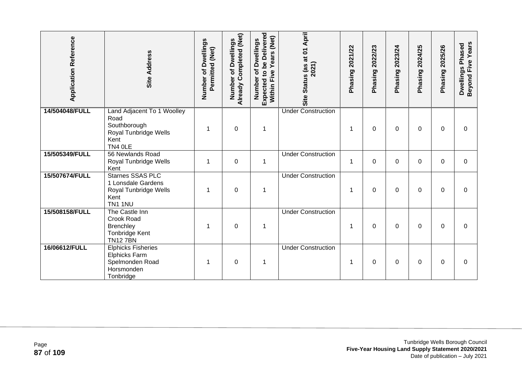| <b>Application Reference</b> | <b>Site Address</b>                                                                              | Number of Dwellings<br>Permitted (Net) | Already Completed (Net)<br>of Dwellings<br>Number | Expected to be Delivered<br>(Net)<br>Number of Dwellings<br>Years<br>Five<br><b>Within</b> | Status (as at 01 April<br>2021)<br>Site | 2021/22<br>Phasing | 2022/23<br>Phasing | 2023/24<br>Phasing | 2024/25<br>Phasing | 2025/26<br>Phasing | Beyond Five Years<br>Dwellings Phased |
|------------------------------|--------------------------------------------------------------------------------------------------|----------------------------------------|---------------------------------------------------|--------------------------------------------------------------------------------------------|-----------------------------------------|--------------------|--------------------|--------------------|--------------------|--------------------|---------------------------------------|
| 14/504048/FULL               | Land Adjacent To 1 Woolley<br>Road<br>Southborough<br>Royal Tunbridge Wells<br>Kent<br>TN4 OLE   |                                        | $\boldsymbol{0}$                                  | 1                                                                                          | <b>Under Construction</b>               | 1                  | 0                  | 0                  | 0                  | 0                  | 0                                     |
| 15/505349/FULL               | 56 Newlands Road<br>Royal Tunbridge Wells<br>Kent                                                | 1                                      | $\mathbf 0$                                       | $\mathbf 1$                                                                                | <b>Under Construction</b>               | 1                  | $\Omega$           | 0                  | 0                  | $\Omega$           | $\Omega$                              |
| 15/507674/FULL               | <b>Starnes SSAS PLC</b><br>1 Lonsdale Gardens<br>Royal Tunbridge Wells<br>Kent<br><b>TN1 1NU</b> | 1                                      | $\mathbf 0$                                       | 1                                                                                          | <b>Under Construction</b>               | 1                  | 0                  | 0                  | 0                  | $\mathbf 0$        | 0                                     |
| 15/508158/FULL               | The Castle Inn<br>Crook Road<br><b>Brenchley</b><br>Tonbridge Kent<br><b>TN127BN</b>             |                                        | $\mathbf 0$                                       | 1                                                                                          | <b>Under Construction</b>               | -1                 | 0                  | 0                  | 0                  | $\Omega$           | $\Omega$                              |
| 16/06612/FULL                | <b>Elphicks Fisheries</b><br><b>Elphicks Farm</b><br>Spelmonden Road<br>Horsmonden<br>Tonbridge  |                                        | $\mathbf 0$                                       | 1                                                                                          | <b>Under Construction</b>               | 1                  | 0                  | 0                  | 0                  | $\Omega$           | 0                                     |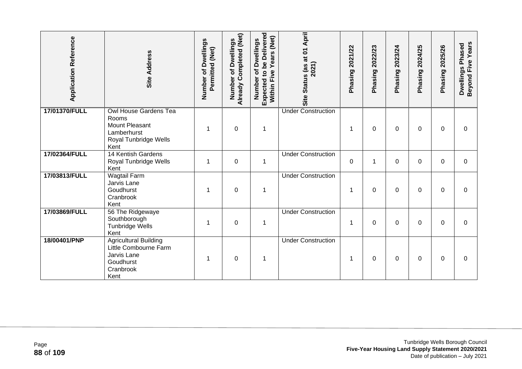| <b>Application Reference</b> | Site Address                                                                                                   | Number of Dwellings<br>Permitted (Net) | Already Completed (Net)<br>of Dwellings<br>Number | Expected to be Delivered<br>(Net)<br>Number of Dwellings<br><b>Years</b><br>Within Five | Site Status (as at 01 April<br>2021) | 2021/22<br>Phasing | 2022/23<br>Phasing | 2023/24<br>Phasing | 2024/25<br>Phasing | 2025/26<br>Phasing | <b>Beyond Five Years</b><br>Dwellings Phased |
|------------------------------|----------------------------------------------------------------------------------------------------------------|----------------------------------------|---------------------------------------------------|-----------------------------------------------------------------------------------------|--------------------------------------|--------------------|--------------------|--------------------|--------------------|--------------------|----------------------------------------------|
| 17/01370/FULL                | <b>Owl House Gardens Tea</b><br>Rooms<br><b>Mount Pleasant</b><br>Lamberhurst<br>Royal Tunbridge Wells<br>Kent |                                        | $\boldsymbol{0}$                                  | 1                                                                                       | <b>Under Construction</b>            | 1                  | 0                  | 0                  | 0                  | $\Omega$           | $\mathbf 0$                                  |
| 17/02364/FULL                | 14 Kentish Gardens<br>Royal Tunbridge Wells<br>Kent                                                            | 1                                      | $\mathbf 0$                                       | $\mathbf{1}$                                                                            | <b>Under Construction</b>            | $\mathbf 0$        | 1                  | 0                  | $\Omega$           | $\Omega$           | $\mathbf 0$                                  |
| 17/03813/FULL                | <b>Wagtail Farm</b><br>Jarvis Lane<br>Goudhurst<br>Cranbrook<br>Kent                                           |                                        | $\mathbf 0$                                       | $\mathbf{1}$                                                                            | <b>Under Construction</b>            | 1                  | 0                  | 0                  | 0                  | 0                  | 0                                            |
| 17/03869/FULL                | 56 The Ridgewaye<br>Southborough<br><b>Tunbridge Wells</b><br>Kent                                             |                                        | $\mathbf 0$                                       | $\mathbf 1$                                                                             | <b>Under Construction</b>            | 1                  | 0                  | 0                  | $\Omega$           | $\Omega$           | $\overline{0}$                               |
| 18/00401/PNP                 | <b>Agricultural Building</b><br>Little Combourne Farm<br>Jarvis Lane<br>Goudhurst<br>Cranbrook<br>Kent         | -1                                     | $\mathbf 0$                                       | 1                                                                                       | <b>Under Construction</b>            | 1                  | $\Omega$           | 0                  | 0                  | $\Omega$           | $\Omega$                                     |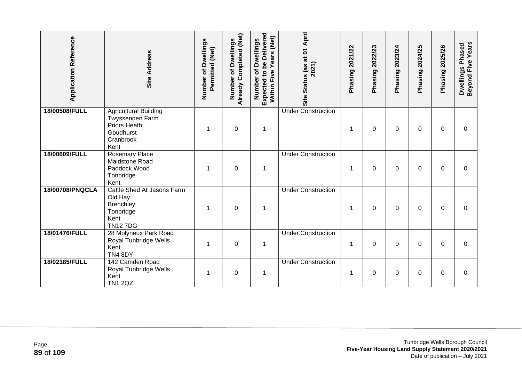| <b>Application Reference</b> | Site Address                                                                                      | Number of Dwellings<br>Permitted (Net) | Already Completed (Net)<br><b>Dwellings</b><br>Ⴆ<br>Number | Expected to be Delivered<br>(Net)<br>Number of Dwellings<br>Years<br>Five<br>Within | Site Status (as at 01 April<br>2021) | 2021/22<br>Phasing | 2022/23<br>Phasing | 2023/24<br>Phasing | 2024/25<br>Phasing | 2025/26<br>Phasing | Beyond Five Years<br>Dwellings Phased |
|------------------------------|---------------------------------------------------------------------------------------------------|----------------------------------------|------------------------------------------------------------|-------------------------------------------------------------------------------------|--------------------------------------|--------------------|--------------------|--------------------|--------------------|--------------------|---------------------------------------|
| 18/00508/FULL                | <b>Agricultural Building</b><br>Twyssenden Farm<br>Priors Heath<br>Goudhurst<br>Cranbrook<br>Kent |                                        | $\mathbf 0$                                                | 1                                                                                   | <b>Under Construction</b>            | 1                  | $\Omega$           | 0                  | 0                  | 0                  | 0                                     |
| 18/00609/FULL                | <b>Rosemary Place</b><br>Maidstone Road<br>Paddock Wood<br>Tonbridge<br>Kent                      | 1                                      | $\overline{0}$                                             | $\mathbf 1$                                                                         | <b>Under Construction</b>            | 1                  | $\Omega$           | 0                  | 0                  | $\Omega$           | $\Omega$                              |
| 18/00708/PNQCLA              | Cattle Shed At Jasons Farm<br>Old Hay<br><b>Brenchley</b><br>Tonbridge<br>Kent<br><b>TN127DG</b>  | 1                                      | $\mathbf 0$                                                | $\mathbf 1$                                                                         | <b>Under Construction</b>            | 1                  | 0                  | 0                  | 0                  | 0                  | 0                                     |
| 18/01476/FULL                | 28 Molyneux Park Road<br>Royal Tunbridge Wells<br>Kent<br>TN4 8DY                                 | 1                                      | $\mathbf 0$                                                | $\mathbf 1$                                                                         | <b>Under Construction</b>            | 1                  | $\Omega$           | 0                  | 0                  | 0                  | $\Omega$                              |
| 18/02185/FULL                | 142 Camden Road<br>Royal Tunbridge Wells<br>Kent<br><b>TN1 2QZ</b>                                |                                        | 0                                                          | 1                                                                                   | <b>Under Construction</b>            | 1                  | $\Omega$           | 0                  | $\Omega$           | $\Omega$           | 0                                     |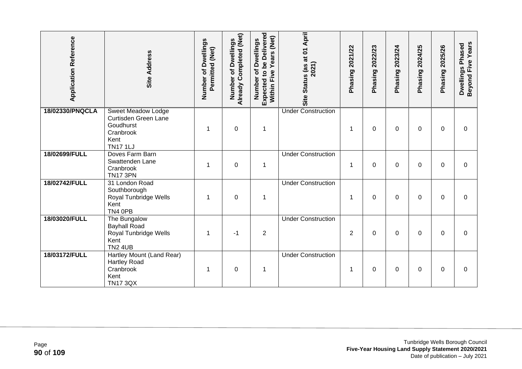| <b>Application Reference</b> | Site Address                                                                                           | Number of Dwellings<br>Permitted (Net) | Already Completed (Net)<br><b>Dwellings</b><br>Number of | Expected to be Delivered<br>(Net)<br>Number of Dwellings<br>Years<br>Five<br>Within I | Site Status (as at 01 April<br>2021) | 2021/22<br>Phasing | 2022/23<br>Phasing | 2023/24<br>Phasing | 2024/25<br>Phasing | 2025/26<br>Phasing | Beyond Five Years<br>Dwellings Phased |
|------------------------------|--------------------------------------------------------------------------------------------------------|----------------------------------------|----------------------------------------------------------|---------------------------------------------------------------------------------------|--------------------------------------|--------------------|--------------------|--------------------|--------------------|--------------------|---------------------------------------|
| 18/02330/PNQCLA              | <b>Sweet Meadow Lodge</b><br>Curtisden Green Lane<br>Goudhurst<br>Cranbrook<br>Kent<br><b>TN17 1LJ</b> |                                        | $\mathbf 0$                                              | $\mathbf 1$                                                                           | <b>Under Construction</b>            | 1                  | $\Omega$           | 0                  | 0                  | $\Omega$           | $\Omega$                              |
| 18/02699/FULL                | Doves Farm Barn<br>Swattenden Lane<br>Cranbrook<br><b>TN17 3PN</b>                                     | 1                                      | $\mathbf 0$                                              | $\mathbf 1$                                                                           | <b>Under Construction</b>            | 1                  | $\Omega$           | 0                  | 0                  | 0                  | $\Omega$                              |
| 18/02742/FULL                | 31 London Road<br>Southborough<br>Royal Tunbridge Wells<br>Kent<br>TN4 0PB                             | 1                                      | $\pmb{0}$                                                | $\mathbf 1$                                                                           | <b>Under Construction</b>            | 1                  | 0                  | 0                  | $\Omega$           | $\mathbf 0$        | $\mathbf 0$                           |
| 18/03020/FULL                | The Bungalow<br><b>Bayhall Road</b><br>Royal Tunbridge Wells<br>Kent<br><b>TN2 4UB</b>                 | 1                                      | $-1$                                                     | $\overline{2}$                                                                        | <b>Under Construction</b>            | $\overline{2}$     | 0                  | 0                  | 0                  | $\Omega$           | $\Omega$                              |
| 18/03172/FULL                | Hartley Mount (Land Rear)<br><b>Hartley Road</b><br>Cranbrook<br>Kent<br><b>TN17 3QX</b>               |                                        | $\mathbf 0$                                              | $\mathbf 1$                                                                           | <b>Under Construction</b>            | 1                  | 0                  | 0                  | 0                  | 0                  | 0                                     |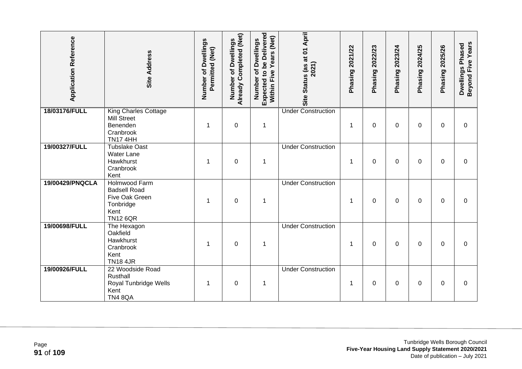| <b>Application Reference</b> | <b>Site Address</b>                                                                            | Number of Dwellings<br>Permitted (Net) | <b>Already Completed (Net)</b><br>of Dwellings<br>Number | Expected to be Delivered<br>Years (Net)<br>Number of Dwellings<br>Within Five | Site Status (as at 01 April<br>2021) | Phasing 2021/22 | Phasing 2022/23 | Phasing 2023/24 | Phasing 2024/25 | Phasing 2025/26 | Beyond Five Years<br>Dwellings Phased |
|------------------------------|------------------------------------------------------------------------------------------------|----------------------------------------|----------------------------------------------------------|-------------------------------------------------------------------------------|--------------------------------------|-----------------|-----------------|-----------------|-----------------|-----------------|---------------------------------------|
| 18/03176/FULL                | <b>King Charles Cottage</b><br><b>Mill Street</b><br>Benenden<br>Cranbrook<br><b>TN17 4HH</b>  | 1                                      | $\mathbf 0$                                              | $\mathbf 1$                                                                   | <b>Under Construction</b>            | $\mathbf 1$     | $\mathbf 0$     | 0               | $\Omega$        | $\mathbf 0$     | $\mathbf 0$                           |
| 19/00327/FULL                | Tubslake Oast<br><b>Water Lane</b><br>Hawkhurst<br>Cranbrook<br>Kent                           | 1                                      | 0                                                        | $\mathbf 1$                                                                   | <b>Under Construction</b>            | 1               | $\Omega$        | 0               | 0               | $\Omega$        | $\Omega$                              |
| 19/00429/PNQCLA              | Holmwood Farm<br><b>Badsell Road</b><br>Five Oak Green<br>Tonbridge<br>Kent<br><b>TN12 6QR</b> | 1                                      | $\mathbf 0$                                              | $\mathbf 1$                                                                   | <b>Under Construction</b>            | 1               | $\Omega$        | 0               | 0               | $\Omega$        | $\Omega$                              |
| 19/00698/FULL                | The Hexagon<br>Oakfield<br>Hawkhurst<br>Cranbrook<br>Kent<br><b>TN18 4JR</b>                   | 1                                      | $\mathbf 0$                                              | 1                                                                             | <b>Under Construction</b>            | $\mathbf 1$     | 0               | 0               | 0               | $\Omega$        | $\Omega$                              |
| 19/00926/FULL                | 22 Woodside Road<br>Rusthall<br>Royal Tunbridge Wells<br>Kent<br><b>TN4 8QA</b>                | 1                                      | $\boldsymbol{0}$                                         | $\mathbf 1$                                                                   | <b>Under Construction</b>            | 1               | 0               | 0               | 0               | $\Omega$        | 0                                     |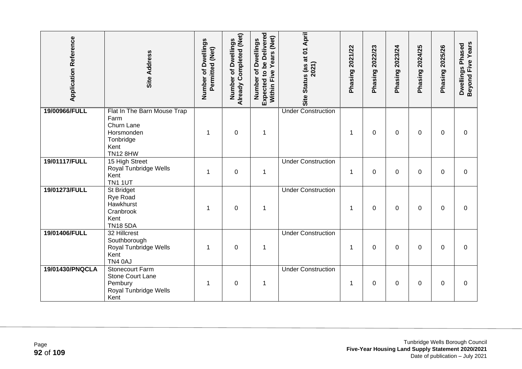| <b>Application Reference</b> | <b>Site Address</b>                                                                                     | Number of Dwellings<br>Permitted (Net) | <b>Already Completed (Net)</b><br>of Dwellings<br>Number | Expected to be Delivered<br>Years (Net)<br>Number of Dwellings<br>Within Five | Site Status (as at 01 April<br>2021) | Phasing 2021/22 | Phasing 2022/23 | Phasing 2023/24 | 2024/25<br>Phasing | <b>Phasing 2025/26</b> | Beyond Five Years<br>Dwellings Phased |
|------------------------------|---------------------------------------------------------------------------------------------------------|----------------------------------------|----------------------------------------------------------|-------------------------------------------------------------------------------|--------------------------------------|-----------------|-----------------|-----------------|--------------------|------------------------|---------------------------------------|
| 19/00966/FULL                | Flat In The Barn Mouse Trap<br>Farm<br>Churn Lane<br>Horsmonden<br>Tonbridge<br>Kent<br><b>TN12 8HW</b> | 1                                      | $\mathbf 0$                                              | $\mathbf 1$                                                                   | <b>Under Construction</b>            | 1               | $\Omega$        | 0               | $\Omega$           | $\Omega$               | $\Omega$                              |
| 19/01117/FULL                | 15 High Street<br>Royal Tunbridge Wells<br>Kent<br><b>TN1 1UT</b>                                       | 1                                      | $\pmb{0}$                                                | $\mathbf 1$                                                                   | <b>Under Construction</b>            | 1               | $\mathbf 0$     | 0               | 0                  | $\Omega$               | $\mathbf 0$                           |
| 19/01273/FULL                | St Bridget<br>Rye Road<br>Hawkhurst<br>Cranbrook<br>Kent<br><b>TN18 5DA</b>                             | 1                                      | $\pmb{0}$                                                | $\mathbf 1$                                                                   | <b>Under Construction</b>            | 1               | 0               | 0               | $\Omega$           | 0                      | $\mathbf 0$                           |
| 19/01406/FULL                | 32 Hillcrest<br>Southborough<br>Royal Tunbridge Wells<br>Kent<br>TN4 0AJ                                | 1                                      | $\mathbf 0$                                              | $\mathbf 1$                                                                   | <b>Under Construction</b>            | 1               | 0               | 0               | 0                  | 0                      | 0                                     |
| 19/01430/PNQCLA              | <b>Stonecourt Farm</b><br><b>Stone Court Lane</b><br>Pembury<br>Royal Tunbridge Wells<br>Kent           | 1                                      | $\mathbf 0$                                              | $\mathbf 1$                                                                   | <b>Under Construction</b>            | 1               | 0               | 0               | 0                  | 0                      | 0                                     |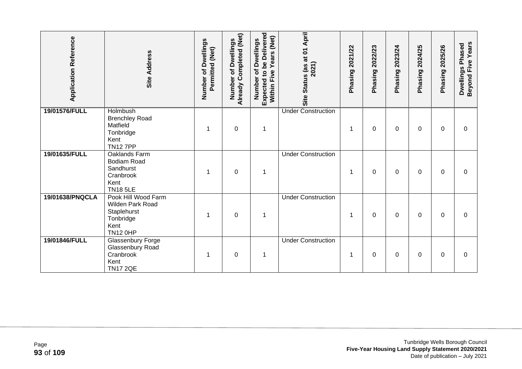| <b>Application Reference</b> | <b>Site Address</b>                                                                            | Number of Dwellings<br>Permitted (Net) | Already Completed (Net)<br>of Dwellings<br>Number | <b>Expected to be Delivered</b><br>Years (Net)<br>of Dwellings<br>Within Five<br>Number | April<br>Site Status (as at 01<br>2021) | Phasing 2021/22 | 2022/23<br>Phasing | 2023/24<br>Phasing | 2024/25<br>Phasing | 2025/26<br>Phasing | Beyond Five Years<br>Dwellings Phased |
|------------------------------|------------------------------------------------------------------------------------------------|----------------------------------------|---------------------------------------------------|-----------------------------------------------------------------------------------------|-----------------------------------------|-----------------|--------------------|--------------------|--------------------|--------------------|---------------------------------------|
| 19/01576/FULL                | <b>Holmbush</b><br><b>Brenchley Road</b><br>Matfield<br>Tonbridge<br>Kent<br><b>TN12 7PP</b>   |                                        | $\boldsymbol{0}$                                  | 1                                                                                       | <b>Under Construction</b>               | 1               | 0                  | 0                  | 0                  | 0                  | 0                                     |
| 19/01635/FULL                | Oaklands Farm<br><b>Bodiam Road</b><br>Sandhurst<br>Cranbrook<br>Kent<br><b>TN18 5LE</b>       | 1                                      | $\mathbf 0$                                       | 1                                                                                       | <b>Under Construction</b>               | 1               | 0                  | 0                  | 0                  | 0                  | 0                                     |
| 19/01638/PNQCLA              | Pook Hill Wood Farm<br>Wilden Park Road<br>Staplehurst<br>Tonbridge<br>Kent<br><b>TN12 0HP</b> |                                        | $\mathbf 0$                                       | 1                                                                                       | <b>Under Construction</b>               | -1              | 0                  | 0                  | 0                  | $\Omega$           | $\Omega$                              |
| 19/01846/FULL                | Glassenbury Forge<br>Glassenbury Road<br>Cranbrook<br>Kent<br><b>TN17 2QE</b>                  |                                        | $\mathbf 0$                                       | 1                                                                                       | <b>Under Construction</b>               | 1               | 0                  | 0                  | 0                  | 0                  | 0                                     |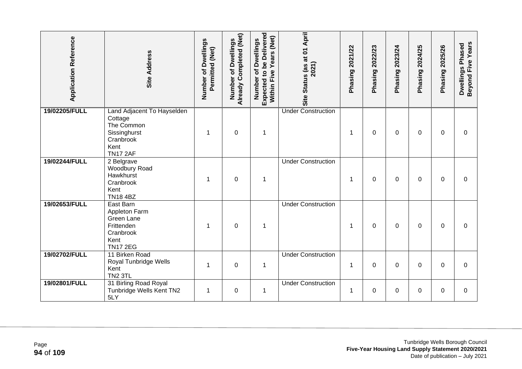| <b>Application Reference</b> | <b>Site Address</b>                                                                                         | Number of Dwellings<br>Permitted (Net) | Already Completed (Net)<br>of Dwellings<br>Number | Expected to be Delivered<br>Years (Net)<br>Number of Dwellings<br>Within Five | Site Status (as at 01 April<br>2021) | Phasing 2021/22 | Phasing 2022/23 | Phasing 2023/24 | Phasing 2024/25 | Phasing 2025/26 | Beyond Five Years<br>Dwellings Phased |
|------------------------------|-------------------------------------------------------------------------------------------------------------|----------------------------------------|---------------------------------------------------|-------------------------------------------------------------------------------|--------------------------------------|-----------------|-----------------|-----------------|-----------------|-----------------|---------------------------------------|
| 19/02205/FULL                | Land Adjacent To Hayselden<br>Cottage<br>The Common<br>Sissinghurst<br>Cranbrook<br>Kent<br><b>TN17 2AF</b> | 1                                      | $\mathbf 0$                                       | $\mathbf 1$                                                                   | <b>Under Construction</b>            | 1               | $\Omega$        | 0               | 0               | $\Omega$        | $\Omega$                              |
| 19/02244/FULL                | 2 Belgrave<br>Woodbury Road<br>Hawkhurst<br>Cranbrook<br>Kent<br><b>TN18 4BZ</b>                            |                                        | $\boldsymbol{0}$                                  | $\mathbf 1$                                                                   | <b>Under Construction</b>            | $\mathbf 1$     | 0               | 0               | $\Omega$        | $\mathbf{0}$    | $\Omega$                              |
| 19/02653/FULL                | East Barn<br>Appleton Farm<br>Green Lane<br>Frittenden<br>Cranbrook<br>Kent<br><b>TN17 2EG</b>              | 1                                      | $\boldsymbol{0}$                                  | $\mathbf{1}$                                                                  | <b>Under Construction</b>            | $\mathbf 1$     | $\mathbf 0$     | $\Omega$        | $\Omega$        | 0               | 0                                     |
| 19/02702/FULL                | 11 Birken Road<br>Royal Tunbridge Wells<br>Kent<br><b>TN2 3TL</b>                                           | 1                                      | $\mathbf 0$                                       | $\mathbf 1$                                                                   | <b>Under Construction</b>            | $\mathbf 1$     | $\Omega$        | 0               | 0               | $\Omega$        | $\overline{0}$                        |
| 19/02801/FULL                | 31 Birling Road Royal<br>Tunbridge Wells Kent TN2<br>5LY                                                    | 1                                      | $\pmb{0}$                                         | $\mathbf 1$                                                                   | <b>Under Construction</b>            | 1               | 0               | 0               | 0               | $\Omega$        | 0                                     |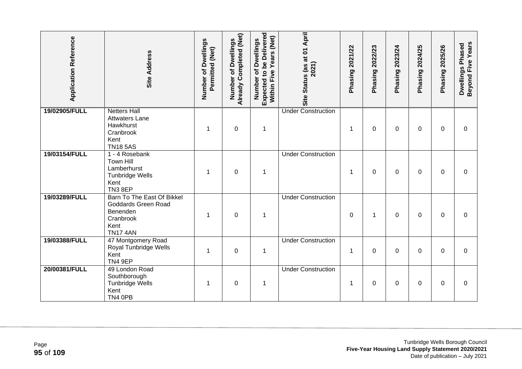| <b>Application Reference</b> | <b>Site Address</b>                                                                                   | Number of Dwellings<br>Permitted (Net) | Already Completed (Net)<br>of Dwellings<br>Number | Expected to be Delivered<br>Years (Net)<br>Number of Dwellings<br>Within Five | Site Status (as at 01 April<br>2021) | Phasing 2021/22 | Phasing 2022/23 | Phasing 2023/24 | Phasing 2024/25 | Phasing 2025/26 | Beyond Five Years<br>Dwellings Phased |
|------------------------------|-------------------------------------------------------------------------------------------------------|----------------------------------------|---------------------------------------------------|-------------------------------------------------------------------------------|--------------------------------------|-----------------|-----------------|-----------------|-----------------|-----------------|---------------------------------------|
| 19/02905/FULL                | <b>Netters Hall</b><br><b>Attwaters Lane</b><br>Hawkhurst<br>Cranbrook<br>Kent<br><b>TN185AS</b>      | 1                                      | $\boldsymbol{0}$                                  | $\mathbf 1$                                                                   | <b>Under Construction</b>            | $\mathbf 1$     | 0               | 0               | $\Omega$        | $\Omega$        | $\Omega$                              |
| 19/03154/FULL                | 1 - 4 Rosebank<br><b>Town Hill</b><br>Lamberhurst<br><b>Tunbridge Wells</b><br>Kent<br><b>TN3 8EP</b> | 1                                      | $\overline{0}$                                    | $\mathbf 1$                                                                   | <b>Under Construction</b>            | 1               | $\Omega$        | 0               | 0               | $\Omega$        | $\Omega$                              |
| 19/03289/FULL                | Barn To The East Of Bikkel<br>Goddards Green Road<br>Benenden<br>Cranbrook<br>Kent<br><b>TN17 4AN</b> | 1                                      | $\mathbf 0$                                       | $\mathbf 1$                                                                   | <b>Under Construction</b>            | 0               | 1               | 0               | $\Omega$        | $\mathbf{0}$    | $\Omega$                              |
| 19/03388/FULL                | 47 Montgomery Road<br>Royal Tunbridge Wells<br>Kent<br>TN4 9EP                                        | 1                                      | $\mathbf 0$                                       | $\mathbf 1$                                                                   | <b>Under Construction</b>            | $\mathbf 1$     | 0               | 0               | 0               | $\mathbf{0}$    | $\mathbf 0$                           |
| 20/00381/FULL                | 49 London Road<br>Southborough<br><b>Tunbridge Wells</b><br>Kent<br>TN4 OPB                           | 1                                      | $\mathbf 0$                                       | $\mathbf 1$                                                                   | <b>Under Construction</b>            | $\mathbf 1$     | 0               | 0               | 0               | $\Omega$        | 0                                     |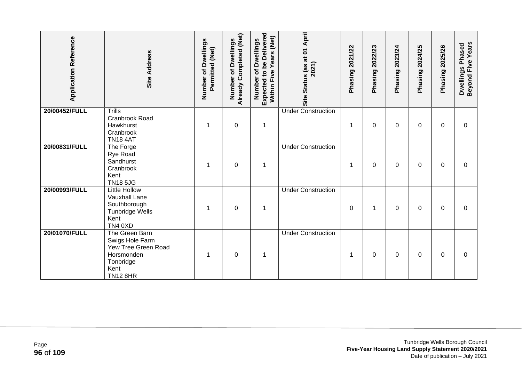| <b>Application Reference</b> | Site Address                                                                                                   | Number of Dwellings<br>Permitted (Net) | Already Completed (Net)<br>of Dwellings<br>Number | Expected to be Delivered<br>Years (Net)<br>of Dwellings<br>Five<br>Number<br>Within | Site Status (as at 01 April<br>2021) | 2021/22<br>Phasing | 2022/23<br>Phasing | 2023/24<br>Phasing | 2024/25<br>Phasing? | <b>Phasing 2025/26</b> | Beyond Five Years<br>Dwellings Phased |
|------------------------------|----------------------------------------------------------------------------------------------------------------|----------------------------------------|---------------------------------------------------|-------------------------------------------------------------------------------------|--------------------------------------|--------------------|--------------------|--------------------|---------------------|------------------------|---------------------------------------|
| 20/00452/FULL                | <b>Trills</b><br>Cranbrook Road<br>Hawkhurst<br>Cranbrook<br><b>TN18 4AT</b>                                   |                                        | $\mathbf 0$                                       | $\mathbf 1$                                                                         | <b>Under Construction</b>            | 1                  | 0                  | 0                  | 0                   | 0                      | 0                                     |
| 20/00831/FULL                | The Forge<br>Rye Road<br>Sandhurst<br>Cranbrook<br>Kent<br><b>TN18 5JG</b>                                     | 1                                      | $\mathbf 0$                                       | $\mathbf 1$                                                                         | <b>Under Construction</b>            | 1                  | 0                  | 0                  | 0                   | $\mathbf{0}$           | $\Omega$                              |
| 20/00993/FULL                | <b>Little Hollow</b><br>Vauxhall Lane<br>Southborough<br><b>Tunbridge Wells</b><br>Kent<br>TN4 0XD             |                                        | $\boldsymbol{0}$                                  | 1                                                                                   | <b>Under Construction</b>            | 0                  | $\mathbf 1$        | 0                  | 0                   | $\mathbf{0}$           | $\Omega$                              |
| 20/01070/FULL                | The Green Barn<br>Swigs Hole Farm<br>Yew Tree Green Road<br>Horsmonden<br>Tonbridge<br>Kent<br><b>TN12 8HR</b> |                                        | $\boldsymbol{0}$                                  | $\mathbf 1$                                                                         | <b>Under Construction</b>            | 1                  | 0                  | 0                  | 0                   | $\mathbf{0}$           | 0                                     |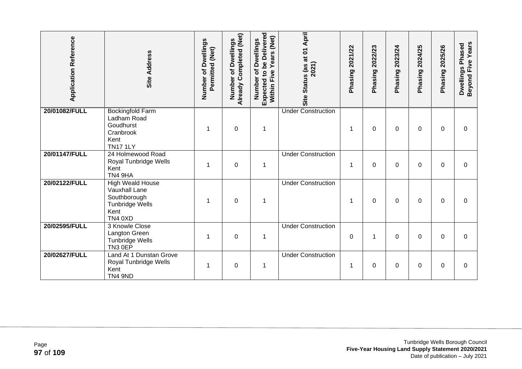| <b>Application Reference</b> | Site Address                                                                                                 | Number of Dwellings<br>Permitted (Net) | Already Completed (Net)<br>of Dwellings<br>Number | Expected to be Delivered<br>(Net)<br>of Dwellings<br>Years<br>Five<br>Number<br>Within | Status (as at 01 April<br>2021)<br>Site | 2021/22<br>Phasing | 2022/23<br>Phasing? | 2023/24<br>Phasing | 2024/25<br>Phasing | 2025/26<br>Phasing | Beyond Five Years<br>Dwellings Phased |
|------------------------------|--------------------------------------------------------------------------------------------------------------|----------------------------------------|---------------------------------------------------|----------------------------------------------------------------------------------------|-----------------------------------------|--------------------|---------------------|--------------------|--------------------|--------------------|---------------------------------------|
| 20/01082/FULL                | <b>Bockingfold Farm</b><br>Ladham Road<br>Goudhurst<br>Cranbrook<br>Kent<br><b>TN17 1LY</b>                  |                                        | $\boldsymbol{0}$                                  | 1                                                                                      | <b>Under Construction</b>               | 1                  | 0                   | 0                  | 0                  | 0                  | 0                                     |
| 20/01147/FULL                | 24 Holmewood Road<br>Royal Tunbridge Wells<br>Kent<br>TN4 9HA                                                |                                        | 0                                                 | 1                                                                                      | <b>Under Construction</b>               | 1                  | $\Omega$            | 0                  | $\Omega$           | $\Omega$           | $\Omega$                              |
| 20/02122/FULL                | <b>High Weald House</b><br><b>Vauxhall Lane</b><br>Southborough<br>Tunbridge Wells<br>Kent<br><b>TN4 0XD</b> |                                        | $\mathbf 0$                                       | 1                                                                                      | <b>Under Construction</b>               | 1                  | 0                   | 0                  | 0                  | $\mathbf{0}$       | $\Omega$                              |
| 20/02595/FULL                | 3 Knowle Close<br>Langton Green<br>Tunbridge Wells<br>TN3 0EP                                                | 1                                      | $\mathbf 0$                                       | $\mathbf 1$                                                                            | <b>Under Construction</b>               | 0                  | 1                   | 0                  | 0                  | $\Omega$           | 0                                     |
| 20/02627/FULL                | Land At 1 Dunstan Grove<br>Royal Tunbridge Wells<br>Kent<br><b>TN4 9ND</b>                                   |                                        | $\boldsymbol{0}$                                  | 1                                                                                      | <b>Under Construction</b>               | 1                  | 0                   | 0                  | 0                  | $\Omega$           | 0                                     |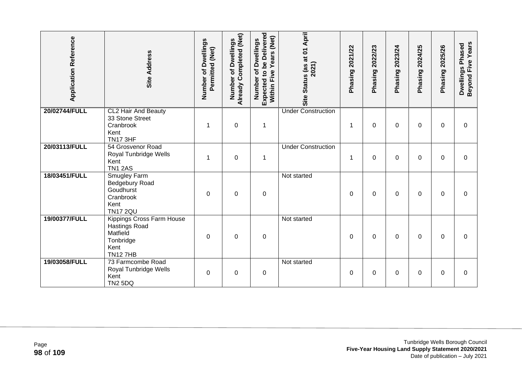| <b>Application Reference</b> | Site Address                                                                                         | Number of Dwellings<br>Permitted (Net) | Already Completed (Net)<br><b>Dwellings</b><br>Number of | Expected to be Delivered<br>Years (Net)<br>Number of Dwellings<br>Five<br>Within | Site Status (as at 01 April<br>2021) | 2021/22<br>Phasing | 2022/23<br>Phasing | 2023/24<br>Phasing | 2024/25<br>Phasing | 2025/26<br>Phasing | Beyond Five Years<br>Dwellings Phased |
|------------------------------|------------------------------------------------------------------------------------------------------|----------------------------------------|----------------------------------------------------------|----------------------------------------------------------------------------------|--------------------------------------|--------------------|--------------------|--------------------|--------------------|--------------------|---------------------------------------|
| 20/02744/FULL                | <b>CL2 Hair And Beauty</b><br>33 Stone Street<br>Cranbrook<br>Kent<br><b>TN17 3HF</b>                | 1                                      | $\mathbf 0$                                              | $\mathbf 1$                                                                      | <b>Under Construction</b>            | 1                  | $\Omega$           | 0                  | 0                  | 0                  | $\Omega$                              |
| 20/03113/FULL                | 54 Grosvenor Road<br>Royal Tunbridge Wells<br>Kent<br><b>TN1 2AS</b>                                 | 1                                      | $\mathbf 0$                                              | $\mathbf 1$                                                                      | <b>Under Construction</b>            | 1                  | 0                  | 0                  | 0                  | $\Omega$           | $\Omega$                              |
| 18/03451/FULL                | Smugley Farm<br>Bedgebury Road<br>Goudhurst<br>Cranbrook<br>Kent<br><b>TN17 2QU</b>                  | 0                                      | $\pmb{0}$                                                | $\boldsymbol{0}$                                                                 | Not started                          | 0                  | $\mathbf 0$        | 0                  | 0                  | 0                  | 0                                     |
| 19/00377/FULL                | Kippings Cross Farm House<br><b>Hastings Road</b><br>Matfield<br>Tonbridge<br>Kent<br><b>TN127HB</b> | 0                                      | $\pmb{0}$                                                | $\boldsymbol{0}$                                                                 | Not started                          | 0                  | $\mathbf 0$        | 0                  | 0                  | 0                  | 0                                     |
| 19/03058/FULL                | 73 Farmcombe Road<br>Royal Tunbridge Wells<br>Kent<br><b>TN2 5DQ</b>                                 | $\Omega$                               | 0                                                        | $\pmb{0}$                                                                        | Not started                          | $\Omega$           | $\Omega$           | 0                  | $\Omega$           | $\mathbf{0}$       | $\Omega$                              |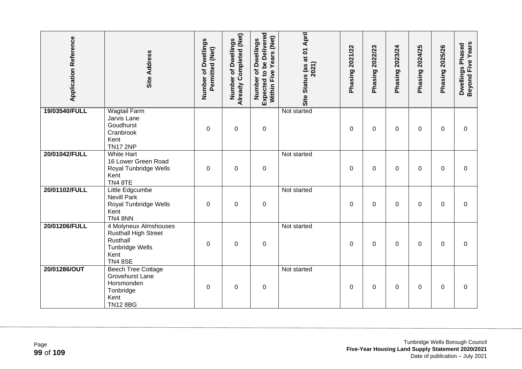| <b>Application Reference</b> | <b>Site Address</b>                                                                                                  | Number of Dwellings<br>Permitted (Net) | Already Completed (Net)<br>of Dwellings<br>Number | <b>Expected to be Delivered</b><br>Within Five Years (Net)<br>Number of Dwellings | Site Status (as at 01 April<br>2021) | Phasing 2021/22 | 2022/23<br>Phasing? | Phasing 2023/24 | 2024/25<br>Phasing? | Phasing 2025/26 | Beyond Five Years<br>Dwellings Phased |
|------------------------------|----------------------------------------------------------------------------------------------------------------------|----------------------------------------|---------------------------------------------------|-----------------------------------------------------------------------------------|--------------------------------------|-----------------|---------------------|-----------------|---------------------|-----------------|---------------------------------------|
| 19/03540/FULL                | <b>Wagtail Farm</b><br>Jarvis Lane<br>Goudhurst<br>Cranbrook<br>Kent<br><b>TN17 2NP</b>                              | 0                                      | $\boldsymbol{0}$                                  | $\mathbf 0$                                                                       | Not started                          | 0               | 0                   | 0               | 0                   | 0               | $\mathbf 0$                           |
| 20/01042/FULL                | <b>White Hart</b><br>16 Lower Green Road<br>Royal Tunbridge Wells<br>Kent<br><b>TN4 8TE</b>                          | $\Omega$                               | $\boldsymbol{0}$                                  | $\pmb{0}$                                                                         | Not started                          | 0               | 0                   | 0               | 0                   | $\Omega$        | $\Omega$                              |
| 20/01102/FULL                | Little Edgcumbe<br><b>Nevill Park</b><br>Royal Tunbridge Wells<br>Kent<br><b>TN4 8NN</b>                             | 0                                      | $\mathbf 0$                                       | $\pmb{0}$                                                                         | Not started                          | 0               | $\Omega$            | 0               | 0                   | $\Omega$        | $\Omega$                              |
| 20/01206/FULL                | 4 Molyneux Almshouses<br><b>Rusthall High Street</b><br>Rusthall<br><b>Tunbridge Wells</b><br>Kent<br><b>TN4 8SE</b> | $\Omega$                               | $\mathbf 0$                                       | $\mathbf 0$                                                                       | Not started                          | 0               | 0                   | $\Omega$        | $\Omega$            | $\Omega$        | $\mathbf 0$                           |
| 20/01286/OUT                 | <b>Beech Tree Cottage</b><br><b>Grovehurst Lane</b><br>Horsmonden<br>Tonbridge<br>Kent<br><b>TN12 8BG</b>            | $\Omega$                               | $\boldsymbol{0}$                                  | $\pmb{0}$                                                                         | Not started                          | $\Omega$        | $\Omega$            | 0               | $\Omega$            | $\Omega$        | $\overline{0}$                        |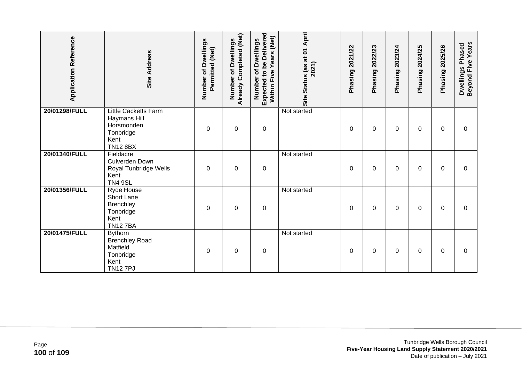| <b>Application Reference</b> | <b>Site Address</b>                                                                               | Number of Dwellings<br>Permitted (Net) | Already Completed (Net)<br>of Dwellings<br>Number | <b>Expected to be Delivered</b><br>Years (Net)<br>of Dwellings<br>Within Five<br>Number | Site Status (as at 01 April<br>2021) | 2021/22<br>Phasing | 2022/23<br>Phasing | 2023/24<br>Phasing | 2024/25<br>Phasing | 2025/26<br>Phasing | Beyond Five Years<br>Dwellings Phased |
|------------------------------|---------------------------------------------------------------------------------------------------|----------------------------------------|---------------------------------------------------|-----------------------------------------------------------------------------------------|--------------------------------------|--------------------|--------------------|--------------------|--------------------|--------------------|---------------------------------------|
| 20/01298/FULL                | <b>Little Cacketts Farm</b><br>Haymans Hill<br>Horsmonden<br>Tonbridge<br>Kent<br><b>TN12 8BX</b> | $\Omega$                               | $\boldsymbol{0}$                                  | $\pmb{0}$                                                                               | Not started                          | 0                  | 0                  | 0                  | 0                  | 0                  | 0                                     |
| 20/01340/FULL                | Fieldacre<br><b>Culverden Down</b><br>Royal Tunbridge Wells<br>Kent<br><b>TN4 9SL</b>             | 0                                      | $\boldsymbol{0}$                                  | $\pmb{0}$                                                                               | Not started                          | 0                  | 0                  | 0                  | 0                  | $\mathbf{0}$       | 0                                     |
| 20/01356/FULL                | Ryde House<br><b>Short Lane</b><br>Brenchley<br>Tonbridge<br>Kent<br><b>TN127BA</b>               | $\Omega$                               | $\mathbf 0$                                       | $\boldsymbol{0}$                                                                        | Not started                          | 0                  | 0                  | 0                  | 0                  | 0                  | 0                                     |
| 20/01475/FULL                | <b>Bythorn</b><br><b>Brenchley Road</b><br>Matfield<br>Tonbridge<br>Kent<br><b>TN127PJ</b>        | $\Omega$                               | $\mathbf 0$                                       | $\boldsymbol{0}$                                                                        | Not started                          | $\Omega$           | $\Omega$           | 0                  | 0                  | $\Omega$           | 0                                     |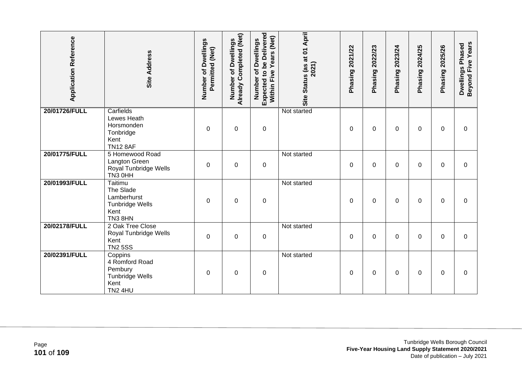| <b>Application Reference</b> | Site Address                                                                             | Number of Dwellings<br>Permitted (Net) | Already Completed (Net)<br>Dwellings<br>đ<br>Number | Expected to be Delivered<br>Years (Net)<br>Number of Dwellings<br>Five<br>Within | Site Status (as at 01 April<br>2021) | Phasing 2021/22 | 2022/23<br>Phasing | 2023/24<br>Phasing | 2024/25<br>Phasing | 2025/26<br>Phasing | Beyond Five Years<br>Dwellings Phased |
|------------------------------|------------------------------------------------------------------------------------------|----------------------------------------|-----------------------------------------------------|----------------------------------------------------------------------------------|--------------------------------------|-----------------|--------------------|--------------------|--------------------|--------------------|---------------------------------------|
| 20/01726/FULL                | Carfields<br>Lewes Heath<br>Horsmonden<br>Tonbridge<br>Kent<br><b>TN12 8AF</b>           | 0                                      | $\boldsymbol{0}$                                    | $\boldsymbol{0}$                                                                 | Not started                          | 0               | 0                  | 0                  | 0                  | 0                  | 0                                     |
| 20/01775/FULL                | 5 Homewood Road<br>Langton Green<br>Royal Tunbridge Wells<br>TN3 0HH                     | $\Omega$                               | $\mathbf 0$                                         | $\boldsymbol{0}$                                                                 | Not started                          | 0               | 0                  | 0                  | 0                  | 0                  | 0                                     |
| 20/01993/FULL                | Taitimu<br>The Slade<br>Lamberhurst<br><b>Tunbridge Wells</b><br>Kent<br><b>TN3 8HN</b>  | $\Omega$                               | $\mathbf 0$                                         | $\pmb{0}$                                                                        | Not started                          | $\Omega$        | $\Omega$           | 0                  | 0                  | $\Omega$           | $\Omega$                              |
| 20/02178/FULL                | 2 Oak Tree Close<br>Royal Tunbridge Wells<br>Kent<br><b>TN2 5SS</b>                      | $\Omega$                               | $\mathbf 0$                                         | $\pmb{0}$                                                                        | Not started                          | $\Omega$        | 0                  | 0                  | $\Omega$           | $\Omega$           | 0                                     |
| 20/02391/FULL                | Coppins<br>4 Romford Road<br>Pembury<br><b>Tunbridge Wells</b><br>Kent<br><b>TN2 4HU</b> | 0                                      | $\boldsymbol{0}$                                    | $\boldsymbol{0}$                                                                 | Not started                          | 0               | 0                  | 0                  | 0                  | $\Omega$           | 0                                     |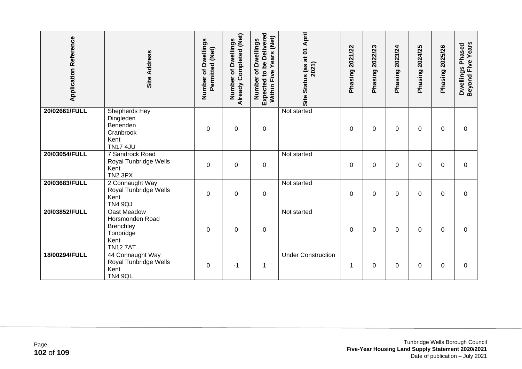| <b>Application Reference</b> | Site Address                                                                          | Number of Dwellings<br>Permitted (Net) | Already Completed (Net)<br>of Dwellings<br>Number | <b>Expected to be Delivered</b><br>(Net)<br>of Dwellings<br>Years<br>Within Five<br>Number | Site Status (as at 01 April<br>2021) | 2021/22<br>Phasing | 2022/23<br>Phasing | 2023/24<br>Phasing | 2024/25<br>Phasing | 2025/26<br>Phasing | Beyond Five Years<br>Dwellings Phased |
|------------------------------|---------------------------------------------------------------------------------------|----------------------------------------|---------------------------------------------------|--------------------------------------------------------------------------------------------|--------------------------------------|--------------------|--------------------|--------------------|--------------------|--------------------|---------------------------------------|
| 20/02661/FULL                | <b>Shepherds Hey</b><br>Dingleden<br>Benenden<br>Cranbrook<br>Kent<br><b>TN17 4JU</b> | 0                                      | $\mathbf 0$                                       | 0                                                                                          | Not started                          | $\Omega$           | 0                  | 0                  | $\Omega$           | $\Omega$           | $\Omega$                              |
| 20/03054/FULL                | 7 Sandrock Road<br>Royal Tunbridge Wells<br>Kent<br>TN2 3PX                           | $\Omega$                               | 0                                                 | 0                                                                                          | Not started                          | $\Omega$           | $\Omega$           | 0                  | $\Omega$           | $\Omega$           | $\Omega$                              |
| 20/03683/FULL                | 2 Connaught Way<br>Royal Tunbridge Wells<br>Kent<br><b>TN4 9QJ</b>                    | $\Omega$                               | $\mathbf 0$                                       | $\pmb{0}$                                                                                  | Not started                          | $\mathbf 0$        | $\mathbf 0$        | 0                  | 0                  | $\Omega$           | $\overline{0}$                        |
| 20/03852/FULL                | Oast Meadow<br>Horsmonden Road<br>Brenchley<br>Tonbridge<br>Kent<br><b>TN127AT</b>    | $\Omega$                               | $\mathbf 0$                                       | 0                                                                                          | Not started                          | 0                  | 0                  | 0                  | $\Omega$           | $\Omega$           | $\Omega$                              |
| 18/00294/FULL                | 44 Connaught Way<br>Royal Tunbridge Wells<br>Kent<br><b>TN4 9QL</b>                   | 0                                      | $-1$                                              | 1                                                                                          | <b>Under Construction</b>            | 1                  | $\Omega$           | 0                  | 0                  | $\Omega$           | $\Omega$                              |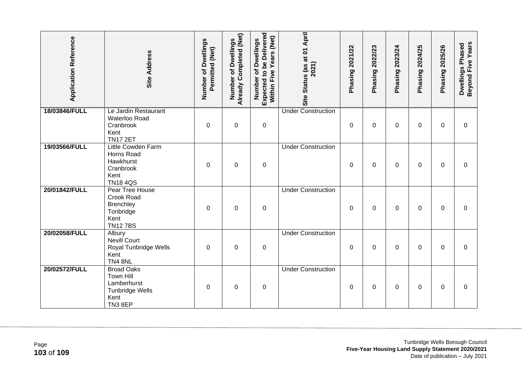| <b>Application Reference</b> | <b>Site Address</b>                                                                                      | Number of Dwellings<br>Permitted (Net) | Already Completed (Net)<br>Number of Dwellings | Expected to be Delivered<br>Within Five Years (Net)<br>Number of Dwellings | Site Status (as at 01 April<br>2021) | Phasing 2021/22 | Phasing 2022/23 | Phasing 2023/24 | Phasing 2024/25 | Phasing 2025/26 | Beyond Five Years<br>Dwellings Phased |
|------------------------------|----------------------------------------------------------------------------------------------------------|----------------------------------------|------------------------------------------------|----------------------------------------------------------------------------|--------------------------------------|-----------------|-----------------|-----------------|-----------------|-----------------|---------------------------------------|
| 18/03846/FULL                | Le Jardin Restaurant<br>Waterloo Road<br>Cranbrook<br>Kent<br><b>TN17 2ET</b>                            | $\Omega$                               | $\boldsymbol{0}$                               | $\boldsymbol{0}$                                                           | <b>Under Construction</b>            | $\mathbf 0$     | 0               | 0               | $\Omega$        | 0               | $\mathbf 0$                           |
| 19/03566/FULL                | Little Cowden Farm<br>Horns Road<br>Hawkhurst<br>Cranbrook<br>Kent<br><b>TN184QS</b>                     | $\Omega$                               | $\mathbf 0$                                    | $\boldsymbol{0}$                                                           | <b>Under Construction</b>            | $\Omega$        | $\Omega$        | 0               | $\Omega$        | $\Omega$        | $\Omega$                              |
| 20/01842/FULL                | Pear Tree House<br>Crook Road<br><b>Brenchley</b><br>Tonbridge<br>Kent<br><b>TN127BS</b>                 | 0                                      | $\pmb{0}$                                      | $\pmb{0}$                                                                  | <b>Under Construction</b>            | 0               | 0               | 0               | 0               | 0               | 0                                     |
| 20/02058/FULL                | Albury<br><b>Nevill Court</b><br>Royal Tunbridge Wells<br>Kent<br><b>TN4 8NL</b>                         | $\Omega$                               | $\mathbf 0$                                    | $\boldsymbol{0}$                                                           | <b>Under Construction</b>            | $\Omega$        | $\Omega$        | 0               | $\Omega$        | $\Omega$        | $\Omega$                              |
| 20/02572/FULL                | <b>Broad Oaks</b><br><b>Town Hill</b><br>Lamberhurst<br><b>Tunbridge Wells</b><br>Kent<br><b>TN3 8EP</b> | 0                                      | $\mathbf 0$                                    | $\boldsymbol{0}$                                                           | <b>Under Construction</b>            | $\Omega$        | 0               | 0               | 0               | $\Omega$        | $\Omega$                              |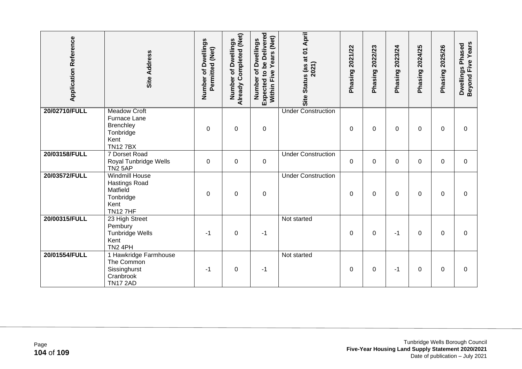| <b>Application Reference</b> | <b>Site Address</b>                                                                              | Number of Dwellings<br>Permitted (Net) | Already Completed (Net)<br><b>Dwellings</b><br>৳<br>Number | <b>Expected to be Delivered</b><br>Years (Net)<br>Number of Dwellings<br>Within Five | Site Status (as at 01 April<br>2021) | 2021/22<br>Phasing | 2022/23<br>Phasing | 2023/24<br>Phasing | 2024/25<br>Phasing | 2025/26<br>Phasing | Beyond Five Years<br>Dwellings Phased |
|------------------------------|--------------------------------------------------------------------------------------------------|----------------------------------------|------------------------------------------------------------|--------------------------------------------------------------------------------------|--------------------------------------|--------------------|--------------------|--------------------|--------------------|--------------------|---------------------------------------|
| 20/02710/FULL                | <b>Meadow Croft</b><br>Furnace Lane<br>Brenchley<br>Tonbridge<br>Kent<br><b>TN127BX</b>          | 0                                      | $\mathbf 0$                                                | $\boldsymbol{0}$                                                                     | <b>Under Construction</b>            | 0                  | 0                  | 0                  | 0                  | 0                  | $\Omega$                              |
| 20/03158/FULL                | 7 Dorset Road<br>Royal Tunbridge Wells<br><b>TN2 5AP</b>                                         | 0                                      | $\mathbf 0$                                                | $\boldsymbol{0}$                                                                     | <b>Under Construction</b>            | 0                  | $\Omega$           | 0                  | 0                  | $\Omega$           | 0                                     |
| 20/03572/FULL                | <b>Windmill House</b><br><b>Hastings Road</b><br>Matfield<br>Tonbridge<br>Kent<br><b>TN127HF</b> | $\Omega$                               | $\pmb{0}$                                                  | $\pmb{0}$                                                                            | <b>Under Construction</b>            | 0                  | 0                  | 0                  | 0                  | 0                  | 0                                     |
| 20/00315/FULL                | 23 High Street<br>Pembury<br><b>Tunbridge Wells</b><br>Kent<br>TN2 4PH                           | $-1$                                   | $\boldsymbol{0}$                                           | -1                                                                                   | Not started                          | 0                  | 0                  | -1                 | 0                  | $\mathbf{0}$       | $\Omega$                              |
| 20/01554/FULL                | 1 Hawkridge Farmhouse<br>The Common<br>Sissinghurst<br>Cranbrook<br><b>TN17 2AD</b>              | -1                                     | $\pmb{0}$                                                  | $-1$                                                                                 | Not started                          | 0                  | 0                  | -1                 | 0                  | 0                  | 0                                     |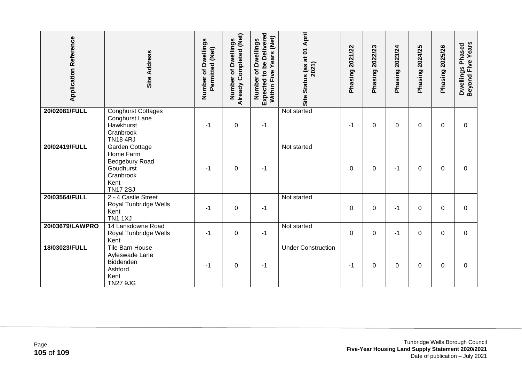| <b>Application Reference</b> | <b>Site Address</b>                                                                                | Number of Dwellings<br>Permitted (Net) | Already Completed (Net)<br><b>Dwellings</b><br>৳<br>Number | <b>Expected to be Delivered</b><br>Years (Net)<br>Number of Dwellings<br>Five<br>Within I | Site Status (as at 01 April<br>2021) | 2021/22<br>Phasing | 2022/23<br>Phasing | 2023/24<br>Phasing | 2024/25<br>Phasing | 2025/26<br>Phasing | Beyond Five Years<br>Dwellings Phased |
|------------------------------|----------------------------------------------------------------------------------------------------|----------------------------------------|------------------------------------------------------------|-------------------------------------------------------------------------------------------|--------------------------------------|--------------------|--------------------|--------------------|--------------------|--------------------|---------------------------------------|
| 20/02081/FULL                | <b>Conghurst Cottages</b><br>Conghurst Lane<br>Hawkhurst<br>Cranbrook<br><b>TN18 4RJ</b>           | $-1$                                   | $\pmb{0}$                                                  | $-1$                                                                                      | Not started                          | $-1$               | 0                  | 0                  | 0                  | 0                  | 0                                     |
| 20/02419/FULL                | Garden Cottage<br>Home Farm<br>Bedgebury Road<br>Goudhurst<br>Cranbrook<br>Kent<br><b>TN17 2SJ</b> | $-1$                                   | 0                                                          | -1                                                                                        | Not started                          | $\mathbf{0}$       | $\Omega$           | $-1$               | 0                  | $\mathbf{0}$       | $\Omega$                              |
| 20/03564/FULL                | 2 - 4 Castle Street<br>Royal Tunbridge Wells<br>Kent<br><b>TN1 1XJ</b>                             | $-1$                                   | $\mathbf 0$                                                | $-1$                                                                                      | Not started                          | 0                  | 0                  | -1                 | 0                  | $\Omega$           | 0                                     |
| 20/03679/LAWPRO              | 14 Lansdowne Road<br>Royal Tunbridge Wells<br>Kent                                                 | $-1$                                   | $\mathbf 0$                                                | $-1$                                                                                      | Not started                          | 0                  | 0                  | -1                 | 0                  | $\Omega$           | $\mathbf 0$                           |
| 18/03023/FULL                | <b>Tile Barn House</b><br>Ayleswade Lane<br>Biddenden<br>Ashford<br>Kent<br><b>TN27 9JG</b>        | -1                                     | $\mathbf 0$                                                | -1                                                                                        | <b>Under Construction</b>            | -1                 | $\Omega$           | 0                  | 0                  | $\mathbf{0}$       | $\Omega$                              |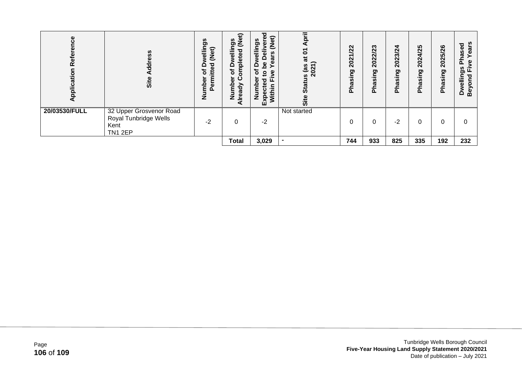| $\omega$<br>Rei<br>Appl | S<br>ಕ<br>ᇹ<br>Site                                                        | 9S<br>fig<br>ellir<br>Ž<br>$\Box$<br>ᇃ<br>đ<br>≑<br>ー<br>٤<br>Φ<br>έ<br>ω<br>Ž | Φ<br>ِفِع<br>n<br>ත<br>Φ<br>$\Omega$<br>ہ<br>৳<br>ω<br>ο<br>><br>ಕ<br>۴<br>a | ਠ<br>E)<br>ere<br><b>ვე</b><br>⋍<br>ω<br>-<br>$\mathbf{Q}$<br>ത<br>ω<br>စ္ထ<br>≏<br>ō<br>ω<br>$\mathbf{S}$<br>ه<br>ш<br>ਠ<br>≏<br>ω<br>Ξ<br>$\overline{\phantom{0}}$<br>ပ<br>ω<br>Ξ<br>Exp<br>z | ₹<br>ᅮ<br>Ò<br>π<br>∽<br>as<br>$\overline{ }$<br>$\sim$<br>$\circ$<br>$\check{ }$<br>N<br>9<br>ທັ<br>Site | N<br><u>й</u><br>$\sim$<br>$\overline{a}$<br>ත<br>--<br><b>S</b><br>ಸ<br>ᇎ | ∾<br>Ñ<br>ิ<br>N<br>ຊິ<br>ත<br>.=<br><b>S</b><br>œ<br>ڲٙ | ₩<br>Ñ<br>ო<br>$\mathbf{\tilde{N}}$<br>ସି<br>ත<br>≘.<br>U.<br>π<br>ڲ | ທ<br>4/2<br>$\mathbf{\tilde{N}}$<br>ସି<br>ರಾ<br>요.<br>U)<br><b>Pha</b> | /26<br>ທ<br>202<br>ත<br>≘.<br>ဖာ<br>Pha | ars<br>ರ<br>Φ<br>as<br>Φ<br>ᇟ<br>ω<br><b>ვ</b><br>讧<br>wellin<br>ठ<br>ō<br>Bey<br>۵ |
|-------------------------|----------------------------------------------------------------------------|--------------------------------------------------------------------------------|------------------------------------------------------------------------------|-------------------------------------------------------------------------------------------------------------------------------------------------------------------------------------------------|-----------------------------------------------------------------------------------------------------------|----------------------------------------------------------------------------|----------------------------------------------------------|----------------------------------------------------------------------|------------------------------------------------------------------------|-----------------------------------------|-------------------------------------------------------------------------------------|
| 20/03530/FULL           | 32 Upper Grosvenor Road<br>Royal Tunbridge Wells<br>Kent<br><b>TN1 2EP</b> | $-2$                                                                           | 0                                                                            | $-2$                                                                                                                                                                                            | Not started                                                                                               | 0                                                                          | 0                                                        | $-2$                                                                 |                                                                        |                                         | 0                                                                                   |
|                         |                                                                            |                                                                                | <b>Total</b>                                                                 | 3,029                                                                                                                                                                                           |                                                                                                           | 744                                                                        | 933                                                      | 825                                                                  | 335                                                                    | 192                                     | 232                                                                                 |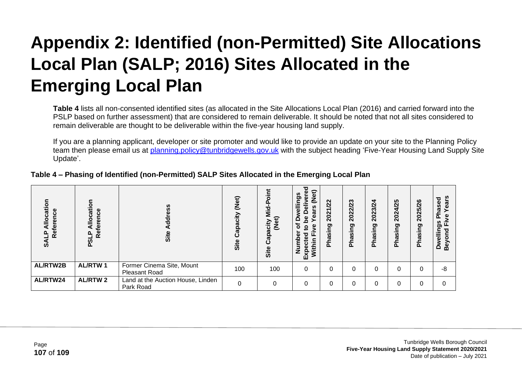## **Appendix 2: Identified (non-Permitted) Site Allocations Local Plan (SALP; 2016) Sites Allocated in the Emerging Local Plan**

**Table 4** lists all non-consented identified sites (as allocated in the Site Allocations Local Plan (2016) and carried forward into the PSLP based on further assessment) that are considered to remain deliverable. It should be noted that not all sites considered to remain deliverable are thought to be deliverable within the five-year housing land supply.

If you are a planning applicant, developer or site promoter and would like to provide an update on your site to the Planning Policy team then please email us at [planning.policy@tunbridgewells.gov.uk](mailto:planning.policy@tunbridgewells.gov.uk) with the subject heading 'Five-Year Housing Land Supply Site Update'.

| ation<br>ierence<br>≗<br><b>Rei</b><br><b>SALP</b> | န<br>cati<br>rence<br>с<br>ڡ<br>قع<br>௨<br>თ<br>ჩ | SS<br>Site                                        | (Net)<br>icity<br><u>ვ</u><br>Site | 73<br><b>JeN</b><br>acity<br>ᢎ<br>Site | ъ<br>ere<br>ဌိ<br>۵<br>n,<br>ត្<br>ω<br>စ္တ<br>≏<br>ъ<br>φ<br>Ω.<br>ठ<br><u>۾</u><br>≌<br>.=<br>Jithi<br>Ξ<br>Expe<br>Ž | <u>/22</u><br>2021<br>gui<br>w<br><b>Pha</b> | 2022/23<br>Phasing | 2023/24<br><b>Phasing</b> | 2024/25<br>Phasing | 2025/26<br><b>Phasing</b> | ທ<br>ೲ<br>Ø<br>ω<br>ିକ<br>ଘ<br>≏ |
|----------------------------------------------------|---------------------------------------------------|---------------------------------------------------|------------------------------------|----------------------------------------|-------------------------------------------------------------------------------------------------------------------------|----------------------------------------------|--------------------|---------------------------|--------------------|---------------------------|----------------------------------|
| <b>AL/RTW2B</b>                                    | <b>AL/RTW1</b>                                    | Former Cinema Site, Mount<br><b>Pleasant Road</b> | 100                                | 100                                    | $\Omega$                                                                                                                |                                              |                    |                           |                    |                           | -8                               |
| AL/RTW24                                           | <b>AL/RTW2</b>                                    | Land at the Auction House, Linden<br>Park Road    | $\Omega$                           | 0                                      | $\Omega$                                                                                                                |                                              |                    |                           |                    |                           |                                  |

## **Table 4 – Phasing of Identified (non-Permitted) SALP Sites Allocated in the Emerging Local Plan**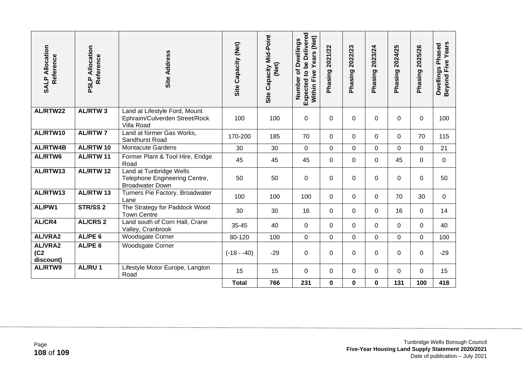| <b>SALP Allocation</b><br>Reference       | PSLP Allocation<br>Reference | Site Address                                                                       | Site Capacity (Net) | Site Capacity Mid-Point<br>(Net) | Expected to be Delivered<br>Within Five Years (Net)<br>of Dwellings<br>Number | Phasing 2021/22 | Phasing 2022/23 | Phasing 2023/24 | Phasing 2024/25 | Phasing 2025/26 | <b>Beyond Five Years</b><br>Dwellings Phased |
|-------------------------------------------|------------------------------|------------------------------------------------------------------------------------|---------------------|----------------------------------|-------------------------------------------------------------------------------|-----------------|-----------------|-----------------|-----------------|-----------------|----------------------------------------------|
| AL/RTW22                                  | <b>AL/RTW3</b>               | Land at Lifestyle Ford, Mount<br>Ephraim/Culverden Street/Rock<br>Villa Road       | 100                 | 100                              | $\mathbf 0$                                                                   | $\Omega$        | $\mathbf 0$     | 0               | 0               | $\mathbf 0$     | 100                                          |
| AL/RTW10                                  | <b>AL/RTW7</b>               | Land at former Gas Works,<br>Sandhurst Road                                        | 170-200             | 185                              | 70                                                                            | 0               | $\mathbf 0$     | $\mathbf 0$     | $\mathbf 0$     | 70              | 115                                          |
| <b>AL/RTW4B</b>                           | AL/RTW 10                    | <b>Montacute Gardens</b>                                                           | 30                  | 30                               | $\mathbf 0$                                                                   | 0               | $\mathbf 0$     | 0               | 0               | 0               | 21                                           |
| AL/RTW6                                   | <b>AL/RTW11</b>              | Former Plant & Tool Hire, Eridge<br>Road                                           | 45                  | 45                               | 45                                                                            | 0               | 0               | 0               | 45              | 0               | $\mathbf 0$                                  |
| AL/RTW13                                  | <b>AL/RTW12</b>              | Land at Tunbridge Wells<br>Telephone Engineering Centre,<br><b>Broadwater Down</b> | 50                  | 50                               | $\mathbf 0$                                                                   | $\overline{0}$  | $\mathbf 0$     | $\mathbf 0$     | $\mathbf 0$     | $\mathbf 0$     | 50                                           |
| AL/RTW13                                  | AL/RTW 13                    | Turners Pie Factory, Broadwater<br>Lane                                            | 100                 | 100                              | 100                                                                           | 0               | $\mathbf 0$     | $\Omega$        | 70              | 30              | $\overline{0}$                               |
| AL/PW1                                    | STR/SS <sub>2</sub>          | The Strategy for Paddock Wood<br><b>Town Centre</b>                                | 30                  | 30                               | 16                                                                            | $\overline{0}$  | $\mathbf 0$     | 0               | 16              | 0               | 14                                           |
| AL/CR4                                    | <b>AL/CRS 2</b>              | Land south of Corn Hall, Crane<br>Valley, Cranbrook                                | 35-45               | 40                               | 0                                                                             | $\Omega$        | $\Omega$        | $\Omega$        | 0               | 0               | 40                                           |
| <b>AL/VRA2</b>                            | AL/PE <sub>6</sub>           | <b>Woodsgate Corner</b>                                                            | 80-120              | 100                              | $\boldsymbol{0}$                                                              | $\overline{0}$  | 0               | $\mathbf 0$     | 0               | 0               | 100                                          |
| AL/VRA2<br>(C <sub>2</sub> )<br>discount) | AL/PE <sub>6</sub>           | <b>Woodsgate Corner</b>                                                            | $(-18 - -40)$       | $-29$                            | $\mathbf 0$                                                                   | 0               | $\mathbf 0$     | $\mathbf 0$     | 0               | 0               | $-29$                                        |
| AL/RTW9                                   | AL/RU1                       | Lifestyle Motor Europe, Langton<br>Road                                            | 15                  | 15                               | $\mathbf 0$                                                                   | 0               | $\mathbf 0$     | 0               | 0               | 0               | 15                                           |
|                                           |                              |                                                                                    | <b>Total</b>        | 766                              | 231                                                                           | 0               | $\mathbf 0$     | $\mathbf 0$     | 131             | 100             | 418                                          |